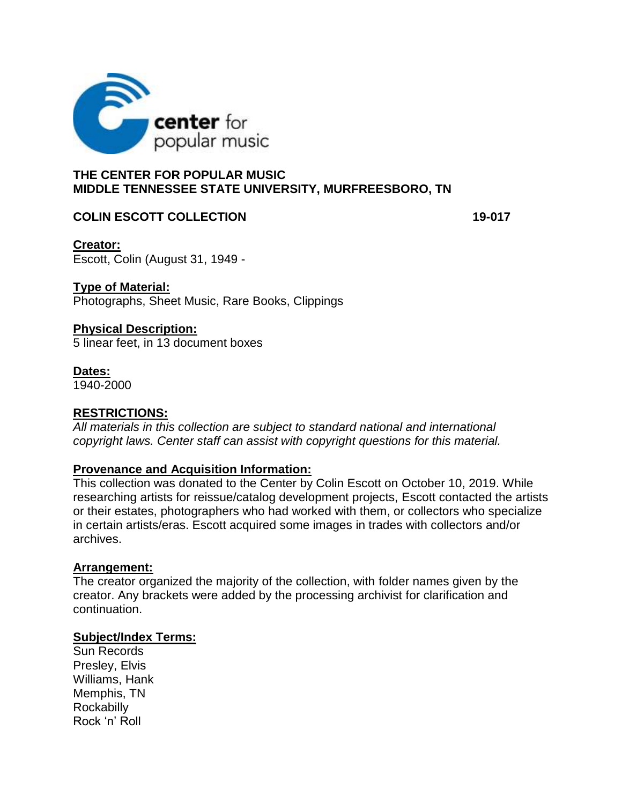

# **THE CENTER FOR POPULAR MUSIC MIDDLE TENNESSEE STATE UNIVERSITY, MURFREESBORO, TN**

# **COLIN ESCOTT COLLECTION 19-017**

**Creator:** Escott, Colin (August 31, 1949 -

# **Type of Material:**

Photographs, Sheet Music, Rare Books, Clippings

## **Physical Description:**

5 linear feet, in 13 document boxes

### **Dates:**

1940-2000

# **RESTRICTIONS:**

*All materials in this collection are subject to standard national and international copyright laws. Center staff can assist with copyright questions for this material.* 

# **Provenance and Acquisition Information:**

This collection was donated to the Center by Colin Escott on October 10, 2019. While researching artists for reissue/catalog development projects, Escott contacted the artists or their estates, photographers who had worked with them, or collectors who specialize in certain artists/eras. Escott acquired some images in trades with collectors and/or archives.

### **Arrangement:**

The creator organized the majority of the collection, with folder names given by the creator. Any brackets were added by the processing archivist for clarification and continuation.

## **Subject/Index Terms:**

Sun Records Presley, Elvis Williams, Hank Memphis, TN **Rockabilly** Rock 'n' Roll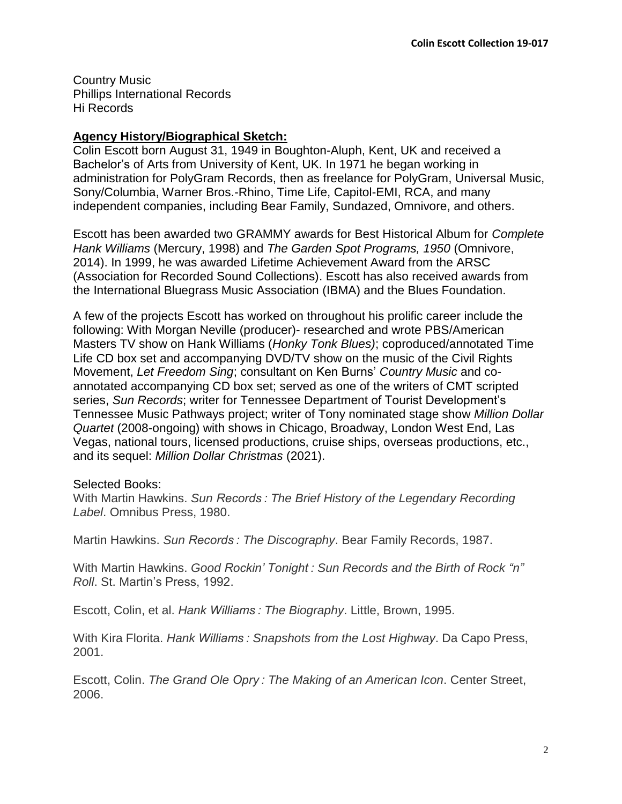Country Music Phillips International Records Hi Records

# **Agency History/Biographical Sketch:**

Colin Escott born August 31, 1949 in Boughton-Aluph, Kent, UK and received a Bachelor's of Arts from University of Kent, UK. In 1971 he began working in administration for PolyGram Records, then as freelance for PolyGram, Universal Music, Sony/Columbia, Warner Bros.-Rhino, Time Life, Capitol-EMI, RCA, and many independent companies, including Bear Family, Sundazed, Omnivore, and others.

Escott has been awarded two GRAMMY awards for Best Historical Album for *Complete Hank Williams* (Mercury, 1998) and *The Garden Spot Programs, 1950* (Omnivore, 2014). In 1999, he was awarded Lifetime Achievement Award from the ARSC (Association for Recorded Sound Collections). Escott has also received awards from the International Bluegrass Music Association (IBMA) and the Blues Foundation.

A few of the projects Escott has worked on throughout his prolific career include the following: With Morgan Neville (producer)- researched and wrote PBS/American Masters TV show on Hank Williams (*Honky Tonk Blues)*; coproduced/annotated Time Life CD box set and accompanying DVD/TV show on the music of the Civil Rights Movement, *Let Freedom Sing*; consultant on Ken Burns' *Country Music* and coannotated accompanying CD box set; served as one of the writers of CMT scripted series, *Sun Records*; writer for Tennessee Department of Tourist Development's Tennessee Music Pathways project; writer of Tony nominated stage show *Million Dollar Quartet* (2008-ongoing) with shows in Chicago, Broadway, London West End, Las Vegas, national tours, licensed productions, cruise ships, overseas productions, etc., and its sequel: *Million Dollar Christmas* (2021).

# Selected Books:

With Martin Hawkins. *Sun Records : The Brief History of the Legendary Recording Label*. Omnibus Press, 1980.

Martin Hawkins. *Sun Records : The Discography*. Bear Family Records, 1987.

With Martin Hawkins. *Good Rockin' Tonight : Sun Records and the Birth of Rock "n" Roll*. St. Martin's Press, 1992.

Escott, Colin, et al. *Hank Williams : The Biography*. Little, Brown, 1995.

With Kira Florita. *Hank Williams : Snapshots from the Lost Highway*. Da Capo Press, 2001.

Escott, Colin. *The Grand Ole Opry : The Making of an American Icon*. Center Street, 2006.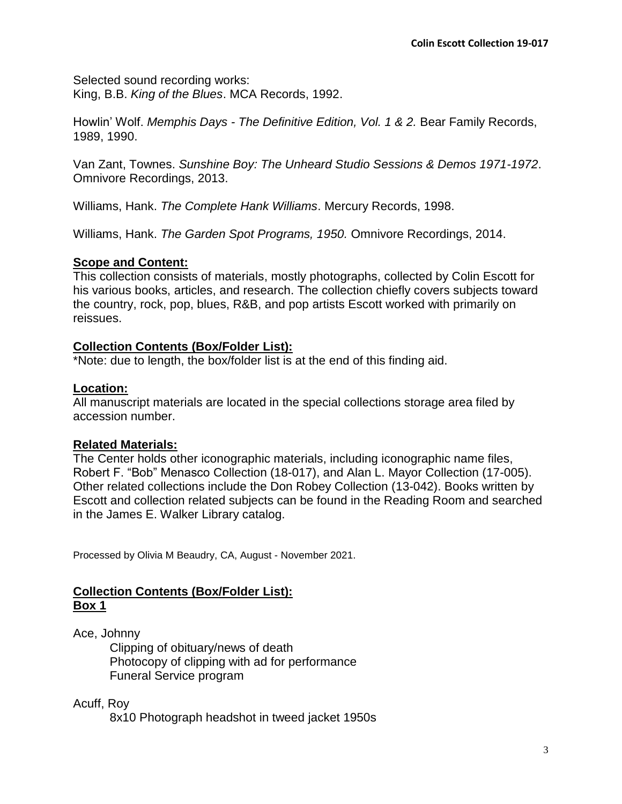Selected sound recording works: King, B.B. *King of the Blues*. MCA Records, 1992.

Howlin' Wolf. *Memphis Days - The Definitive Edition, Vol. 1 & 2.* Bear Family Records, 1989, 1990.

Van Zant, Townes. *Sunshine Boy: The Unheard Studio Sessions & Demos 1971-1972*. Omnivore Recordings, 2013.

Williams, Hank. *The Complete Hank Williams*. Mercury Records, 1998.

Williams, Hank. *The Garden Spot Programs, 1950.* Omnivore Recordings, 2014.

# **Scope and Content:**

This collection consists of materials, mostly photographs, collected by Colin Escott for his various books, articles, and research. The collection chiefly covers subjects toward the country, rock, pop, blues, R&B, and pop artists Escott worked with primarily on reissues.

# **Collection Contents (Box/Folder List):**

\*Note: due to length, the box/folder list is at the end of this finding aid.

# **Location:**

All manuscript materials are located in the special collections storage area filed by accession number.

# **Related Materials:**

The Center holds other iconographic materials, including iconographic name files, Robert F. "Bob" Menasco Collection (18-017), and Alan L. Mayor Collection (17-005). Other related collections include the Don Robey Collection (13-042). Books written by Escott and collection related subjects can be found in the Reading Room and searched in the James E. Walker Library catalog.

Processed by Olivia M Beaudry, CA, August - November 2021.

# **Collection Contents (Box/Folder List): Box 1**

Ace, Johnny

Clipping of obituary/news of death Photocopy of clipping with ad for performance Funeral Service program

# Acuff, Roy

8x10 Photograph headshot in tweed jacket 1950s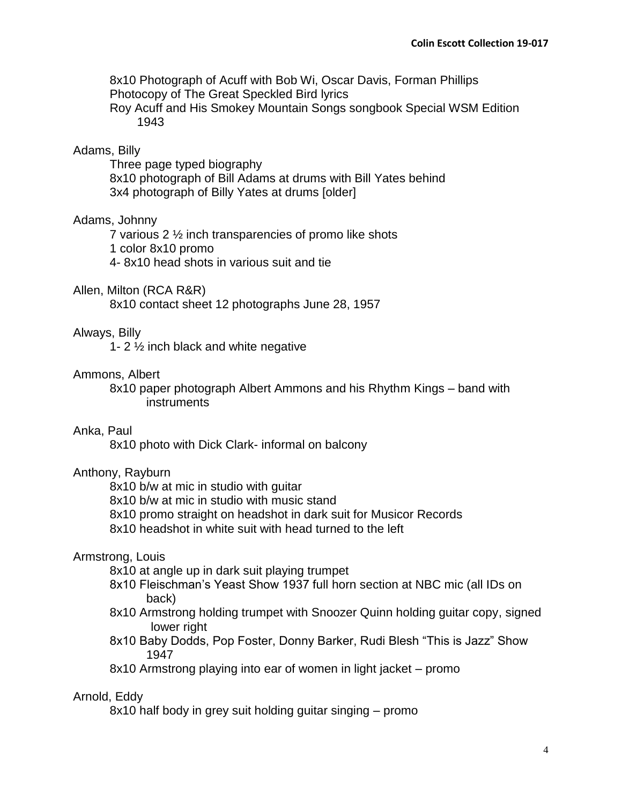8x10 Photograph of Acuff with Bob Wi, Oscar Davis, Forman Phillips Photocopy of The Great Speckled Bird lyrics Roy Acuff and His Smokey Mountain Songs songbook Special WSM Edition 1943

# Adams, Billy

Three page typed biography 8x10 photograph of Bill Adams at drums with Bill Yates behind 3x4 photograph of Billy Yates at drums [older]

## Adams, Johnny

7 various 2 ½ inch transparencies of promo like shots

1 color 8x10 promo

4- 8x10 head shots in various suit and tie

### Allen, Milton (RCA R&R)

8x10 contact sheet 12 photographs June 28, 1957

## Always, Billy

1- 2 ½ inch black and white negative

### Ammons, Albert

8x10 paper photograph Albert Ammons and his Rhythm Kings – band with **instruments** 

## Anka, Paul

8x10 photo with Dick Clark- informal on balcony

### Anthony, Rayburn

8x10 b/w at mic in studio with guitar

8x10 b/w at mic in studio with music stand

- 8x10 promo straight on headshot in dark suit for Musicor Records
- 8x10 headshot in white suit with head turned to the left

### Armstrong, Louis

8x10 at angle up in dark suit playing trumpet

- 8x10 Fleischman's Yeast Show 1937 full horn section at NBC mic (all IDs on back)
- 8x10 Armstrong holding trumpet with Snoozer Quinn holding guitar copy, signed lower right
- 8x10 Baby Dodds, Pop Foster, Donny Barker, Rudi Blesh "This is Jazz" Show 1947

8x10 Armstrong playing into ear of women in light jacket – promo

### Arnold, Eddy

8x10 half body in grey suit holding guitar singing – promo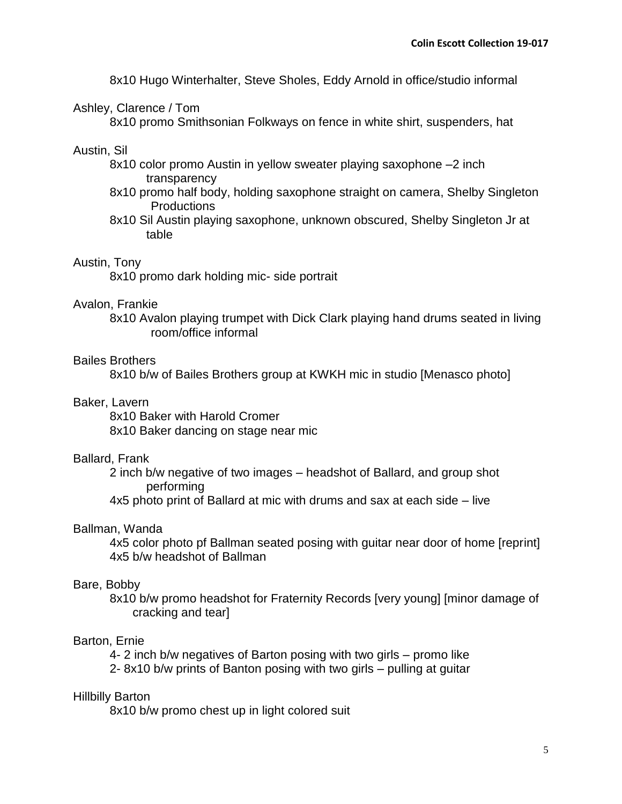8x10 Hugo Winterhalter, Steve Sholes, Eddy Arnold in office/studio informal

### Ashley, Clarence / Tom

8x10 promo Smithsonian Folkways on fence in white shirt, suspenders, hat

### Austin, Sil

- 8x10 color promo Austin in yellow sweater playing saxophone –2 inch transparency
- 8x10 promo half body, holding saxophone straight on camera, Shelby Singleton **Productions**
- 8x10 Sil Austin playing saxophone, unknown obscured, Shelby Singleton Jr at table

### Austin, Tony

8x10 promo dark holding mic- side portrait

#### Avalon, Frankie

8x10 Avalon playing trumpet with Dick Clark playing hand drums seated in living room/office informal

#### Bailes Brothers

8x10 b/w of Bailes Brothers group at KWKH mic in studio [Menasco photo]

### Baker, Lavern

8x10 Baker with Harold Cromer 8x10 Baker dancing on stage near mic

### Ballard, Frank

2 inch b/w negative of two images – headshot of Ballard, and group shot performing

4x5 photo print of Ballard at mic with drums and sax at each side – live

#### Ballman, Wanda

4x5 color photo pf Ballman seated posing with guitar near door of home [reprint] 4x5 b/w headshot of Ballman

#### Bare, Bobby

8x10 b/w promo headshot for Fraternity Records [very young] [minor damage of cracking and tear]

#### Barton, Ernie

4- 2 inch b/w negatives of Barton posing with two girls – promo like

2- 8x10 b/w prints of Banton posing with two girls – pulling at guitar

#### Hillbilly Barton

8x10 b/w promo chest up in light colored suit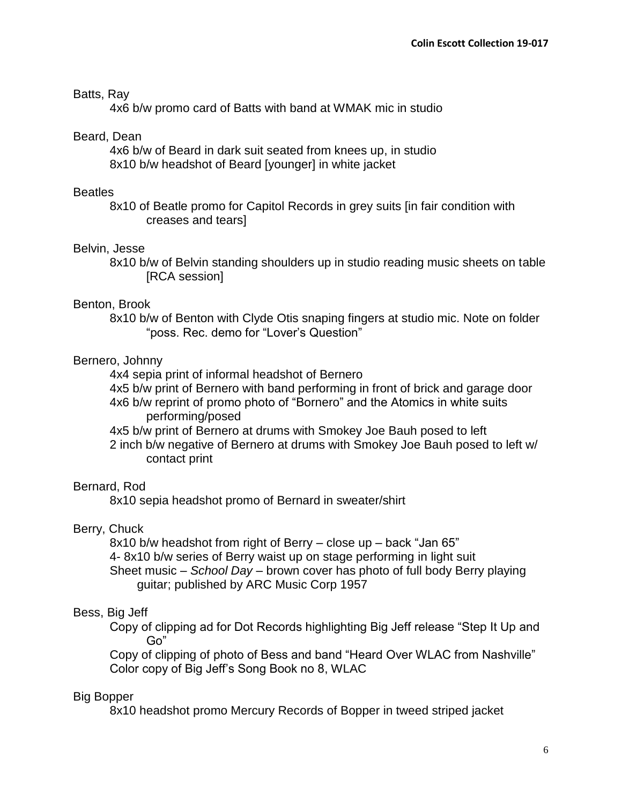## Batts, Ray

4x6 b/w promo card of Batts with band at WMAK mic in studio

## Beard, Dean

4x6 b/w of Beard in dark suit seated from knees up, in studio 8x10 b/w headshot of Beard [younger] in white jacket

### **Beatles**

8x10 of Beatle promo for Capitol Records in grey suits [in fair condition with creases and tears]

## Belvin, Jesse

8x10 b/w of Belvin standing shoulders up in studio reading music sheets on table [RCA session]

### Benton, Brook

8x10 b/w of Benton with Clyde Otis snaping fingers at studio mic. Note on folder "poss. Rec. demo for "Lover's Question"

# Bernero, Johnny

4x4 sepia print of informal headshot of Bernero

4x5 b/w print of Bernero with band performing in front of brick and garage door

4x6 b/w reprint of promo photo of "Bornero" and the Atomics in white suits performing/posed

4x5 b/w print of Bernero at drums with Smokey Joe Bauh posed to left

2 inch b/w negative of Bernero at drums with Smokey Joe Bauh posed to left w/ contact print

### Bernard, Rod

8x10 sepia headshot promo of Bernard in sweater/shirt

# Berry, Chuck

8x10 b/w headshot from right of Berry – close up – back "Jan 65" 4- 8x10 b/w series of Berry waist up on stage performing in light suit Sheet music – *School Day* – brown cover has photo of full body Berry playing guitar; published by ARC Music Corp 1957

# Bess, Big Jeff

Copy of clipping ad for Dot Records highlighting Big Jeff release "Step It Up and Go"

Copy of clipping of photo of Bess and band "Heard Over WLAC from Nashville" Color copy of Big Jeff's Song Book no 8, WLAC

# Big Bopper

8x10 headshot promo Mercury Records of Bopper in tweed striped jacket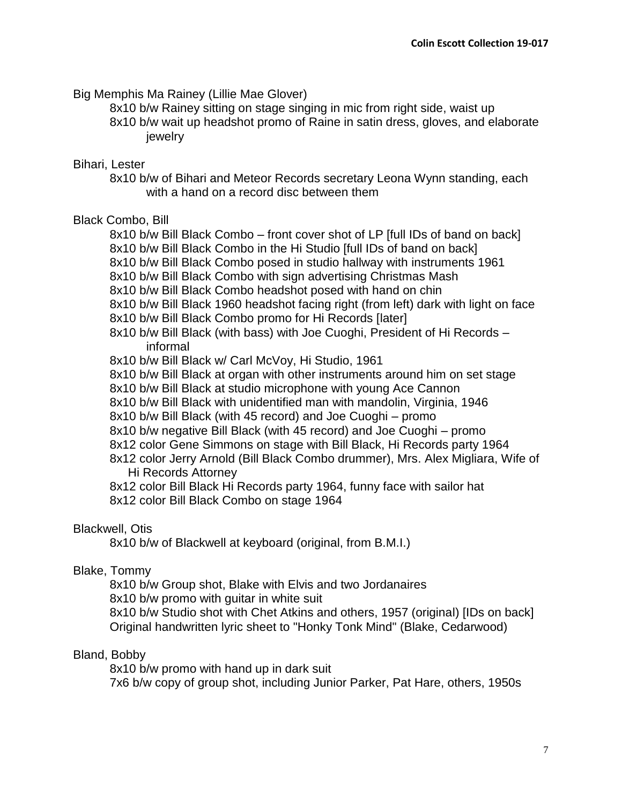Big Memphis Ma Rainey (Lillie Mae Glover)

8x10 b/w Rainey sitting on stage singing in mic from right side, waist up 8x10 b/w wait up headshot promo of Raine in satin dress, gloves, and elaborate jewelry

# Bihari, Lester

8x10 b/w of Bihari and Meteor Records secretary Leona Wynn standing, each with a hand on a record disc between them

# Black Combo, Bill

8x10 b/w Bill Black Combo – front cover shot of LP [full IDs of band on back]

8x10 b/w Bill Black Combo in the Hi Studio [full IDs of band on back]

8x10 b/w Bill Black Combo posed in studio hallway with instruments 1961

8x10 b/w Bill Black Combo with sign advertising Christmas Mash

8x10 b/w Bill Black Combo headshot posed with hand on chin

8x10 b/w Bill Black 1960 headshot facing right (from left) dark with light on face

8x10 b/w Bill Black Combo promo for Hi Records [later]

8x10 b/w Bill Black (with bass) with Joe Cuoghi, President of Hi Records – informal

8x10 b/w Bill Black w/ Carl McVoy, Hi Studio, 1961

8x10 b/w Bill Black at organ with other instruments around him on set stage

8x10 b/w Bill Black at studio microphone with young Ace Cannon

8x10 b/w Bill Black with unidentified man with mandolin, Virginia, 1946

8x10 b/w Bill Black (with 45 record) and Joe Cuoghi – promo

8x10 b/w negative Bill Black (with 45 record) and Joe Cuoghi – promo

8x12 color Gene Simmons on stage with Bill Black, Hi Records party 1964

8x12 color Jerry Arnold (Bill Black Combo drummer), Mrs. Alex Migliara, Wife of Hi Records Attorney

8x12 color Bill Black Hi Records party 1964, funny face with sailor hat

8x12 color Bill Black Combo on stage 1964

# Blackwell, Otis

8x10 b/w of Blackwell at keyboard (original, from B.M.I.)

# Blake, Tommy

8x10 b/w Group shot, Blake with Elvis and two Jordanaires

8x10 b/w promo with guitar in white suit

8x10 b/w Studio shot with Chet Atkins and others, 1957 (original) [IDs on back] Original handwritten lyric sheet to "Honky Tonk Mind" (Blake, Cedarwood)

# Bland, Bobby

8x10 b/w promo with hand up in dark suit

7x6 b/w copy of group shot, including Junior Parker, Pat Hare, others, 1950s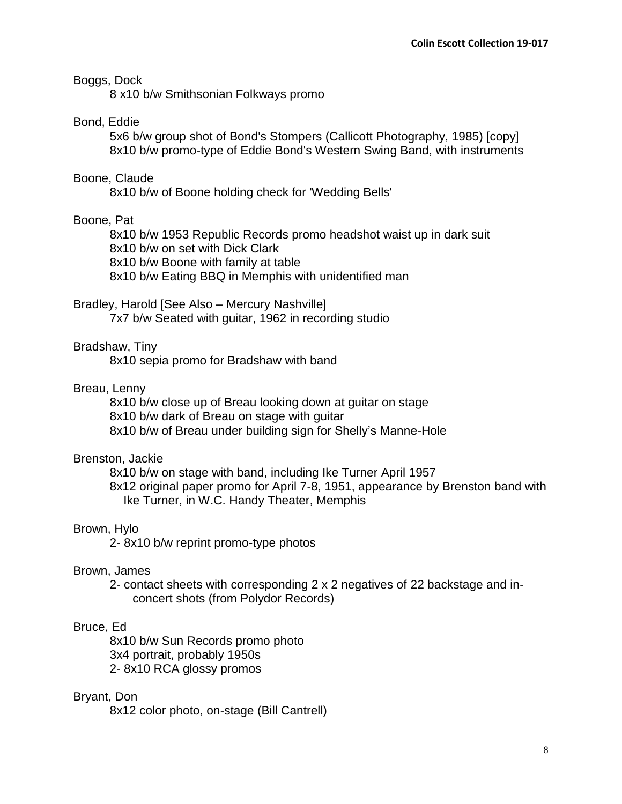#### Boggs, Dock

8 x10 b/w Smithsonian Folkways promo

## Bond, Eddie

5x6 b/w group shot of Bond's Stompers (Callicott Photography, 1985) [copy] 8x10 b/w promo-type of Eddie Bond's Western Swing Band, with instruments

### Boone, Claude

8x10 b/w of Boone holding check for 'Wedding Bells'

#### Boone, Pat

8x10 b/w 1953 Republic Records promo headshot waist up in dark suit 8x10 b/w on set with Dick Clark 8x10 b/w Boone with family at table 8x10 b/w Eating BBQ in Memphis with unidentified man

### Bradley, Harold [See Also – Mercury Nashville]

7x7 b/w Seated with guitar, 1962 in recording studio

#### Bradshaw, Tiny

8x10 sepia promo for Bradshaw with band

### Breau, Lenny

8x10 b/w close up of Breau looking down at guitar on stage 8x10 b/w dark of Breau on stage with guitar 8x10 b/w of Breau under building sign for Shelly's Manne-Hole

### Brenston, Jackie

8x10 b/w on stage with band, including Ike Turner April 1957

8x12 original paper promo for April 7-8, 1951, appearance by Brenston band with Ike Turner, in W.C. Handy Theater, Memphis

#### Brown, Hylo

2- 8x10 b/w reprint promo-type photos

### Brown, James

2- contact sheets with corresponding 2 x 2 negatives of 22 backstage and inconcert shots (from Polydor Records)

### Bruce, Ed

8x10 b/w Sun Records promo photo 3x4 portrait, probably 1950s 2- 8x10 RCA glossy promos

#### Bryant, Don

8x12 color photo, on-stage (Bill Cantrell)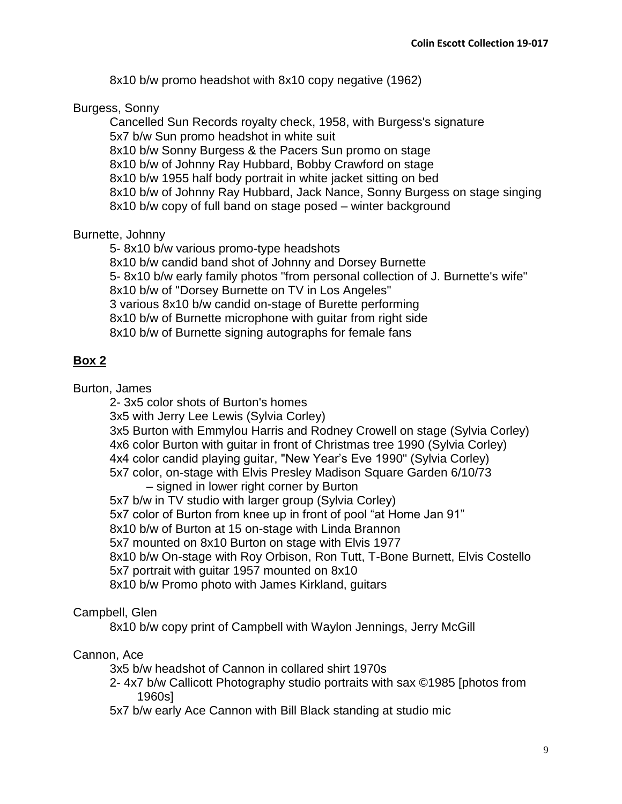8x10 b/w promo headshot with 8x10 copy negative (1962)

## Burgess, Sonny

Cancelled Sun Records royalty check, 1958, with Burgess's signature 5x7 b/w Sun promo headshot in white suit 8x10 b/w Sonny Burgess & the Pacers Sun promo on stage 8x10 b/w of Johnny Ray Hubbard, Bobby Crawford on stage 8x10 b/w 1955 half body portrait in white jacket sitting on bed 8x10 b/w of Johnny Ray Hubbard, Jack Nance, Sonny Burgess on stage singing 8x10 b/w copy of full band on stage posed – winter background

# Burnette, Johnny

5- 8x10 b/w various promo-type headshots

8x10 b/w candid band shot of Johnny and Dorsey Burnette

5- 8x10 b/w early family photos "from personal collection of J. Burnette's wife"

8x10 b/w of "Dorsey Burnette on TV in Los Angeles"

3 various 8x10 b/w candid on-stage of Burette performing

8x10 b/w of Burnette microphone with guitar from right side

8x10 b/w of Burnette signing autographs for female fans

# **Box 2**

Burton, James

2- 3x5 color shots of Burton's homes

3x5 with Jerry Lee Lewis (Sylvia Corley)

3x5 Burton with Emmylou Harris and Rodney Crowell on stage (Sylvia Corley) 4x6 color Burton with guitar in front of Christmas tree 1990 (Sylvia Corley) 4x4 color candid playing guitar, "New Year's Eve 1990" (Sylvia Corley)

5x7 color, on-stage with Elvis Presley Madison Square Garden 6/10/73 – signed in lower right corner by Burton

5x7 b/w in TV studio with larger group (Sylvia Corley) 5x7 color of Burton from knee up in front of pool "at Home Jan 91" 8x10 b/w of Burton at 15 on-stage with Linda Brannon 5x7 mounted on 8x10 Burton on stage with Elvis 1977 8x10 b/w On-stage with Roy Orbison, Ron Tutt, T-Bone Burnett, Elvis Costello 5x7 portrait with guitar 1957 mounted on 8x10 8x10 b/w Promo photo with James Kirkland, guitars

# Campbell, Glen

8x10 b/w copy print of Campbell with Waylon Jennings, Jerry McGill

# Cannon, Ace

3x5 b/w headshot of Cannon in collared shirt 1970s

2- 4x7 b/w Callicott Photography studio portraits with sax ©1985 [photos from 1960s]

5x7 b/w early Ace Cannon with Bill Black standing at studio mic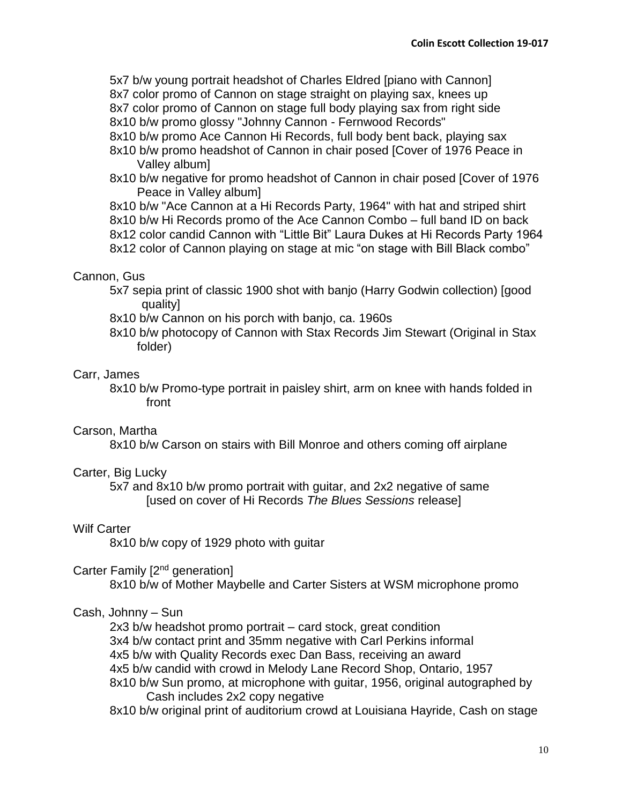5x7 b/w young portrait headshot of Charles Eldred [piano with Cannon] 8x7 color promo of Cannon on stage straight on playing sax, knees up 8x7 color promo of Cannon on stage full body playing sax from right side

8x10 b/w promo glossy "Johnny Cannon - Fernwood Records"

- 8x10 b/w promo Ace Cannon Hi Records, full body bent back, playing sax
- 8x10 b/w promo headshot of Cannon in chair posed [Cover of 1976 Peace in Valley album]
- 8x10 b/w negative for promo headshot of Cannon in chair posed [Cover of 1976 Peace in Valley album]

8x10 b/w "Ace Cannon at a Hi Records Party, 1964" with hat and striped shirt 8x10 b/w Hi Records promo of the Ace Cannon Combo – full band ID on back 8x12 color candid Cannon with "Little Bit" Laura Dukes at Hi Records Party 1964 8x12 color of Cannon playing on stage at mic "on stage with Bill Black combo"

## Cannon, Gus

- 5x7 sepia print of classic 1900 shot with banjo (Harry Godwin collection) [good quality]
- 8x10 b/w Cannon on his porch with banjo, ca. 1960s
- 8x10 b/w photocopy of Cannon with Stax Records Jim Stewart (Original in Stax folder)

## Carr, James

8x10 b/w Promo-type portrait in paisley shirt, arm on knee with hands folded in front

# Carson, Martha

8x10 b/w Carson on stairs with Bill Monroe and others coming off airplane

### Carter, Big Lucky

5x7 and 8x10 b/w promo portrait with guitar, and 2x2 negative of same [used on cover of Hi Records *The Blues Sessions* release]

### Wilf Carter

8x10 b/w copy of 1929 photo with guitar

### Carter Family [2<sup>nd</sup> generation]

8x10 b/w of Mother Maybelle and Carter Sisters at WSM microphone promo

### Cash, Johnny – Sun

2x3 b/w headshot promo portrait – card stock, great condition 3x4 b/w contact print and 35mm negative with Carl Perkins informal 4x5 b/w with Quality Records exec Dan Bass, receiving an award 4x5 b/w candid with crowd in Melody Lane Record Shop, Ontario, 1957 8x10 b/w Sun promo, at microphone with guitar, 1956, original autographed by Cash includes 2x2 copy negative

8x10 b/w original print of auditorium crowd at Louisiana Hayride, Cash on stage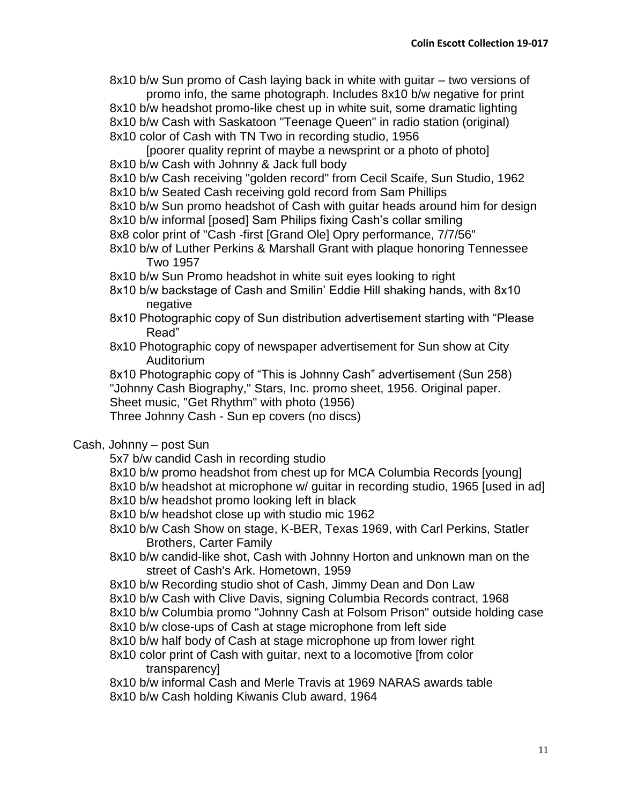8x10 b/w Sun promo of Cash laying back in white with guitar – two versions of promo info, the same photograph. Includes 8x10 b/w negative for print

8x10 b/w headshot promo-like chest up in white suit, some dramatic lighting 8x10 b/w Cash with Saskatoon "Teenage Queen" in radio station (original) 8x10 color of Cash with TN Two in recording studio, 1956

[poorer quality reprint of maybe a newsprint or a photo of photo] 8x10 b/w Cash with Johnny & Jack full body

8x10 b/w Cash receiving "golden record" from Cecil Scaife, Sun Studio, 1962 8x10 b/w Seated Cash receiving gold record from Sam Phillips

8x10 b/w Sun promo headshot of Cash with guitar heads around him for design 8x10 b/w informal [posed] Sam Philips fixing Cash's collar smiling

- 8x8 color print of "Cash -first [Grand Ole] Opry performance, 7/7/56"
- 8x10 b/w of Luther Perkins & Marshall Grant with plaque honoring Tennessee Two 1957

8x10 b/w Sun Promo headshot in white suit eyes looking to right

- 8x10 b/w backstage of Cash and Smilin' Eddie Hill shaking hands, with 8x10 negative
- 8x10 Photographic copy of Sun distribution advertisement starting with "Please Read"
- 8x10 Photographic copy of newspaper advertisement for Sun show at City Auditorium

8x10 Photographic copy of "This is Johnny Cash" advertisement (Sun 258) "Johnny Cash Biography," Stars, Inc. promo sheet, 1956. Original paper. Sheet music, "Get Rhythm" with photo (1956) Three Johnny Cash - Sun ep covers (no discs)

# Cash, Johnny – post Sun

5x7 b/w candid Cash in recording studio

- 8x10 b/w promo headshot from chest up for MCA Columbia Records [young] 8x10 b/w headshot at microphone w/ guitar in recording studio, 1965 [used in ad]
- 8x10 b/w headshot promo looking left in black
- 8x10 b/w headshot close up with studio mic 1962
- 8x10 b/w Cash Show on stage, K-BER, Texas 1969, with Carl Perkins, Statler Brothers, Carter Family
- 8x10 b/w candid-like shot, Cash with Johnny Horton and unknown man on the street of Cash's Ark. Hometown, 1959
- 8x10 b/w Recording studio shot of Cash, Jimmy Dean and Don Law
- 8x10 b/w Cash with Clive Davis, signing Columbia Records contract, 1968
- 8x10 b/w Columbia promo "Johnny Cash at Folsom Prison" outside holding case
- 8x10 b/w close-ups of Cash at stage microphone from left side
- 8x10 b/w half body of Cash at stage microphone up from lower right
- 8x10 color print of Cash with guitar, next to a locomotive [from color transparency]

8x10 b/w informal Cash and Merle Travis at 1969 NARAS awards table

8x10 b/w Cash holding Kiwanis Club award, 1964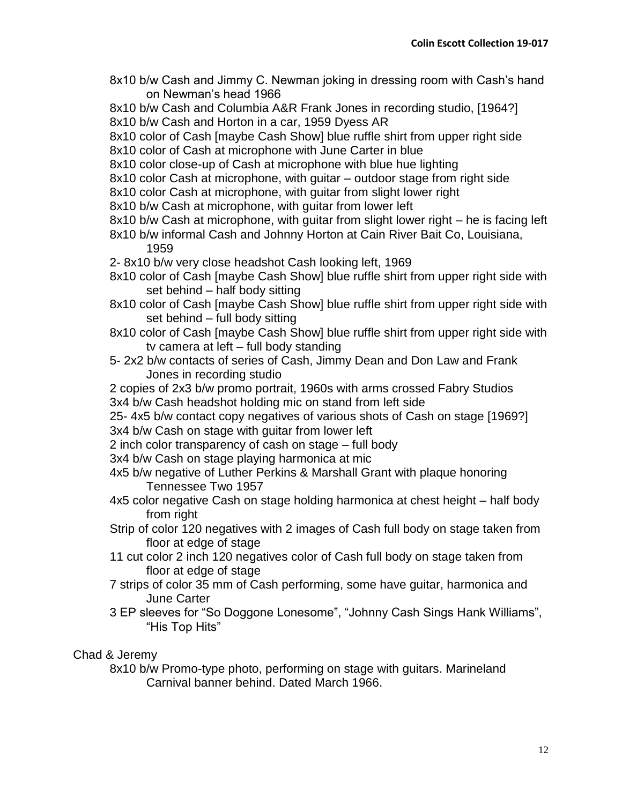8x10 b/w Cash and Jimmy C. Newman joking in dressing room with Cash's hand on Newman's head 1966

8x10 b/w Cash and Columbia A&R Frank Jones in recording studio, [1964?] 8x10 b/w Cash and Horton in a car, 1959 Dyess AR

8x10 color of Cash [maybe Cash Show] blue ruffle shirt from upper right side

8x10 color of Cash at microphone with June Carter in blue

8x10 color close-up of Cash at microphone with blue hue lighting

8x10 color Cash at microphone, with guitar – outdoor stage from right side

8x10 color Cash at microphone, with guitar from slight lower right

- 8x10 b/w Cash at microphone, with guitar from lower left
- 8x10 b/w Cash at microphone, with guitar from slight lower right he is facing left
- 8x10 b/w informal Cash and Johnny Horton at Cain River Bait Co, Louisiana, 1959

2- 8x10 b/w very close headshot Cash looking left, 1969

- 8x10 color of Cash [maybe Cash Show] blue ruffle shirt from upper right side with set behind – half body sitting
- 8x10 color of Cash [maybe Cash Show] blue ruffle shirt from upper right side with set behind – full body sitting
- 8x10 color of Cash [maybe Cash Show] blue ruffle shirt from upper right side with tv camera at left – full body standing
- 5- 2x2 b/w contacts of series of Cash, Jimmy Dean and Don Law and Frank Jones in recording studio

2 copies of 2x3 b/w promo portrait, 1960s with arms crossed Fabry Studios 3x4 b/w Cash headshot holding mic on stand from left side

25- 4x5 b/w contact copy negatives of various shots of Cash on stage [1969?] 3x4 b/w Cash on stage with guitar from lower left

2 inch color transparency of cash on stage – full body

3x4 b/w Cash on stage playing harmonica at mic

4x5 b/w negative of Luther Perkins & Marshall Grant with plaque honoring Tennessee Two 1957

- 4x5 color negative Cash on stage holding harmonica at chest height half body from right
- Strip of color 120 negatives with 2 images of Cash full body on stage taken from floor at edge of stage
- 11 cut color 2 inch 120 negatives color of Cash full body on stage taken from floor at edge of stage
- 7 strips of color 35 mm of Cash performing, some have guitar, harmonica and June Carter
- 3 EP sleeves for "So Doggone Lonesome", "Johnny Cash Sings Hank Williams", "His Top Hits"

# Chad & Jeremy

8x10 b/w Promo-type photo, performing on stage with guitars. Marineland Carnival banner behind. Dated March 1966.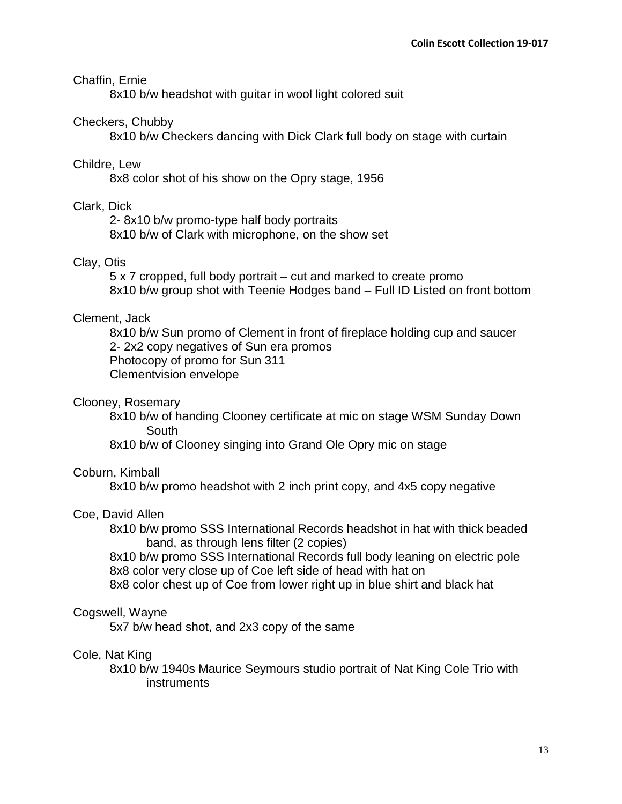## Chaffin, Ernie

8x10 b/w headshot with guitar in wool light colored suit

### Checkers, Chubby

8x10 b/w Checkers dancing with Dick Clark full body on stage with curtain

### Childre, Lew

8x8 color shot of his show on the Opry stage, 1956

### Clark, Dick

2- 8x10 b/w promo-type half body portraits 8x10 b/w of Clark with microphone, on the show set

## Clay, Otis

5 x 7 cropped, full body portrait – cut and marked to create promo 8x10 b/w group shot with Teenie Hodges band – Full ID Listed on front bottom

### Clement, Jack

8x10 b/w Sun promo of Clement in front of fireplace holding cup and saucer 2- 2x2 copy negatives of Sun era promos Photocopy of promo for Sun 311 Clementvision envelope

### Clooney, Rosemary

8x10 b/w of handing Clooney certificate at mic on stage WSM Sunday Down **South** 

8x10 b/w of Clooney singing into Grand Ole Opry mic on stage

### Coburn, Kimball

8x10 b/w promo headshot with 2 inch print copy, and 4x5 copy negative

#### Coe, David Allen

8x10 b/w promo SSS International Records headshot in hat with thick beaded band, as through lens filter (2 copies)

8x10 b/w promo SSS International Records full body leaning on electric pole 8x8 color very close up of Coe left side of head with hat on

8x8 color chest up of Coe from lower right up in blue shirt and black hat

#### Cogswell, Wayne

5x7 b/w head shot, and 2x3 copy of the same

#### Cole, Nat King

8x10 b/w 1940s Maurice Seymours studio portrait of Nat King Cole Trio with instruments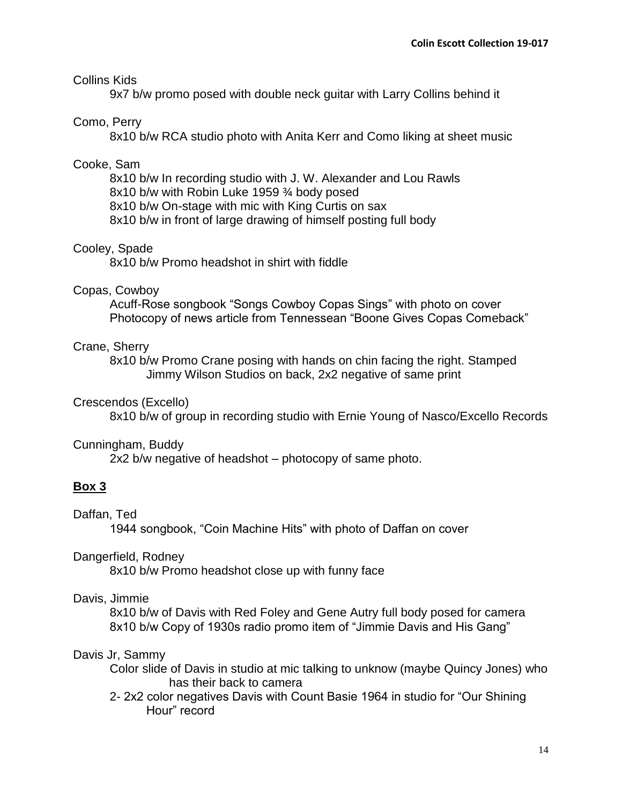### Collins Kids

9x7 b/w promo posed with double neck guitar with Larry Collins behind it

# Como, Perry

8x10 b/w RCA studio photo with Anita Kerr and Como liking at sheet music

### Cooke, Sam

8x10 b/w In recording studio with J. W. Alexander and Lou Rawls 8x10 b/w with Robin Luke 1959 ¾ body posed 8x10 b/w On-stage with mic with King Curtis on sax

8x10 b/w in front of large drawing of himself posting full body

### Cooley, Spade

8x10 b/w Promo headshot in shirt with fiddle

### Copas, Cowboy

Acuff-Rose songbook "Songs Cowboy Copas Sings" with photo on cover Photocopy of news article from Tennessean "Boone Gives Copas Comeback"

### Crane, Sherry

8x10 b/w Promo Crane posing with hands on chin facing the right. Stamped Jimmy Wilson Studios on back, 2x2 negative of same print

### Crescendos (Excello)

8x10 b/w of group in recording studio with Ernie Young of Nasco/Excello Records

#### Cunningham, Buddy

2x2 b/w negative of headshot – photocopy of same photo.

### **Box 3**

## Daffan, Ted

1944 songbook, "Coin Machine Hits" with photo of Daffan on cover

### Dangerfield, Rodney

8x10 b/w Promo headshot close up with funny face

### Davis, Jimmie

8x10 b/w of Davis with Red Foley and Gene Autry full body posed for camera 8x10 b/w Copy of 1930s radio promo item of "Jimmie Davis and His Gang"

### Davis Jr, Sammy

- Color slide of Davis in studio at mic talking to unknow (maybe Quincy Jones) who has their back to camera
- 2- 2x2 color negatives Davis with Count Basie 1964 in studio for "Our Shining Hour" record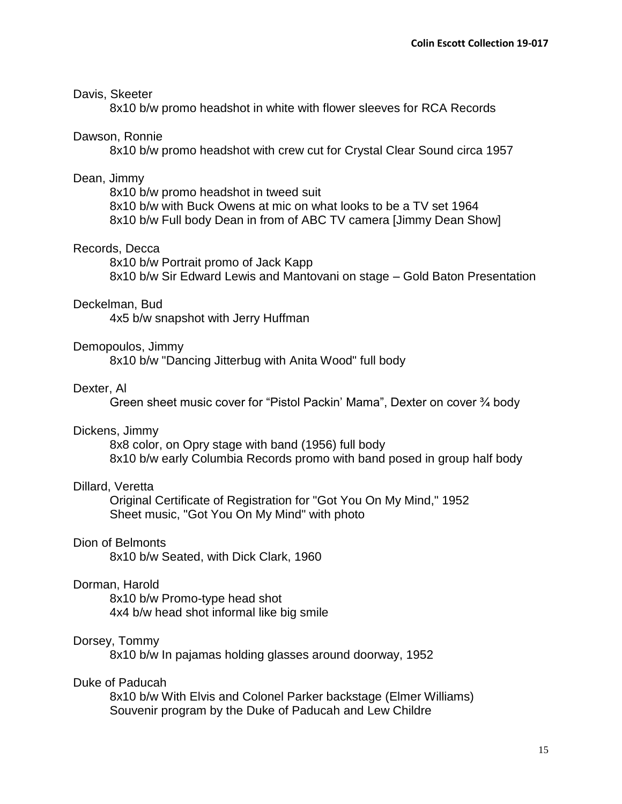#### Davis, Skeeter

8x10 b/w promo headshot in white with flower sleeves for RCA Records

#### Dawson, Ronnie

8x10 b/w promo headshot with crew cut for Crystal Clear Sound circa 1957

### Dean, Jimmy

8x10 b/w promo headshot in tweed suit 8x10 b/w with Buck Owens at mic on what looks to be a TV set 1964 8x10 b/w Full body Dean in from of ABC TV camera [Jimmy Dean Show]

### Records, Decca

8x10 b/w Portrait promo of Jack Kapp 8x10 b/w Sir Edward Lewis and Mantovani on stage – Gold Baton Presentation

#### Deckelman, Bud

4x5 b/w snapshot with Jerry Huffman

#### Demopoulos, Jimmy

8x10 b/w "Dancing Jitterbug with Anita Wood" full body

#### Dexter, Al

Green sheet music cover for "Pistol Packin' Mama", Dexter on cover ¾ body

#### Dickens, Jimmy

8x8 color, on Opry stage with band (1956) full body 8x10 b/w early Columbia Records promo with band posed in group half body

### Dillard, Veretta

Original Certificate of Registration for "Got You On My Mind," 1952 Sheet music, "Got You On My Mind" with photo

## Dion of Belmonts

8x10 b/w Seated, with Dick Clark, 1960

### Dorman, Harold

8x10 b/w Promo-type head shot 4x4 b/w head shot informal like big smile

#### Dorsey, Tommy

8x10 b/w In pajamas holding glasses around doorway, 1952

### Duke of Paducah

8x10 b/w With Elvis and Colonel Parker backstage (Elmer Williams) Souvenir program by the Duke of Paducah and Lew Childre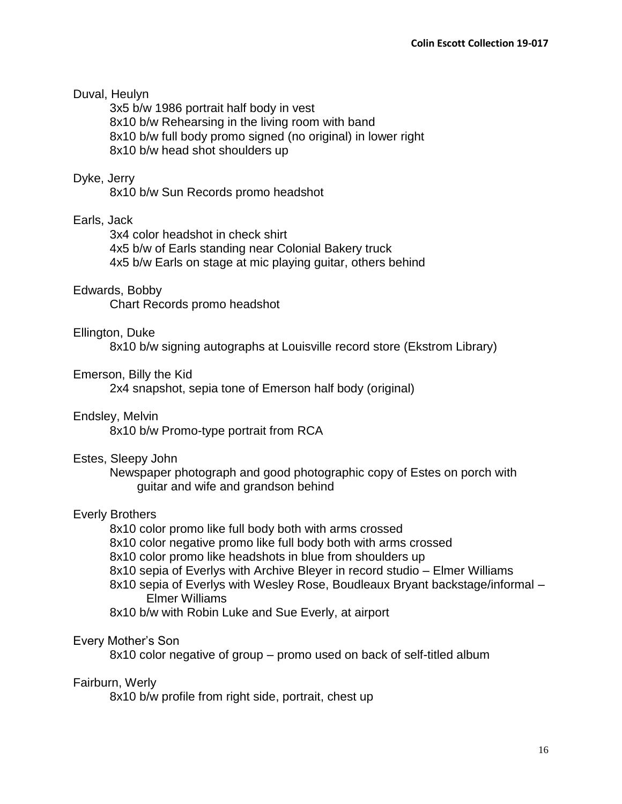## Duval, Heulyn

3x5 b/w 1986 portrait half body in vest 8x10 b/w Rehearsing in the living room with band 8x10 b/w full body promo signed (no original) in lower right 8x10 b/w head shot shoulders up

### Dyke, Jerry

8x10 b/w Sun Records promo headshot

## Earls, Jack

3x4 color headshot in check shirt 4x5 b/w of Earls standing near Colonial Bakery truck 4x5 b/w Earls on stage at mic playing guitar, others behind

## Edwards, Bobby

Chart Records promo headshot

### Ellington, Duke

8x10 b/w signing autographs at Louisville record store (Ekstrom Library)

## Emerson, Billy the Kid

2x4 snapshot, sepia tone of Emerson half body (original)

### Endsley, Melvin

8x10 b/w Promo-type portrait from RCA

### Estes, Sleepy John

Newspaper photograph and good photographic copy of Estes on porch with guitar and wife and grandson behind

### Everly Brothers

8x10 color promo like full body both with arms crossed

- 8x10 color negative promo like full body both with arms crossed
- 8x10 color promo like headshots in blue from shoulders up
- 8x10 sepia of Everlys with Archive Bleyer in record studio Elmer Williams
- 8x10 sepia of Everlys with Wesley Rose, Boudleaux Bryant backstage/informal Elmer Williams
- 8x10 b/w with Robin Luke and Sue Everly, at airport

# Every Mother's Son

8x10 color negative of group – promo used on back of self-titled album

### Fairburn, Werly

8x10 b/w profile from right side, portrait, chest up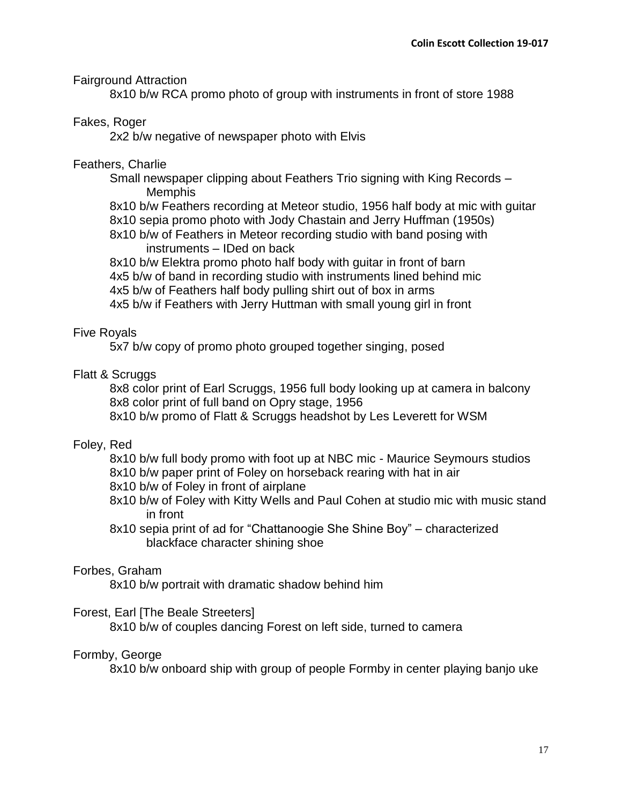## Fairground Attraction

8x10 b/w RCA promo photo of group with instruments in front of store 1988

# Fakes, Roger

2x2 b/w negative of newspaper photo with Elvis

## Feathers, Charlie

Small newspaper clipping about Feathers Trio signing with King Records – Memphis

8x10 b/w Feathers recording at Meteor studio, 1956 half body at mic with guitar 8x10 sepia promo photo with Jody Chastain and Jerry Huffman (1950s)

8x10 b/w of Feathers in Meteor recording studio with band posing with instruments – IDed on back

8x10 b/w Elektra promo photo half body with guitar in front of barn 4x5 b/w of band in recording studio with instruments lined behind mic 4x5 b/w of Feathers half body pulling shirt out of box in arms 4x5 b/w if Feathers with Jerry Huttman with small young girl in front

## Five Royals

5x7 b/w copy of promo photo grouped together singing, posed

## Flatt & Scruggs

8x8 color print of Earl Scruggs, 1956 full body looking up at camera in balcony 8x8 color print of full band on Opry stage, 1956 8x10 b/w promo of Flatt & Scruggs headshot by Les Leverett for WSM

# Foley, Red

8x10 b/w full body promo with foot up at NBC mic - Maurice Seymours studios 8x10 b/w paper print of Foley on horseback rearing with hat in air

- 
- 8x10 b/w of Foley in front of airplane
- 8x10 b/w of Foley with Kitty Wells and Paul Cohen at studio mic with music stand in front
- 8x10 sepia print of ad for "Chattanoogie She Shine Boy" characterized blackface character shining shoe

### Forbes, Graham

8x10 b/w portrait with dramatic shadow behind him

### Forest, Earl [The Beale Streeters]

8x10 b/w of couples dancing Forest on left side, turned to camera

### Formby, George

8x10 b/w onboard ship with group of people Formby in center playing banjo uke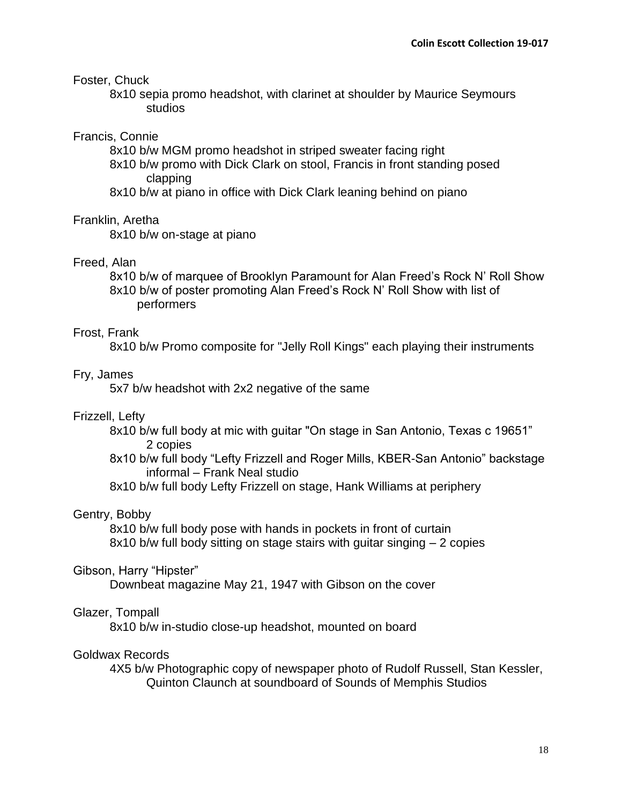## Foster, Chuck

8x10 sepia promo headshot, with clarinet at shoulder by Maurice Seymours studios

## Francis, Connie

8x10 b/w MGM promo headshot in striped sweater facing right

8x10 b/w promo with Dick Clark on stool, Francis in front standing posed clapping

8x10 b/w at piano in office with Dick Clark leaning behind on piano

# Franklin, Aretha

8x10 b/w on-stage at piano

# Freed, Alan

8x10 b/w of marquee of Brooklyn Paramount for Alan Freed's Rock N' Roll Show 8x10 b/w of poster promoting Alan Freed's Rock N' Roll Show with list of performers

## Frost, Frank

8x10 b/w Promo composite for "Jelly Roll Kings" each playing their instruments

## Fry, James

5x7 b/w headshot with 2x2 negative of the same

# Frizzell, Lefty

8x10 b/w full body at mic with guitar "On stage in San Antonio, Texas c 19651" 2 copies

8x10 b/w full body "Lefty Frizzell and Roger Mills, KBER-San Antonio" backstage informal – Frank Neal studio

8x10 b/w full body Lefty Frizzell on stage, Hank Williams at periphery

# Gentry, Bobby

8x10 b/w full body pose with hands in pockets in front of curtain 8x10 b/w full body sitting on stage stairs with guitar singing – 2 copies

### Gibson, Harry "Hipster"

Downbeat magazine May 21, 1947 with Gibson on the cover

### Glazer, Tompall

8x10 b/w in-studio close-up headshot, mounted on board

### Goldwax Records

4X5 b/w Photographic copy of newspaper photo of Rudolf Russell, Stan Kessler, Quinton Claunch at soundboard of Sounds of Memphis Studios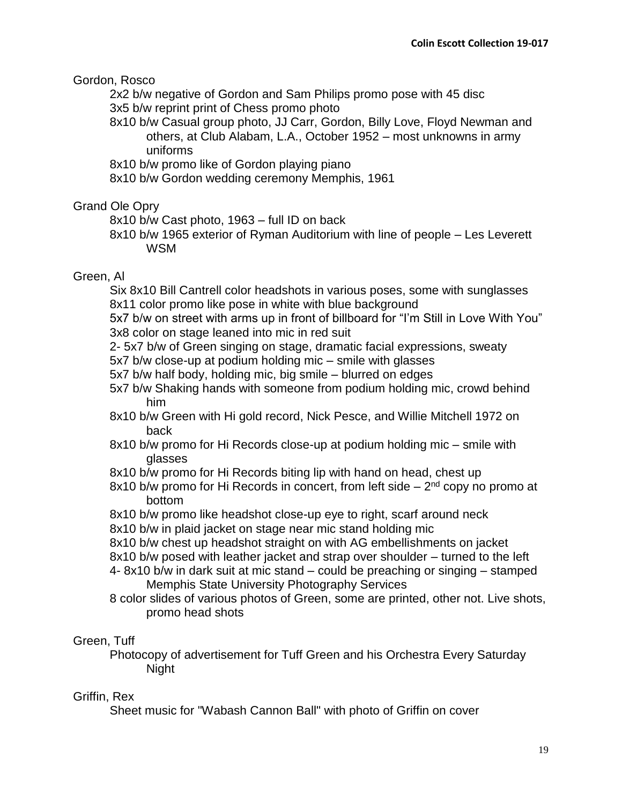Gordon, Rosco

2x2 b/w negative of Gordon and Sam Philips promo pose with 45 disc 3x5 b/w reprint print of Chess promo photo

- 8x10 b/w Casual group photo, JJ Carr, Gordon, Billy Love, Floyd Newman and others, at Club Alabam, L.A., October 1952 – most unknowns in army uniforms
- 8x10 b/w promo like of Gordon playing piano
- 8x10 b/w Gordon wedding ceremony Memphis, 1961

## Grand Ole Opry

8x10 b/w Cast photo, 1963 – full ID on back

8x10 b/w 1965 exterior of Ryman Auditorium with line of people – Les Leverett WSM

## Green, Al

Six 8x10 Bill Cantrell color headshots in various poses, some with sunglasses 8x11 color promo like pose in white with blue background

5x7 b/w on street with arms up in front of billboard for "I'm Still in Love With You" 3x8 color on stage leaned into mic in red suit

- 2- 5x7 b/w of Green singing on stage, dramatic facial expressions, sweaty
- 5x7 b/w close-up at podium holding mic smile with glasses
- 5x7 b/w half body, holding mic, big smile blurred on edges
- 5x7 b/w Shaking hands with someone from podium holding mic, crowd behind him
- 8x10 b/w Green with Hi gold record, Nick Pesce, and Willie Mitchell 1972 on back
- 8x10 b/w promo for Hi Records close-up at podium holding mic smile with glasses
- 8x10 b/w promo for Hi Records biting lip with hand on head, chest up
- 8x10 b/w promo for Hi Records in concert, from left side  $-2<sup>nd</sup>$  copy no promo at bottom
- 8x10 b/w promo like headshot close-up eye to right, scarf around neck
- 8x10 b/w in plaid jacket on stage near mic stand holding mic
- 8x10 b/w chest up headshot straight on with AG embellishments on jacket
- 8x10 b/w posed with leather jacket and strap over shoulder turned to the left
- 4- 8x10 b/w in dark suit at mic stand could be preaching or singing stamped Memphis State University Photography Services
- 8 color slides of various photos of Green, some are printed, other not. Live shots, promo head shots

# Green, Tuff

Photocopy of advertisement for Tuff Green and his Orchestra Every Saturday Night

# Griffin, Rex

Sheet music for "Wabash Cannon Ball" with photo of Griffin on cover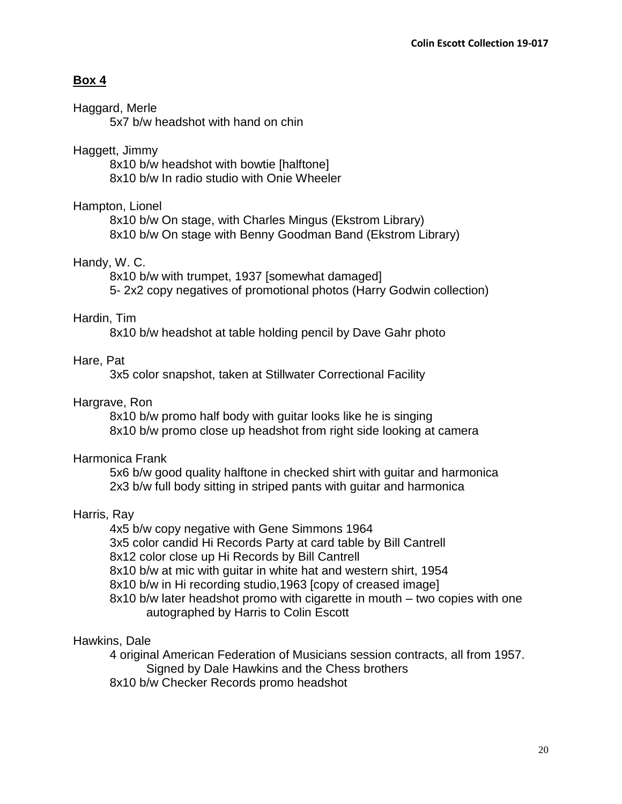# **Box 4**

## Haggard, Merle

5x7 b/w headshot with hand on chin

# Haggett, Jimmy

8x10 b/w headshot with bowtie [halftone] 8x10 b/w In radio studio with Onie Wheeler

# Hampton, Lionel

8x10 b/w On stage, with Charles Mingus (Ekstrom Library) 8x10 b/w On stage with Benny Goodman Band (Ekstrom Library)

# Handy, W. C.

8x10 b/w with trumpet, 1937 [somewhat damaged] 5- 2x2 copy negatives of promotional photos (Harry Godwin collection)

# Hardin, Tim

8x10 b/w headshot at table holding pencil by Dave Gahr photo

# Hare, Pat

3x5 color snapshot, taken at Stillwater Correctional Facility

# Hargrave, Ron

8x10 b/w promo half body with guitar looks like he is singing 8x10 b/w promo close up headshot from right side looking at camera

# Harmonica Frank

5x6 b/w good quality halftone in checked shirt with guitar and harmonica 2x3 b/w full body sitting in striped pants with guitar and harmonica

# Harris, Ray

4x5 b/w copy negative with Gene Simmons 1964

3x5 color candid Hi Records Party at card table by Bill Cantrell

8x12 color close up Hi Records by Bill Cantrell

8x10 b/w at mic with guitar in white hat and western shirt, 1954

8x10 b/w in Hi recording studio,1963 [copy of creased image]

8x10 b/w later headshot promo with cigarette in mouth – two copies with one autographed by Harris to Colin Escott

# Hawkins, Dale

4 original American Federation of Musicians session contracts, all from 1957. Signed by Dale Hawkins and the Chess brothers 8x10 b/w Checker Records promo headshot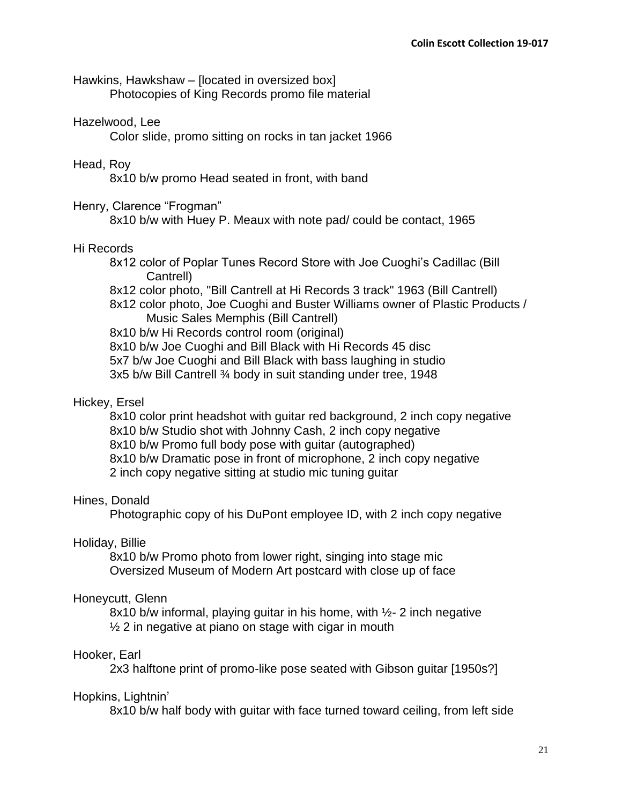Hawkins, Hawkshaw – [located in oversized box] Photocopies of King Records promo file material

## Hazelwood, Lee

Color slide, promo sitting on rocks in tan jacket 1966

# Head, Roy

8x10 b/w promo Head seated in front, with band

## Henry, Clarence "Frogman"

8x10 b/w with Huey P. Meaux with note pad/ could be contact, 1965

## Hi Records

8x12 color of Poplar Tunes Record Store with Joe Cuoghi's Cadillac (Bill Cantrell)

8x12 color photo, "Bill Cantrell at Hi Records 3 track" 1963 (Bill Cantrell)

8x12 color photo, Joe Cuoghi and Buster Williams owner of Plastic Products / Music Sales Memphis (Bill Cantrell)

8x10 b/w Hi Records control room (original)

8x10 b/w Joe Cuoghi and Bill Black with Hi Records 45 disc

5x7 b/w Joe Cuoghi and Bill Black with bass laughing in studio

3x5 b/w Bill Cantrell ¾ body in suit standing under tree, 1948

# Hickey, Ersel

8x10 color print headshot with guitar red background, 2 inch copy negative 8x10 b/w Studio shot with Johnny Cash, 2 inch copy negative 8x10 b/w Promo full body pose with guitar (autographed) 8x10 b/w Dramatic pose in front of microphone, 2 inch copy negative 2 inch copy negative sitting at studio mic tuning guitar

# Hines, Donald

Photographic copy of his DuPont employee ID, with 2 inch copy negative

### Holiday, Billie

8x10 b/w Promo photo from lower right, singing into stage mic Oversized Museum of Modern Art postcard with close up of face

### Honeycutt, Glenn

8x10 b/w informal, playing guitar in his home, with  $\frac{1}{2}$ - 2 inch negative  $\frac{1}{2}$  2 in negative at piano on stage with cigar in mouth

# Hooker, Earl

2x3 halftone print of promo-like pose seated with Gibson guitar [1950s?]

### Hopkins, Lightnin'

8x10 b/w half body with guitar with face turned toward ceiling, from left side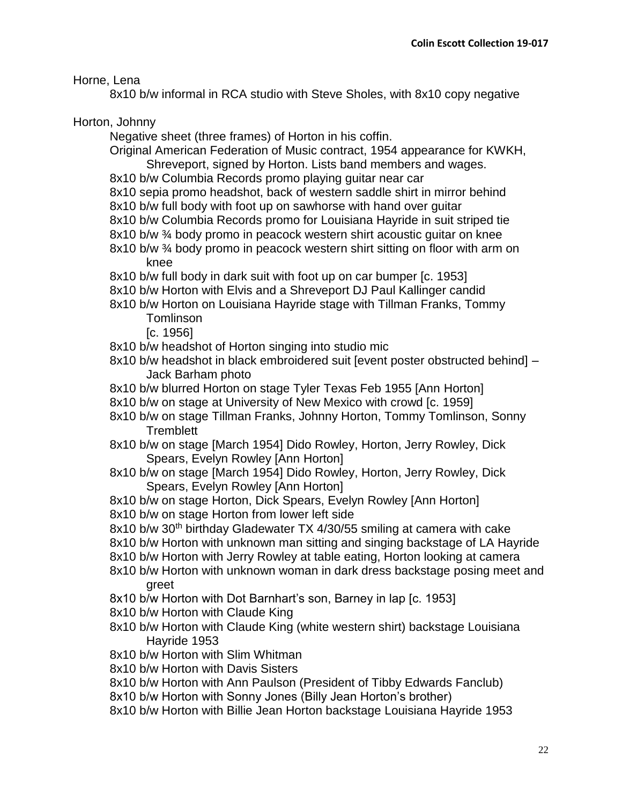Horne, Lena

8x10 b/w informal in RCA studio with Steve Sholes, with 8x10 copy negative

Horton, Johnny

Negative sheet (three frames) of Horton in his coffin.

Original American Federation of Music contract, 1954 appearance for KWKH, Shreveport, signed by Horton. Lists band members and wages.

- 8x10 b/w Columbia Records promo playing guitar near car
- 8x10 sepia promo headshot, back of western saddle shirt in mirror behind
- 8x10 b/w full body with foot up on sawhorse with hand over guitar
- 8x10 b/w Columbia Records promo for Louisiana Hayride in suit striped tie
- 8x10 b/w ¾ body promo in peacock western shirt acoustic guitar on knee
- 8x10 b/w ¾ body promo in peacock western shirt sitting on floor with arm on knee
- 8x10 b/w full body in dark suit with foot up on car bumper [c. 1953]
- 8x10 b/w Horton with Elvis and a Shreveport DJ Paul Kallinger candid
- 8x10 b/w Horton on Louisiana Hayride stage with Tillman Franks, Tommy **Tomlinson**

[c. 1956]

- 8x10 b/w headshot of Horton singing into studio mic
- 8x10 b/w headshot in black embroidered suit [event poster obstructed behind] Jack Barham photo
- 8x10 b/w blurred Horton on stage Tyler Texas Feb 1955 [Ann Horton]
- 8x10 b/w on stage at University of New Mexico with crowd [c. 1959]
- 8x10 b/w on stage Tillman Franks, Johnny Horton, Tommy Tomlinson, Sonny **Tremblett**
- 8x10 b/w on stage [March 1954] Dido Rowley, Horton, Jerry Rowley, Dick Spears, Evelyn Rowley [Ann Horton]
- 8x10 b/w on stage [March 1954] Dido Rowley, Horton, Jerry Rowley, Dick Spears, Evelyn Rowley [Ann Horton]
- 8x10 b/w on stage Horton, Dick Spears, Evelyn Rowley [Ann Horton]
- 8x10 b/w on stage Horton from lower left side
- 8x10 b/w 30<sup>th</sup> birthday Gladewater TX 4/30/55 smiling at camera with cake
- 8x10 b/w Horton with unknown man sitting and singing backstage of LA Hayride
- 8x10 b/w Horton with Jerry Rowley at table eating, Horton looking at camera
- 8x10 b/w Horton with unknown woman in dark dress backstage posing meet and greet
- 8x10 b/w Horton with Dot Barnhart's son, Barney in lap [c. 1953]
- 8x10 b/w Horton with Claude King
- 8x10 b/w Horton with Claude King (white western shirt) backstage Louisiana Hayride 1953
- 8x10 b/w Horton with Slim Whitman
- 8x10 b/w Horton with Davis Sisters
- 8x10 b/w Horton with Ann Paulson (President of Tibby Edwards Fanclub)
- 8x10 b/w Horton with Sonny Jones (Billy Jean Horton's brother)
- 8x10 b/w Horton with Billie Jean Horton backstage Louisiana Hayride 1953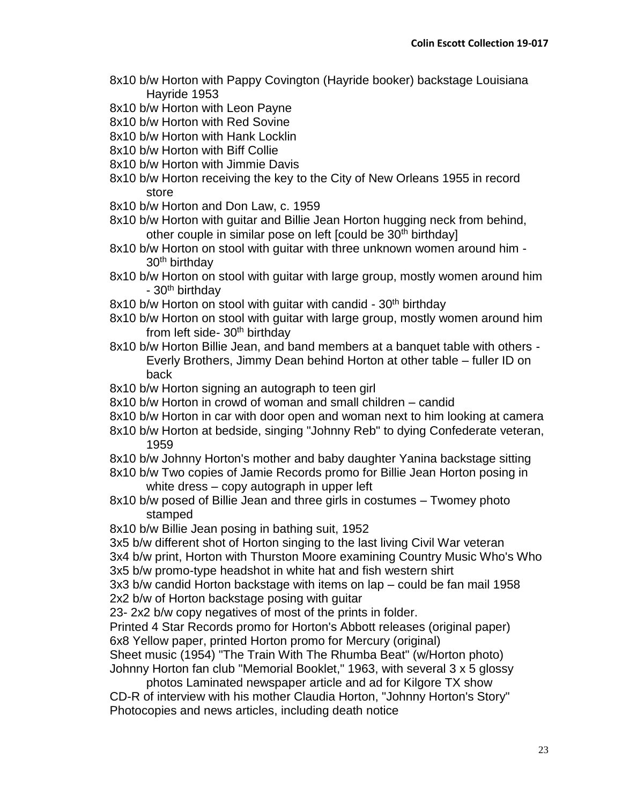- 8x10 b/w Horton with Pappy Covington (Hayride booker) backstage Louisiana Hayride 1953
- 8x10 b/w Horton with Leon Payne
- 8x10 b/w Horton with Red Sovine
- 8x10 b/w Horton with Hank Locklin
- 8x10 b/w Horton with Biff Collie
- 8x10 b/w Horton with Jimmie Davis
- 8x10 b/w Horton receiving the key to the City of New Orleans 1955 in record store
- 8x10 b/w Horton and Don Law, c. 1959
- 8x10 b/w Horton with guitar and Billie Jean Horton hugging neck from behind, other couple in similar pose on left [could be 30<sup>th</sup> birthday]
- 8x10 b/w Horton on stool with guitar with three unknown women around him 30th birthday
- 8x10 b/w Horton on stool with guitar with large group, mostly women around him - 30<sup>th</sup> birthday
- 8x10 b/w Horton on stool with quitar with candid 30<sup>th</sup> birthday
- 8x10 b/w Horton on stool with guitar with large group, mostly women around him from left side- 30<sup>th</sup> birthday
- 8x10 b/w Horton Billie Jean, and band members at a banquet table with others Everly Brothers, Jimmy Dean behind Horton at other table – fuller ID on back
- 8x10 b/w Horton signing an autograph to teen girl
- 8x10 b/w Horton in crowd of woman and small children candid
- 8x10 b/w Horton in car with door open and woman next to him looking at camera
- 8x10 b/w Horton at bedside, singing "Johnny Reb" to dying Confederate veteran, 1959
- 8x10 b/w Johnny Horton's mother and baby daughter Yanina backstage sitting
- 8x10 b/w Two copies of Jamie Records promo for Billie Jean Horton posing in white dress – copy autograph in upper left
- 8x10 b/w posed of Billie Jean and three girls in costumes Twomey photo stamped
- 8x10 b/w Billie Jean posing in bathing suit, 1952
- 3x5 b/w different shot of Horton singing to the last living Civil War veteran

3x4 b/w print, Horton with Thurston Moore examining Country Music Who's Who 3x5 b/w promo-type headshot in white hat and fish western shirt

3x3 b/w candid Horton backstage with items on lap – could be fan mail 1958 2x2 b/w of Horton backstage posing with guitar

23- 2x2 b/w copy negatives of most of the prints in folder.

Printed 4 Star Records promo for Horton's Abbott releases (original paper) 6x8 Yellow paper, printed Horton promo for Mercury (original)

Sheet music (1954) "The Train With The Rhumba Beat" (w/Horton photo) Johnny Horton fan club "Memorial Booklet," 1963, with several 3 x 5 glossy

photos Laminated newspaper article and ad for Kilgore TX show CD-R of interview with his mother Claudia Horton, "Johnny Horton's Story" Photocopies and news articles, including death notice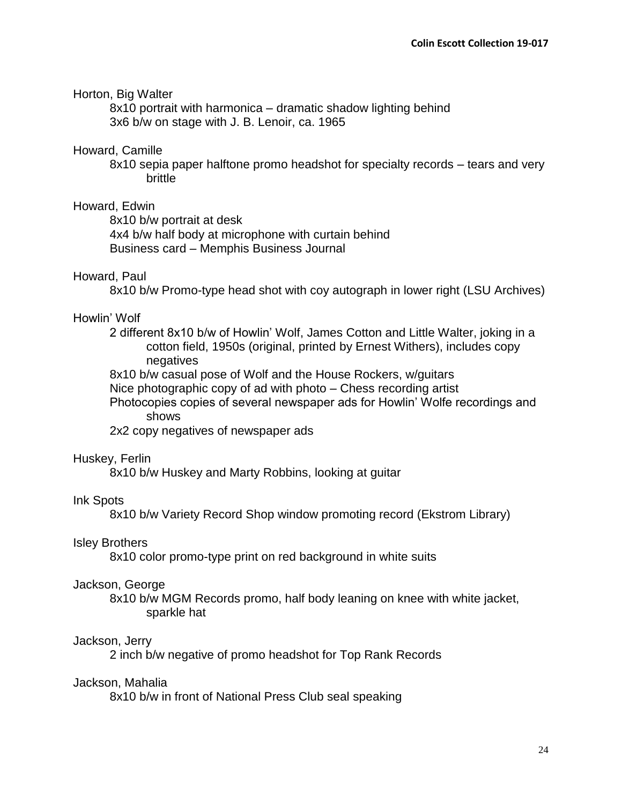### Horton, Big Walter

8x10 portrait with harmonica – dramatic shadow lighting behind 3x6 b/w on stage with J. B. Lenoir, ca. 1965

### Howard, Camille

8x10 sepia paper halftone promo headshot for specialty records – tears and very brittle

### Howard, Edwin

8x10 b/w portrait at desk

4x4 b/w half body at microphone with curtain behind Business card – Memphis Business Journal

#### Howard, Paul

8x10 b/w Promo-type head shot with coy autograph in lower right (LSU Archives)

### Howlin' Wolf

- 2 different 8x10 b/w of Howlin' Wolf, James Cotton and Little Walter, joking in a cotton field, 1950s (original, printed by Ernest Withers), includes copy negatives
- 8x10 b/w casual pose of Wolf and the House Rockers, w/guitars
- Nice photographic copy of ad with photo Chess recording artist
- Photocopies copies of several newspaper ads for Howlin' Wolfe recordings and shows

2x2 copy negatives of newspaper ads

#### Huskey, Ferlin

8x10 b/w Huskey and Marty Robbins, looking at guitar

#### Ink Spots

8x10 b/w Variety Record Shop window promoting record (Ekstrom Library)

### Isley Brothers

8x10 color promo-type print on red background in white suits

#### Jackson, George

8x10 b/w MGM Records promo, half body leaning on knee with white jacket, sparkle hat

#### Jackson, Jerry

2 inch b/w negative of promo headshot for Top Rank Records

#### Jackson, Mahalia

8x10 b/w in front of National Press Club seal speaking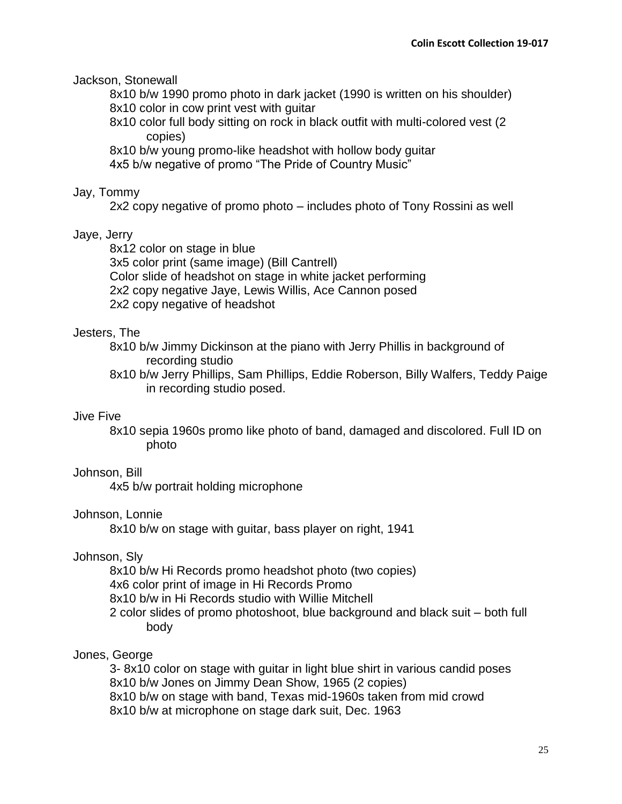Jackson, Stonewall

8x10 b/w 1990 promo photo in dark jacket (1990 is written on his shoulder) 8x10 color in cow print vest with guitar

8x10 color full body sitting on rock in black outfit with multi-colored vest (2 copies)

8x10 b/w young promo-like headshot with hollow body guitar

4x5 b/w negative of promo "The Pride of Country Music"

# Jay, Tommy

2x2 copy negative of promo photo – includes photo of Tony Rossini as well

# Jaye, Jerry

8x12 color on stage in blue 3x5 color print (same image) (Bill Cantrell) Color slide of headshot on stage in white jacket performing 2x2 copy negative Jaye, Lewis Willis, Ace Cannon posed 2x2 copy negative of headshot

# Jesters, The

8x10 b/w Jimmy Dickinson at the piano with Jerry Phillis in background of recording studio

8x10 b/w Jerry Phillips, Sam Phillips, Eddie Roberson, Billy Walfers, Teddy Paige in recording studio posed.

# Jive Five

8x10 sepia 1960s promo like photo of band, damaged and discolored. Full ID on photo

# Johnson, Bill

4x5 b/w portrait holding microphone

# Johnson, Lonnie

8x10 b/w on stage with guitar, bass player on right, 1941

# Johnson, Sly

8x10 b/w Hi Records promo headshot photo (two copies)

4x6 color print of image in Hi Records Promo

8x10 b/w in Hi Records studio with Willie Mitchell

2 color slides of promo photoshoot, blue background and black suit – both full body

# Jones, George

3- 8x10 color on stage with guitar in light blue shirt in various candid poses 8x10 b/w Jones on Jimmy Dean Show, 1965 (2 copies) 8x10 b/w on stage with band, Texas mid-1960s taken from mid crowd 8x10 b/w at microphone on stage dark suit, Dec. 1963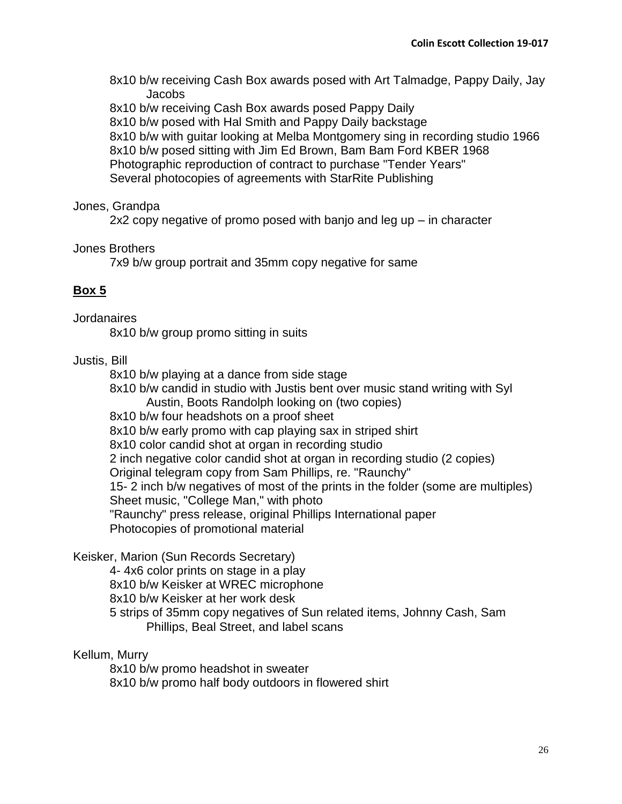8x10 b/w receiving Cash Box awards posed with Art Talmadge, Pappy Daily, Jay **Jacobs** 

8x10 b/w receiving Cash Box awards posed Pappy Daily

8x10 b/w posed with Hal Smith and Pappy Daily backstage

8x10 b/w with guitar looking at Melba Montgomery sing in recording studio 1966 8x10 b/w posed sitting with Jim Ed Brown, Bam Bam Ford KBER 1968 Photographic reproduction of contract to purchase "Tender Years" Several photocopies of agreements with StarRite Publishing

## Jones, Grandpa

2x2 copy negative of promo posed with banjo and leg up – in character

## Jones Brothers

7x9 b/w group portrait and 35mm copy negative for same

# **Box 5**

## **Jordanaires**

8x10 b/w group promo sitting in suits

# Justis, Bill

8x10 b/w playing at a dance from side stage

8x10 b/w candid in studio with Justis bent over music stand writing with Syl Austin, Boots Randolph looking on (two copies)

8x10 b/w four headshots on a proof sheet

8x10 b/w early promo with cap playing sax in striped shirt

8x10 color candid shot at organ in recording studio

2 inch negative color candid shot at organ in recording studio (2 copies)

Original telegram copy from Sam Phillips, re. "Raunchy"

15- 2 inch b/w negatives of most of the prints in the folder (some are multiples) Sheet music, "College Man," with photo

"Raunchy" press release, original Phillips International paper

Photocopies of promotional material

# Keisker, Marion (Sun Records Secretary)

4- 4x6 color prints on stage in a play

8x10 b/w Keisker at WREC microphone

8x10 b/w Keisker at her work desk

5 strips of 35mm copy negatives of Sun related items, Johnny Cash, Sam Phillips, Beal Street, and label scans

# Kellum, Murry

8x10 b/w promo headshot in sweater 8x10 b/w promo half body outdoors in flowered shirt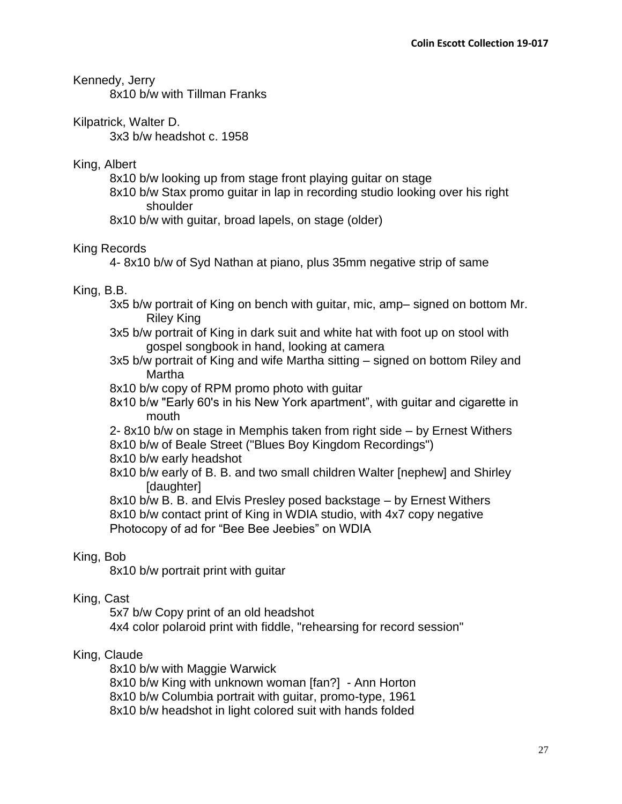Kennedy, Jerry

8x10 b/w with Tillman Franks

Kilpatrick, Walter D.

3x3 b/w headshot c. 1958

King, Albert

8x10 b/w looking up from stage front playing guitar on stage

- 8x10 b/w Stax promo guitar in lap in recording studio looking over his right shoulder
- 8x10 b/w with guitar, broad lapels, on stage (older)

# King Records

4- 8x10 b/w of Syd Nathan at piano, plus 35mm negative strip of same

# King, B.B.

- 3x5 b/w portrait of King on bench with guitar, mic, amp– signed on bottom Mr. Riley King
- 3x5 b/w portrait of King in dark suit and white hat with foot up on stool with gospel songbook in hand, looking at camera
- 3x5 b/w portrait of King and wife Martha sitting signed on bottom Riley and Martha
- 8x10 b/w copy of RPM promo photo with guitar
- 8x10 b/w "Early 60's in his New York apartment", with guitar and cigarette in mouth
- 2- 8x10 b/w on stage in Memphis taken from right side by Ernest Withers 8x10 b/w of Beale Street ("Blues Boy Kingdom Recordings")
- 8x10 b/w early headshot
- 8x10 b/w early of B. B. and two small children Walter [nephew] and Shirley [daughter]

8x10 b/w B. B. and Elvis Presley posed backstage – by Ernest Withers 8x10 b/w contact print of King in WDIA studio, with 4x7 copy negative Photocopy of ad for "Bee Bee Jeebies" on WDIA

# King, Bob

8x10 b/w portrait print with guitar

# King, Cast

5x7 b/w Copy print of an old headshot 4x4 color polaroid print with fiddle, "rehearsing for record session"

# King, Claude

8x10 b/w with Maggie Warwick 8x10 b/w King with unknown woman [fan?] - Ann Horton 8x10 b/w Columbia portrait with guitar, promo-type, 1961 8x10 b/w headshot in light colored suit with hands folded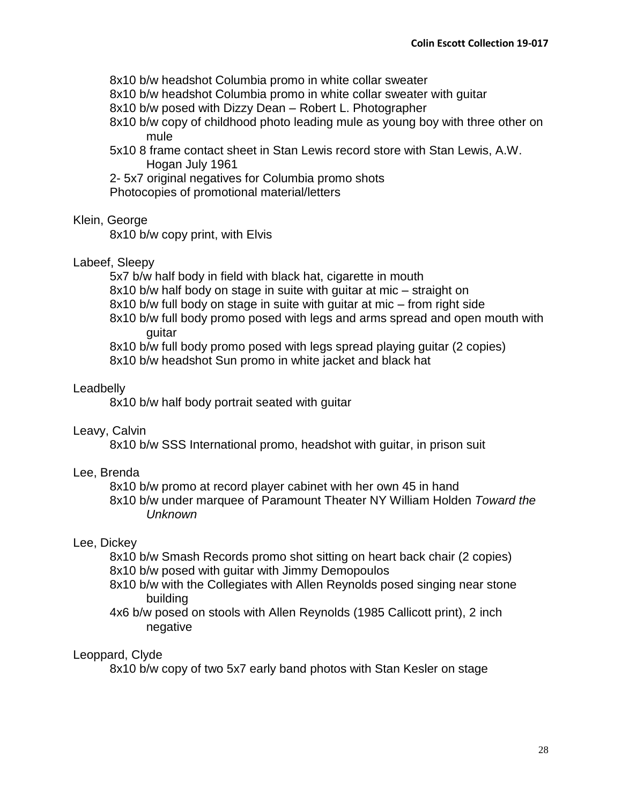8x10 b/w headshot Columbia promo in white collar sweater

8x10 b/w headshot Columbia promo in white collar sweater with guitar

8x10 b/w posed with Dizzy Dean – Robert L. Photographer

8x10 b/w copy of childhood photo leading mule as young boy with three other on mule

5x10 8 frame contact sheet in Stan Lewis record store with Stan Lewis, A.W. Hogan July 1961

2- 5x7 original negatives for Columbia promo shots Photocopies of promotional material/letters

# Klein, George

8x10 b/w copy print, with Elvis

# Labeef, Sleepy

5x7 b/w half body in field with black hat, cigarette in mouth

8x10 b/w half body on stage in suite with guitar at mic – straight on

8x10 b/w full body on stage in suite with guitar at mic – from right side

8x10 b/w full body promo posed with legs and arms spread and open mouth with guitar

8x10 b/w full body promo posed with legs spread playing guitar (2 copies) 8x10 b/w headshot Sun promo in white jacket and black hat

# **Leadbelly**

8x10 b/w half body portrait seated with guitar

# Leavy, Calvin

8x10 b/w SSS International promo, headshot with guitar, in prison suit

# Lee, Brenda

8x10 b/w promo at record player cabinet with her own 45 in hand

8x10 b/w under marquee of Paramount Theater NY William Holden *Toward the Unknown*

# Lee, Dickey

8x10 b/w Smash Records promo shot sitting on heart back chair (2 copies) 8x10 b/w posed with guitar with Jimmy Demopoulos

- 8x10 b/w with the Collegiates with Allen Reynolds posed singing near stone building
- 4x6 b/w posed on stools with Allen Reynolds (1985 Callicott print), 2 inch negative

# Leoppard, Clyde

8x10 b/w copy of two 5x7 early band photos with Stan Kesler on stage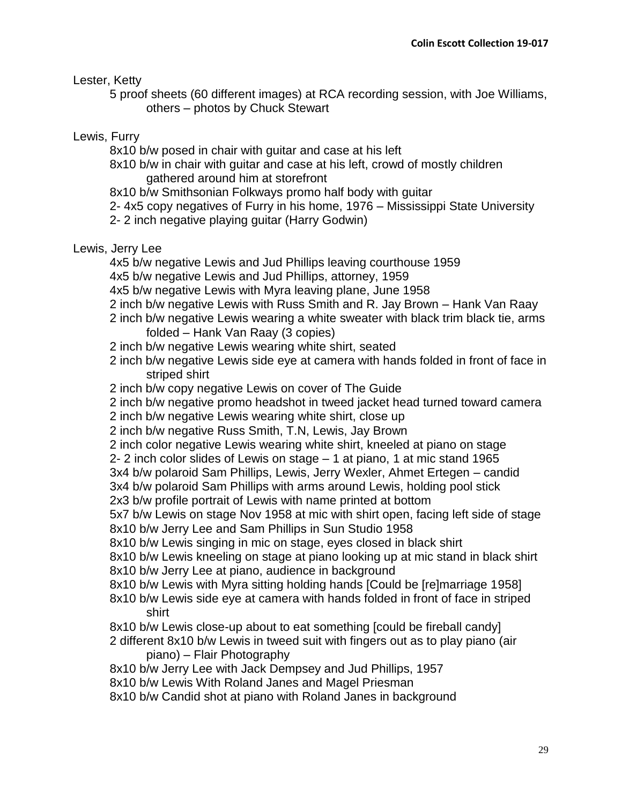Lester, Ketty

5 proof sheets (60 different images) at RCA recording session, with Joe Williams, others – photos by Chuck Stewart

# Lewis, Furry

8x10 b/w posed in chair with guitar and case at his left

8x10 b/w in chair with guitar and case at his left, crowd of mostly children gathered around him at storefront

8x10 b/w Smithsonian Folkways promo half body with guitar

2- 4x5 copy negatives of Furry in his home, 1976 – Mississippi State University

2- 2 inch negative playing guitar (Harry Godwin)

# Lewis, Jerry Lee

4x5 b/w negative Lewis and Jud Phillips leaving courthouse 1959

4x5 b/w negative Lewis and Jud Phillips, attorney, 1959

4x5 b/w negative Lewis with Myra leaving plane, June 1958

- 2 inch b/w negative Lewis with Russ Smith and R. Jay Brown Hank Van Raay
- 2 inch b/w negative Lewis wearing a white sweater with black trim black tie, arms folded – Hank Van Raay (3 copies)
- 2 inch b/w negative Lewis wearing white shirt, seated
- 2 inch b/w negative Lewis side eye at camera with hands folded in front of face in striped shirt
- 2 inch b/w copy negative Lewis on cover of The Guide
- 2 inch b/w negative promo headshot in tweed jacket head turned toward camera
- 2 inch b/w negative Lewis wearing white shirt, close up
- 2 inch b/w negative Russ Smith, T.N, Lewis, Jay Brown

2 inch color negative Lewis wearing white shirt, kneeled at piano on stage

2- 2 inch color slides of Lewis on stage – 1 at piano, 1 at mic stand 1965

3x4 b/w polaroid Sam Phillips, Lewis, Jerry Wexler, Ahmet Ertegen – candid

3x4 b/w polaroid Sam Phillips with arms around Lewis, holding pool stick 2x3 b/w profile portrait of Lewis with name printed at bottom

5x7 b/w Lewis on stage Nov 1958 at mic with shirt open, facing left side of stage 8x10 b/w Jerry Lee and Sam Phillips in Sun Studio 1958

8x10 b/w Lewis singing in mic on stage, eyes closed in black shirt

8x10 b/w Lewis kneeling on stage at piano looking up at mic stand in black shirt 8x10 b/w Jerry Lee at piano, audience in background

8x10 b/w Lewis with Myra sitting holding hands [Could be [re]marriage 1958]

8x10 b/w Lewis side eye at camera with hands folded in front of face in striped shirt

8x10 b/w Lewis close-up about to eat something [could be fireball candy]

2 different 8x10 b/w Lewis in tweed suit with fingers out as to play piano (air piano) – Flair Photography

8x10 b/w Jerry Lee with Jack Dempsey and Jud Phillips, 1957

8x10 b/w Lewis With Roland Janes and Magel Priesman

8x10 b/w Candid shot at piano with Roland Janes in background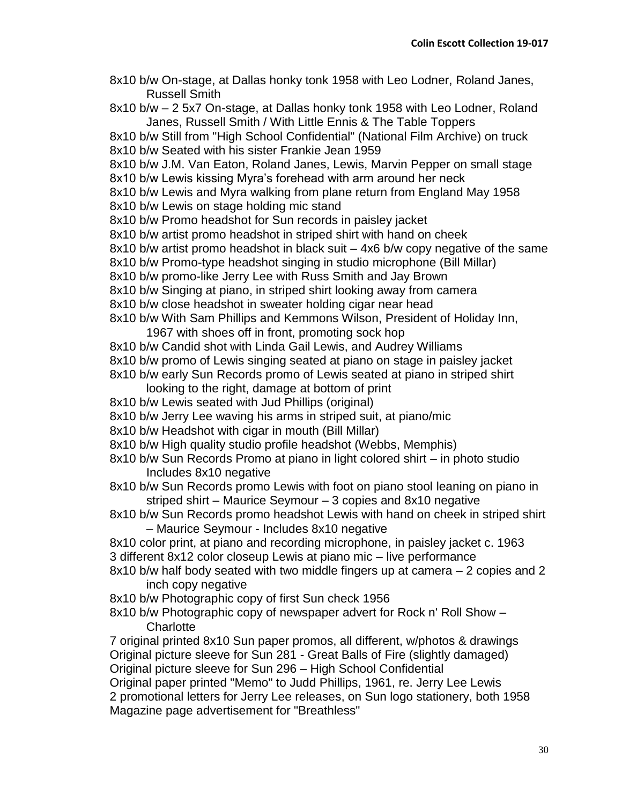- 8x10 b/w On-stage, at Dallas honky tonk 1958 with Leo Lodner, Roland Janes, Russell Smith
- 8x10 b/w 2 5x7 On-stage, at Dallas honky tonk 1958 with Leo Lodner, Roland Janes, Russell Smith / With Little Ennis & The Table Toppers
- 8x10 b/w Still from "High School Confidential" (National Film Archive) on truck 8x10 b/w Seated with his sister Frankie Jean 1959
- 8x10 b/w J.M. Van Eaton, Roland Janes, Lewis, Marvin Pepper on small stage 8x10 b/w Lewis kissing Myra's forehead with arm around her neck
- 8x10 b/w Lewis and Myra walking from plane return from England May 1958 8x10 b/w Lewis on stage holding mic stand
- 8x10 b/w Promo headshot for Sun records in paisley jacket
- 8x10 b/w artist promo headshot in striped shirt with hand on cheek
- 8x10 b/w artist promo headshot in black suit 4x6 b/w copy negative of the same
- 8x10 b/w Promo-type headshot singing in studio microphone (Bill Millar)
- 8x10 b/w promo-like Jerry Lee with Russ Smith and Jay Brown
- 8x10 b/w Singing at piano, in striped shirt looking away from camera
- 8x10 b/w close headshot in sweater holding cigar near head
- 8x10 b/w With Sam Phillips and Kemmons Wilson, President of Holiday Inn, 1967 with shoes off in front, promoting sock hop
- 8x10 b/w Candid shot with Linda Gail Lewis, and Audrey Williams
- 8x10 b/w promo of Lewis singing seated at piano on stage in paisley jacket
- 8x10 b/w early Sun Records promo of Lewis seated at piano in striped shirt
	- looking to the right, damage at bottom of print
- 8x10 b/w Lewis seated with Jud Phillips (original)
- 8x10 b/w Jerry Lee waving his arms in striped suit, at piano/mic
- 8x10 b/w Headshot with cigar in mouth (Bill Millar)
- 8x10 b/w High quality studio profile headshot (Webbs, Memphis)
- 8x10 b/w Sun Records Promo at piano in light colored shirt in photo studio Includes 8x10 negative
- 8x10 b/w Sun Records promo Lewis with foot on piano stool leaning on piano in striped shirt – Maurice Seymour – 3 copies and 8x10 negative
- 8x10 b/w Sun Records promo headshot Lewis with hand on cheek in striped shirt – Maurice Seymour - Includes 8x10 negative
- 8x10 color print, at piano and recording microphone, in paisley jacket c. 1963 3 different 8x12 color closeup Lewis at piano mic – live performance
- 8x10 b/w half body seated with two middle fingers up at camera 2 copies and 2 inch copy negative
- 8x10 b/w Photographic copy of first Sun check 1956
- 8x10 b/w Photographic copy of newspaper advert for Rock n' Roll Show **Charlotte**

7 original printed 8x10 Sun paper promos, all different, w/photos & drawings Original picture sleeve for Sun 281 - Great Balls of Fire (slightly damaged) Original picture sleeve for Sun 296 – High School Confidential

Original paper printed "Memo" to Judd Phillips, 1961, re. Jerry Lee Lewis 2 promotional letters for Jerry Lee releases, on Sun logo stationery, both 1958 Magazine page advertisement for "Breathless"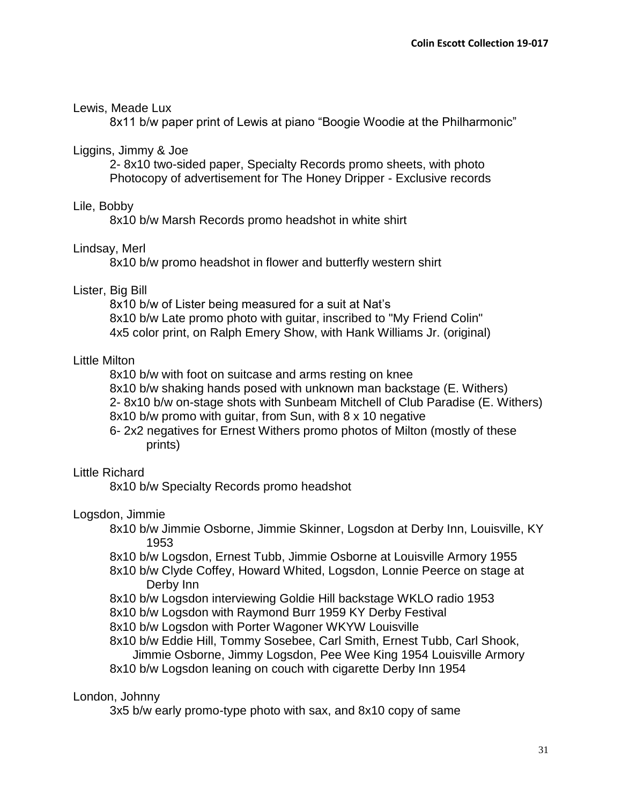## Lewis, Meade Lux

8x11 b/w paper print of Lewis at piano "Boogie Woodie at the Philharmonic"

## Liggins, Jimmy & Joe

2- 8x10 two-sided paper, Specialty Records promo sheets, with photo Photocopy of advertisement for The Honey Dripper - Exclusive records

## Lile, Bobby

8x10 b/w Marsh Records promo headshot in white shirt

# Lindsay, Merl

8x10 b/w promo headshot in flower and butterfly western shirt

## Lister, Big Bill

8x10 b/w of Lister being measured for a suit at Nat's 8x10 b/w Late promo photo with guitar, inscribed to "My Friend Colin" 4x5 color print, on Ralph Emery Show, with Hank Williams Jr. (original)

# Little Milton

8x10 b/w with foot on suitcase and arms resting on knee

8x10 b/w shaking hands posed with unknown man backstage (E. Withers)

2- 8x10 b/w on-stage shots with Sunbeam Mitchell of Club Paradise (E. Withers)

8x10 b/w promo with guitar, from Sun, with 8 x 10 negative

6- 2x2 negatives for Ernest Withers promo photos of Milton (mostly of these prints)

# Little Richard

8x10 b/w Specialty Records promo headshot

# Logsdon, Jimmie

- 8x10 b/w Jimmie Osborne, Jimmie Skinner, Logsdon at Derby Inn, Louisville, KY 1953
- 8x10 b/w Logsdon, Ernest Tubb, Jimmie Osborne at Louisville Armory 1955
- 8x10 b/w Clyde Coffey, Howard Whited, Logsdon, Lonnie Peerce on stage at Derby Inn
- 8x10 b/w Logsdon interviewing Goldie Hill backstage WKLO radio 1953
- 8x10 b/w Logsdon with Raymond Burr 1959 KY Derby Festival
- 8x10 b/w Logsdon with Porter Wagoner WKYW Louisville
- 8x10 b/w Eddie Hill, Tommy Sosebee, Carl Smith, Ernest Tubb, Carl Shook, Jimmie Osborne, Jimmy Logsdon, Pee Wee King 1954 Louisville Armory

# 8x10 b/w Logsdon leaning on couch with cigarette Derby Inn 1954

# London, Johnny

3x5 b/w early promo-type photo with sax, and 8x10 copy of same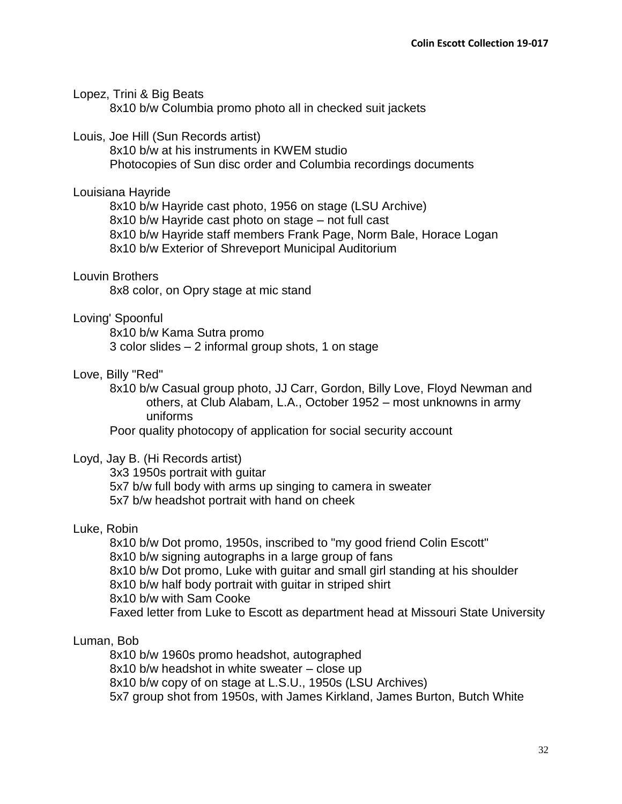### Lopez, Trini & Big Beats

8x10 b/w Columbia promo photo all in checked suit jackets

### Louis, Joe Hill (Sun Records artist)

8x10 b/w at his instruments in KWEM studio Photocopies of Sun disc order and Columbia recordings documents

#### Louisiana Hayride

8x10 b/w Hayride cast photo, 1956 on stage (LSU Archive) 8x10 b/w Hayride cast photo on stage – not full cast 8x10 b/w Hayride staff members Frank Page, Norm Bale, Horace Logan 8x10 b/w Exterior of Shreveport Municipal Auditorium

### Louvin Brothers

8x8 color, on Opry stage at mic stand

### Loving' Spoonful

8x10 b/w Kama Sutra promo 3 color slides – 2 informal group shots, 1 on stage

### Love, Billy "Red"

8x10 b/w Casual group photo, JJ Carr, Gordon, Billy Love, Floyd Newman and others, at Club Alabam, L.A., October 1952 – most unknowns in army uniforms

Poor quality photocopy of application for social security account

### Loyd, Jay B. (Hi Records artist)

3x3 1950s portrait with guitar 5x7 b/w full body with arms up singing to camera in sweater 5x7 b/w headshot portrait with hand on cheek

### Luke, Robin

8x10 b/w Dot promo, 1950s, inscribed to "my good friend Colin Escott" 8x10 b/w signing autographs in a large group of fans 8x10 b/w Dot promo, Luke with guitar and small girl standing at his shoulder 8x10 b/w half body portrait with guitar in striped shirt 8x10 b/w with Sam Cooke Faxed letter from Luke to Escott as department head at Missouri State University

### Luman, Bob

8x10 b/w 1960s promo headshot, autographed

8x10 b/w headshot in white sweater – close up

8x10 b/w copy of on stage at L.S.U., 1950s (LSU Archives)

5x7 group shot from 1950s, with James Kirkland, James Burton, Butch White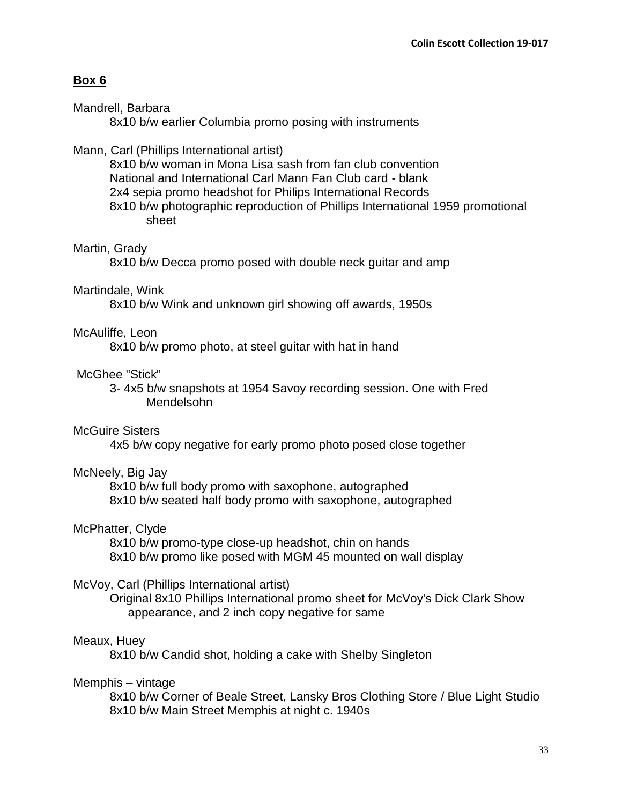### **Box 6**

### Mandrell, Barbara

8x10 b/w earlier Columbia promo posing with instruments

### Mann, Carl (Phillips International artist)

8x10 b/w woman in Mona Lisa sash from fan club convention National and International Carl Mann Fan Club card - blank 2x4 sepia promo headshot for Philips International Records 8x10 b/w photographic reproduction of Phillips International 1959 promotional sheet

### Martin, Grady

8x10 b/w Decca promo posed with double neck guitar and amp

### Martindale, Wink

8x10 b/w Wink and unknown girl showing off awards, 1950s

## McAuliffe, Leon

8x10 b/w promo photo, at steel guitar with hat in hand

### McGhee "Stick"

3- 4x5 b/w snapshots at 1954 Savoy recording session. One with Fred Mendelsohn

### McGuire Sisters

4x5 b/w copy negative for early promo photo posed close together

### McNeely, Big Jay

8x10 b/w full body promo with saxophone, autographed 8x10 b/w seated half body promo with saxophone, autographed

### McPhatter, Clyde

8x10 b/w promo-type close-up headshot, chin on hands 8x10 b/w promo like posed with MGM 45 mounted on wall display

### McVoy, Carl (Phillips International artist)

Original 8x10 Phillips International promo sheet for McVoy's Dick Clark Show appearance, and 2 inch copy negative for same

### Meaux, Huey

8x10 b/w Candid shot, holding a cake with Shelby Singleton

### Memphis – vintage

8x10 b/w Corner of Beale Street, Lansky Bros Clothing Store / Blue Light Studio 8x10 b/w Main Street Memphis at night c. 1940s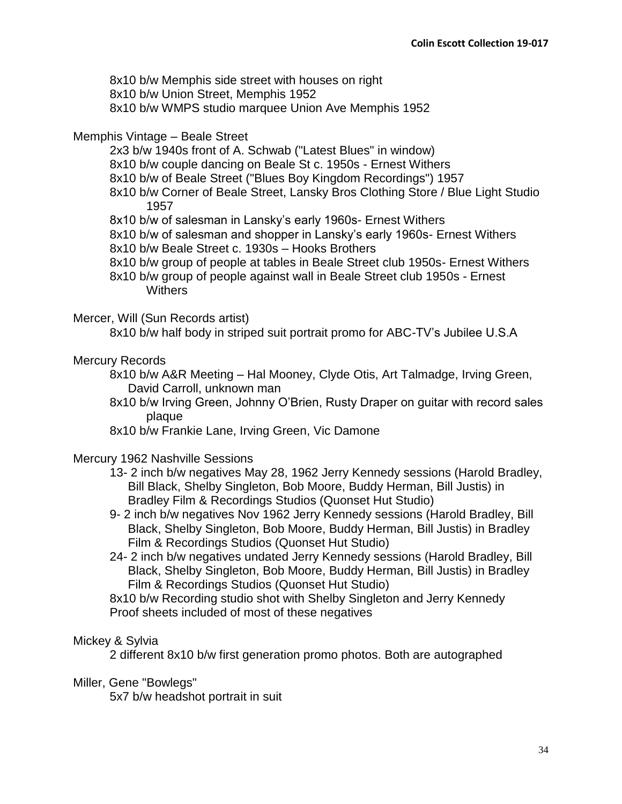8x10 b/w Memphis side street with houses on right 8x10 b/w Union Street, Memphis 1952 8x10 b/w WMPS studio marquee Union Ave Memphis 1952

## Memphis Vintage – Beale Street

- 2x3 b/w 1940s front of A. Schwab ("Latest Blues" in window)
- 8x10 b/w couple dancing on Beale St c. 1950s Ernest Withers
- 8x10 b/w of Beale Street ("Blues Boy Kingdom Recordings") 1957
- 8x10 b/w Corner of Beale Street, Lansky Bros Clothing Store / Blue Light Studio 1957
- 8x10 b/w of salesman in Lansky's early 1960s- Ernest Withers
- 8x10 b/w of salesman and shopper in Lansky's early 1960s- Ernest Withers
- 8x10 b/w Beale Street c. 1930s Hooks Brothers
- 8x10 b/w group of people at tables in Beale Street club 1950s- Ernest Withers
- 8x10 b/w group of people against wall in Beale Street club 1950s Ernest **Withers**

### Mercer, Will (Sun Records artist)

8x10 b/w half body in striped suit portrait promo for ABC-TV's Jubilee U.S.A

## Mercury Records

- 8x10 b/w A&R Meeting Hal Mooney, Clyde Otis, Art Talmadge, Irving Green, David Carroll, unknown man
- 8x10 b/w Irving Green, Johnny O'Brien, Rusty Draper on guitar with record sales plaque
- 8x10 b/w Frankie Lane, Irving Green, Vic Damone

### Mercury 1962 Nashville Sessions

- 13- 2 inch b/w negatives May 28, 1962 Jerry Kennedy sessions (Harold Bradley, Bill Black, Shelby Singleton, Bob Moore, Buddy Herman, Bill Justis) in Bradley Film & Recordings Studios (Quonset Hut Studio)
- 9- 2 inch b/w negatives Nov 1962 Jerry Kennedy sessions (Harold Bradley, Bill Black, Shelby Singleton, Bob Moore, Buddy Herman, Bill Justis) in Bradley Film & Recordings Studios (Quonset Hut Studio)
- 24- 2 inch b/w negatives undated Jerry Kennedy sessions (Harold Bradley, Bill Black, Shelby Singleton, Bob Moore, Buddy Herman, Bill Justis) in Bradley Film & Recordings Studios (Quonset Hut Studio)
- 8x10 b/w Recording studio shot with Shelby Singleton and Jerry Kennedy Proof sheets included of most of these negatives

# Mickey & Sylvia

2 different 8x10 b/w first generation promo photos. Both are autographed

### Miller, Gene "Bowlegs"

5x7 b/w headshot portrait in suit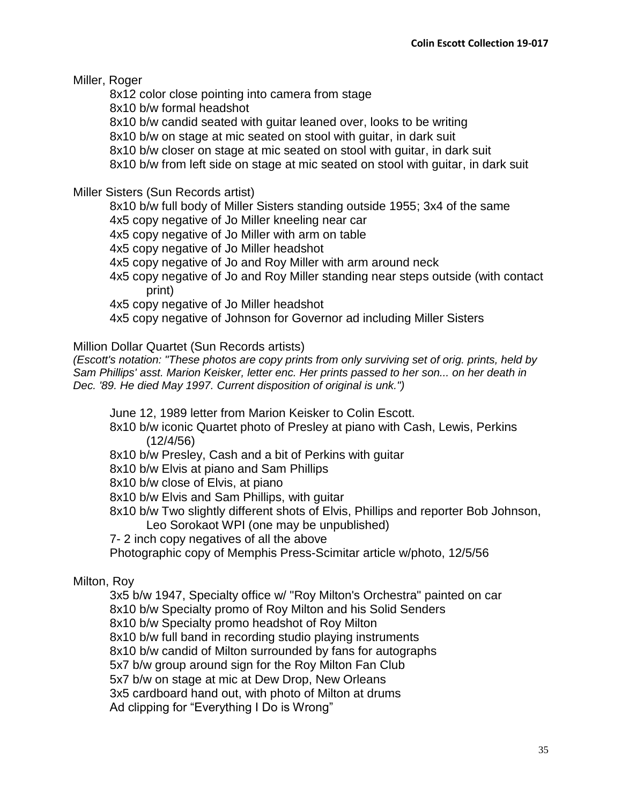Miller, Roger

8x12 color close pointing into camera from stage

8x10 b/w formal headshot

8x10 b/w candid seated with guitar leaned over, looks to be writing

8x10 b/w on stage at mic seated on stool with guitar, in dark suit

8x10 b/w closer on stage at mic seated on stool with guitar, in dark suit

8x10 b/w from left side on stage at mic seated on stool with guitar, in dark suit

Miller Sisters (Sun Records artist)

8x10 b/w full body of Miller Sisters standing outside 1955; 3x4 of the same

4x5 copy negative of Jo Miller kneeling near car

4x5 copy negative of Jo Miller with arm on table

4x5 copy negative of Jo Miller headshot

4x5 copy negative of Jo and Roy Miller with arm around neck

4x5 copy negative of Jo and Roy Miller standing near steps outside (with contact print)

4x5 copy negative of Jo Miller headshot

4x5 copy negative of Johnson for Governor ad including Miller Sisters

Million Dollar Quartet (Sun Records artists)

*(Escott's notation: "These photos are copy prints from only surviving set of orig. prints, held by Sam Phillips' asst. Marion Keisker, letter enc. Her prints passed to her son... on her death in Dec. '89. He died May 1997. Current disposition of original is unk.")*

June 12, 1989 letter from Marion Keisker to Colin Escott.

8x10 b/w iconic Quartet photo of Presley at piano with Cash, Lewis, Perkins (12/4/56)

8x10 b/w Presley, Cash and a bit of Perkins with guitar

8x10 b/w Elvis at piano and Sam Phillips

8x10 b/w close of Elvis, at piano

8x10 b/w Elvis and Sam Phillips, with guitar

8x10 b/w Two slightly different shots of Elvis, Phillips and reporter Bob Johnson, Leo Sorokaot WPI (one may be unpublished)

7- 2 inch copy negatives of all the above

Photographic copy of Memphis Press-Scimitar article w/photo, 12/5/56

# Milton, Roy

3x5 b/w 1947, Specialty office w/ "Roy Milton's Orchestra" painted on car 8x10 b/w Specialty promo of Roy Milton and his Solid Senders 8x10 b/w Specialty promo headshot of Roy Milton 8x10 b/w full band in recording studio playing instruments 8x10 b/w candid of Milton surrounded by fans for autographs 5x7 b/w group around sign for the Roy Milton Fan Club

5x7 b/w on stage at mic at Dew Drop, New Orleans

3x5 cardboard hand out, with photo of Milton at drums

Ad clipping for "Everything I Do is Wrong"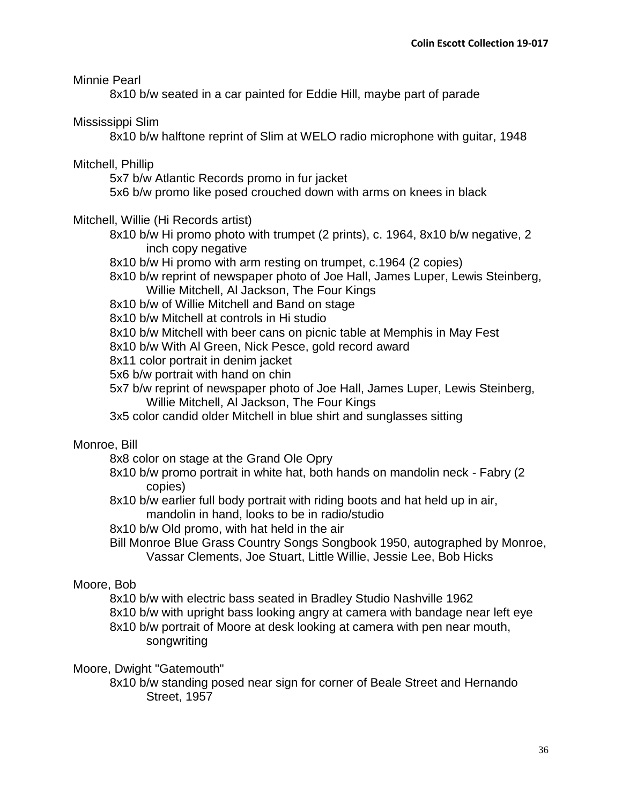Minnie Pearl

8x10 b/w seated in a car painted for Eddie Hill, maybe part of parade

Mississippi Slim

8x10 b/w halftone reprint of Slim at WELO radio microphone with guitar, 1948

Mitchell, Phillip

5x7 b/w Atlantic Records promo in fur jacket

5x6 b/w promo like posed crouched down with arms on knees in black

# Mitchell, Willie (Hi Records artist)

8x10 b/w Hi promo photo with trumpet (2 prints), c. 1964, 8x10 b/w negative, 2 inch copy negative

8x10 b/w Hi promo with arm resting on trumpet, c.1964 (2 copies)

8x10 b/w reprint of newspaper photo of Joe Hall, James Luper, Lewis Steinberg, Willie Mitchell, Al Jackson, The Four Kings

8x10 b/w of Willie Mitchell and Band on stage

8x10 b/w Mitchell at controls in Hi studio

8x10 b/w Mitchell with beer cans on picnic table at Memphis in May Fest

8x10 b/w With Al Green, Nick Pesce, gold record award

8x11 color portrait in denim jacket

5x6 b/w portrait with hand on chin

5x7 b/w reprint of newspaper photo of Joe Hall, James Luper, Lewis Steinberg, Willie Mitchell, Al Jackson, The Four Kings

3x5 color candid older Mitchell in blue shirt and sunglasses sitting

# Monroe, Bill

8x8 color on stage at the Grand Ole Opry

- 8x10 b/w promo portrait in white hat, both hands on mandolin neck Fabry (2 copies)
- 8x10 b/w earlier full body portrait with riding boots and hat held up in air, mandolin in hand, looks to be in radio/studio
- 8x10 b/w Old promo, with hat held in the air
- Bill Monroe Blue Grass Country Songs Songbook 1950, autographed by Monroe, Vassar Clements, Joe Stuart, Little Willie, Jessie Lee, Bob Hicks

# Moore, Bob

8x10 b/w with electric bass seated in Bradley Studio Nashville 1962 8x10 b/w with upright bass looking angry at camera with bandage near left eye 8x10 b/w portrait of Moore at desk looking at camera with pen near mouth, songwriting

# Moore, Dwight "Gatemouth"

8x10 b/w standing posed near sign for corner of Beale Street and Hernando Street, 1957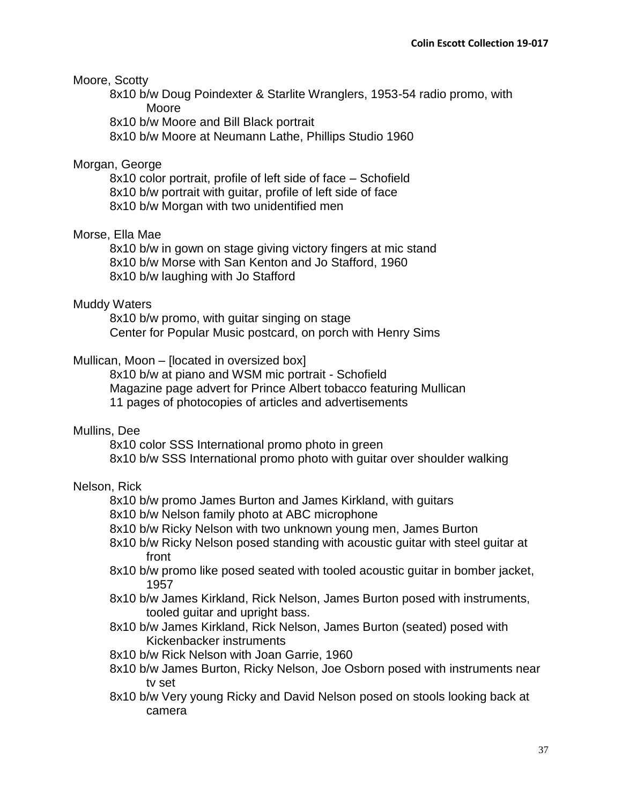## Moore, Scotty

8x10 b/w Doug Poindexter & Starlite Wranglers, 1953-54 radio promo, with Moore

8x10 b/w Moore and Bill Black portrait

8x10 b/w Moore at Neumann Lathe, Phillips Studio 1960

### Morgan, George

8x10 color portrait, profile of left side of face – Schofield 8x10 b/w portrait with guitar, profile of left side of face 8x10 b/w Morgan with two unidentified men

## Morse, Ella Mae

8x10 b/w in gown on stage giving victory fingers at mic stand 8x10 b/w Morse with San Kenton and Jo Stafford, 1960 8x10 b/w laughing with Jo Stafford

### Muddy Waters

8x10 b/w promo, with guitar singing on stage Center for Popular Music postcard, on porch with Henry Sims

### Mullican, Moon – [located in oversized box]

8x10 b/w at piano and WSM mic portrait - Schofield Magazine page advert for Prince Albert tobacco featuring Mullican 11 pages of photocopies of articles and advertisements

### Mullins, Dee

8x10 color SSS International promo photo in green 8x10 b/w SSS International promo photo with guitar over shoulder walking

# Nelson, Rick

8x10 b/w promo James Burton and James Kirkland, with guitars

- 8x10 b/w Nelson family photo at ABC microphone
- 8x10 b/w Ricky Nelson with two unknown young men, James Burton
- 8x10 b/w Ricky Nelson posed standing with acoustic guitar with steel guitar at front
- 8x10 b/w promo like posed seated with tooled acoustic guitar in bomber jacket, 1957
- 8x10 b/w James Kirkland, Rick Nelson, James Burton posed with instruments, tooled guitar and upright bass.
- 8x10 b/w James Kirkland, Rick Nelson, James Burton (seated) posed with Kickenbacker instruments
- 8x10 b/w Rick Nelson with Joan Garrie, 1960
- 8x10 b/w James Burton, Ricky Nelson, Joe Osborn posed with instruments near tv set
- 8x10 b/w Very young Ricky and David Nelson posed on stools looking back at camera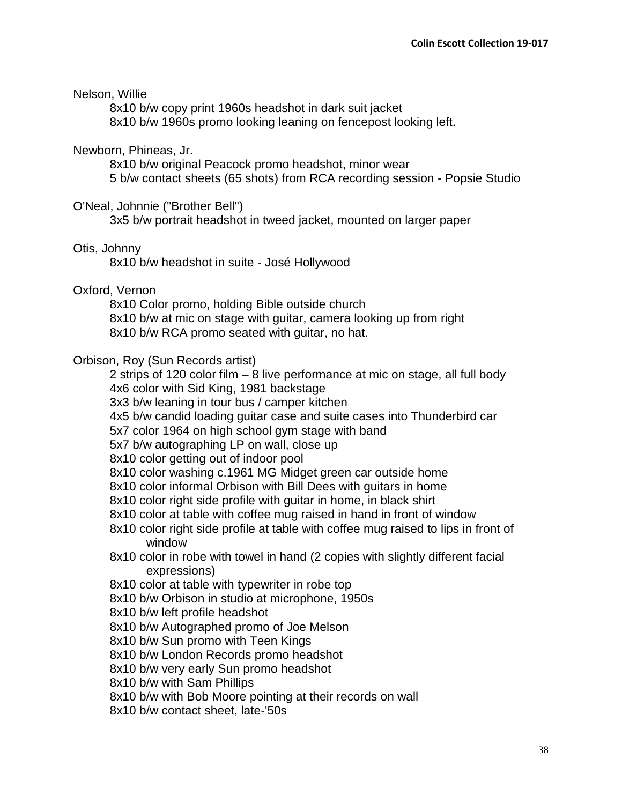### Nelson, Willie

8x10 b/w copy print 1960s headshot in dark suit jacket 8x10 b/w 1960s promo looking leaning on fencepost looking left.

### Newborn, Phineas, Jr.

8x10 b/w original Peacock promo headshot, minor wear 5 b/w contact sheets (65 shots) from RCA recording session - Popsie Studio

### O'Neal, Johnnie ("Brother Bell")

3x5 b/w portrait headshot in tweed jacket, mounted on larger paper

### Otis, Johnny

8x10 b/w headshot in suite - José Hollywood

### Oxford, Vernon

8x10 Color promo, holding Bible outside church 8x10 b/w at mic on stage with guitar, camera looking up from right 8x10 b/w RCA promo seated with guitar, no hat.

### Orbison, Roy (Sun Records artist)

2 strips of 120 color film – 8 live performance at mic on stage, all full body 4x6 color with Sid King, 1981 backstage

3x3 b/w leaning in tour bus / camper kitchen

4x5 b/w candid loading guitar case and suite cases into Thunderbird car

5x7 color 1964 on high school gym stage with band

5x7 b/w autographing LP on wall, close up

8x10 color getting out of indoor pool

8x10 color washing c.1961 MG Midget green car outside home

8x10 color informal Orbison with Bill Dees with guitars in home

8x10 color right side profile with guitar in home, in black shirt

8x10 color at table with coffee mug raised in hand in front of window

- 8x10 color right side profile at table with coffee mug raised to lips in front of window
- 8x10 color in robe with towel in hand (2 copies with slightly different facial expressions)

8x10 color at table with typewriter in robe top

8x10 b/w Orbison in studio at microphone, 1950s

8x10 b/w left profile headshot

8x10 b/w Autographed promo of Joe Melson

8x10 b/w Sun promo with Teen Kings

8x10 b/w London Records promo headshot

8x10 b/w very early Sun promo headshot

8x10 b/w with Sam Phillips

8x10 b/w with Bob Moore pointing at their records on wall

8x10 b/w contact sheet, late-'50s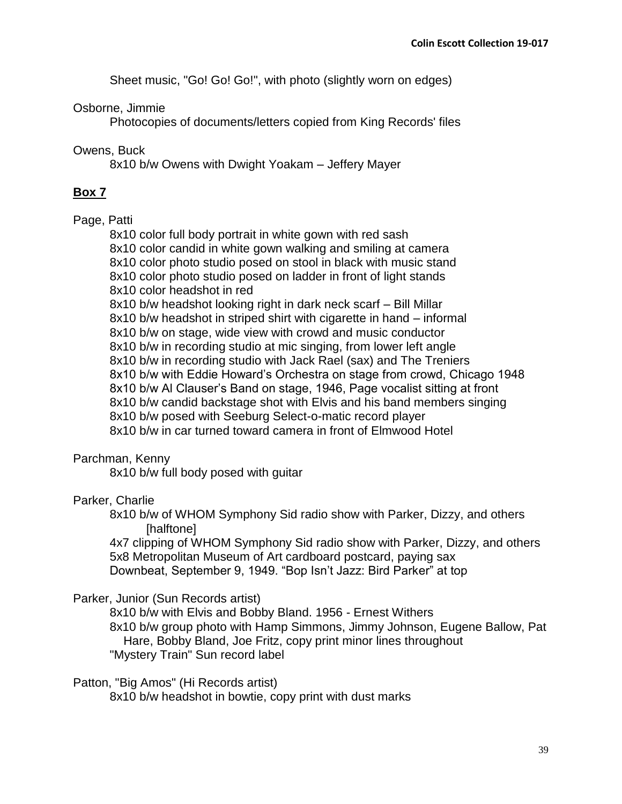Sheet music, "Go! Go! Go!", with photo (slightly worn on edges)

# Osborne, Jimmie

Photocopies of documents/letters copied from King Records' files

# Owens, Buck

8x10 b/w Owens with Dwight Yoakam – Jeffery Mayer

# **Box 7**

# Page, Patti

8x10 color full body portrait in white gown with red sash 8x10 color candid in white gown walking and smiling at camera 8x10 color photo studio posed on stool in black with music stand 8x10 color photo studio posed on ladder in front of light stands 8x10 color headshot in red 8x10 b/w headshot looking right in dark neck scarf – Bill Millar 8x10 b/w headshot in striped shirt with cigarette in hand – informal 8x10 b/w on stage, wide view with crowd and music conductor 8x10 b/w in recording studio at mic singing, from lower left angle 8x10 b/w in recording studio with Jack Rael (sax) and The Treniers 8x10 b/w with Eddie Howard's Orchestra on stage from crowd, Chicago 1948 8x10 b/w Al Clauser's Band on stage, 1946, Page vocalist sitting at front 8x10 b/w candid backstage shot with Elvis and his band members singing 8x10 b/w posed with Seeburg Select-o-matic record player 8x10 b/w in car turned toward camera in front of Elmwood Hotel

# Parchman, Kenny

8x10 b/w full body posed with guitar

# Parker, Charlie

8x10 b/w of WHOM Symphony Sid radio show with Parker, Dizzy, and others [halftone]

4x7 clipping of WHOM Symphony Sid radio show with Parker, Dizzy, and others 5x8 Metropolitan Museum of Art cardboard postcard, paying sax Downbeat, September 9, 1949. "Bop Isn't Jazz: Bird Parker" at top

# Parker, Junior (Sun Records artist)

8x10 b/w with Elvis and Bobby Bland. 1956 - Ernest Withers 8x10 b/w group photo with Hamp Simmons, Jimmy Johnson, Eugene Ballow, Pat Hare, Bobby Bland, Joe Fritz, copy print minor lines throughout "Mystery Train" Sun record label

# Patton, "Big Amos" (Hi Records artist)

8x10 b/w headshot in bowtie, copy print with dust marks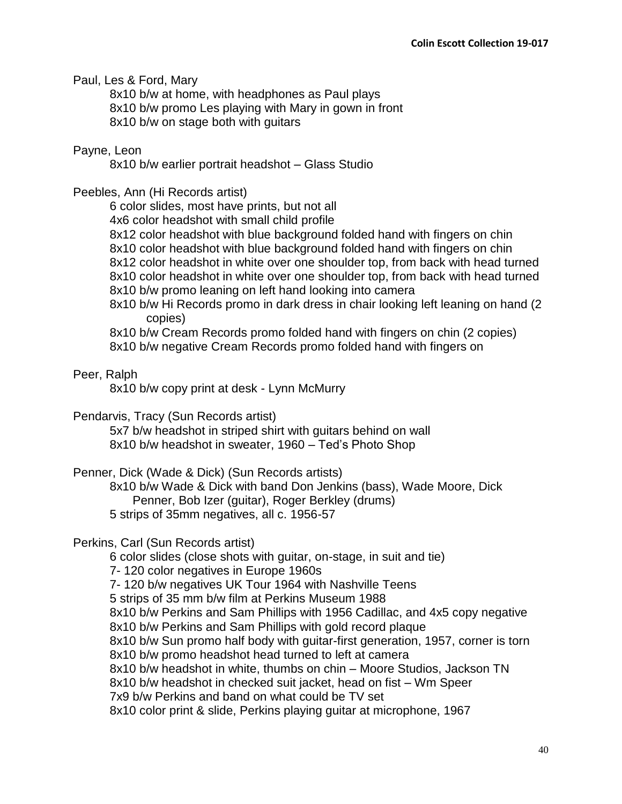Paul, Les & Ford, Mary

8x10 b/w at home, with headphones as Paul plays 8x10 b/w promo Les playing with Mary in gown in front 8x10 b/w on stage both with guitars

# Payne, Leon

8x10 b/w earlier portrait headshot – Glass Studio

# Peebles, Ann (Hi Records artist)

6 color slides, most have prints, but not all

4x6 color headshot with small child profile

- 8x12 color headshot with blue background folded hand with fingers on chin
- 8x10 color headshot with blue background folded hand with fingers on chin
- 8x12 color headshot in white over one shoulder top, from back with head turned
- 8x10 color headshot in white over one shoulder top, from back with head turned
- 8x10 b/w promo leaning on left hand looking into camera
- 8x10 b/w Hi Records promo in dark dress in chair looking left leaning on hand (2 copies)
- 8x10 b/w Cream Records promo folded hand with fingers on chin (2 copies)
- 8x10 b/w negative Cream Records promo folded hand with fingers on

# Peer, Ralph

8x10 b/w copy print at desk - Lynn McMurry

# Pendarvis, Tracy (Sun Records artist)

5x7 b/w headshot in striped shirt with guitars behind on wall 8x10 b/w headshot in sweater, 1960 – Ted's Photo Shop

# Penner, Dick (Wade & Dick) (Sun Records artists)

8x10 b/w Wade & Dick with band Don Jenkins (bass), Wade Moore, Dick Penner, Bob Izer (guitar), Roger Berkley (drums) 5 strips of 35mm negatives, all c. 1956-57

# Perkins, Carl (Sun Records artist)

6 color slides (close shots with guitar, on-stage, in suit and tie)

7- 120 color negatives in Europe 1960s

7- 120 b/w negatives UK Tour 1964 with Nashville Teens

5 strips of 35 mm b/w film at Perkins Museum 1988

8x10 b/w Perkins and Sam Phillips with 1956 Cadillac, and 4x5 copy negative

- 8x10 b/w Perkins and Sam Phillips with gold record plaque
- 8x10 b/w Sun promo half body with guitar-first generation, 1957, corner is torn

8x10 b/w promo headshot head turned to left at camera

8x10 b/w headshot in white, thumbs on chin – Moore Studios, Jackson TN

8x10 b/w headshot in checked suit jacket, head on fist – Wm Speer

7x9 b/w Perkins and band on what could be TV set

8x10 color print & slide, Perkins playing guitar at microphone, 1967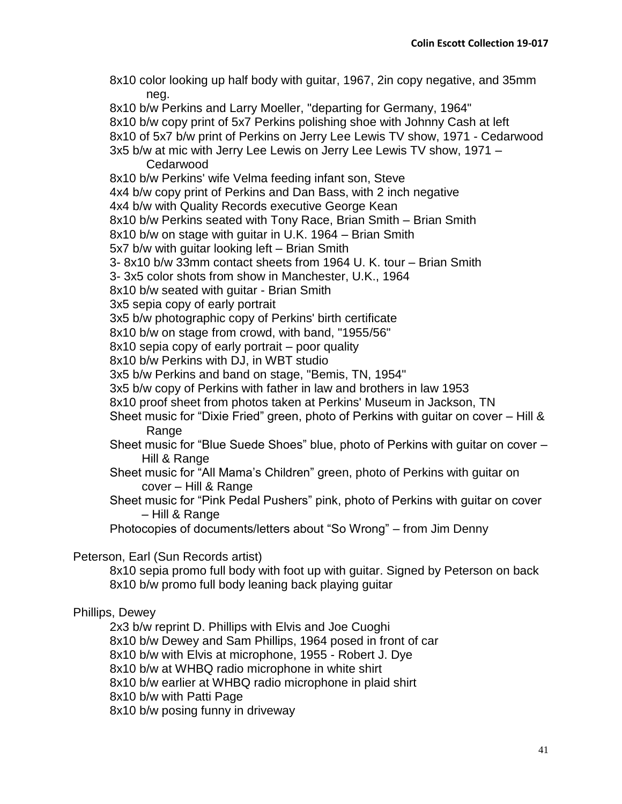8x10 color looking up half body with guitar, 1967, 2in copy negative, and 35mm neg. 8x10 b/w Perkins and Larry Moeller, "departing for Germany, 1964" 8x10 b/w copy print of 5x7 Perkins polishing shoe with Johnny Cash at left 8x10 of 5x7 b/w print of Perkins on Jerry Lee Lewis TV show, 1971 - Cedarwood 3x5 b/w at mic with Jerry Lee Lewis on Jerry Lee Lewis TV show, 1971 – Cedarwood 8x10 b/w Perkins' wife Velma feeding infant son, Steve 4x4 b/w copy print of Perkins and Dan Bass, with 2 inch negative 4x4 b/w with Quality Records executive George Kean 8x10 b/w Perkins seated with Tony Race, Brian Smith – Brian Smith 8x10 b/w on stage with guitar in U.K. 1964 – Brian Smith 5x7 b/w with guitar looking left – Brian Smith 3- 8x10 b/w 33mm contact sheets from 1964 U. K. tour – Brian Smith 3- 3x5 color shots from show in Manchester, U.K., 1964 8x10 b/w seated with guitar - Brian Smith 3x5 sepia copy of early portrait 3x5 b/w photographic copy of Perkins' birth certificate 8x10 b/w on stage from crowd, with band, "1955/56" 8x10 sepia copy of early portrait – poor quality 8x10 b/w Perkins with DJ, in WBT studio 3x5 b/w Perkins and band on stage, "Bemis, TN, 1954" 3x5 b/w copy of Perkins with father in law and brothers in law 1953 8x10 proof sheet from photos taken at Perkins' Museum in Jackson, TN Sheet music for "Dixie Fried" green, photo of Perkins with guitar on cover – Hill & Range Sheet music for "Blue Suede Shoes" blue, photo of Perkins with guitar on cover – Hill & Range Sheet music for "All Mama's Children" green, photo of Perkins with guitar on cover – Hill & Range Sheet music for "Pink Pedal Pushers" pink, photo of Perkins with guitar on cover – Hill & Range Photocopies of documents/letters about "So Wrong" – from Jim Denny Peterson, Earl (Sun Records artist) 8x10 sepia promo full body with foot up with guitar. Signed by Peterson on back 8x10 b/w promo full body leaning back playing guitar

# Phillips, Dewey

2x3 b/w reprint D. Phillips with Elvis and Joe Cuoghi 8x10 b/w Dewey and Sam Phillips, 1964 posed in front of car 8x10 b/w with Elvis at microphone, 1955 - Robert J. Dye 8x10 b/w at WHBQ radio microphone in white shirt 8x10 b/w earlier at WHBQ radio microphone in plaid shirt 8x10 b/w with Patti Page 8x10 b/w posing funny in driveway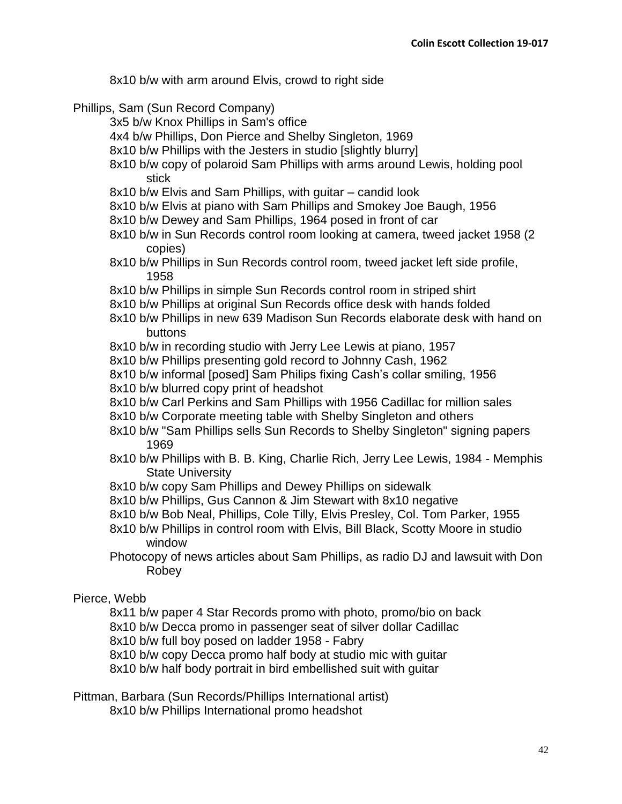8x10 b/w with arm around Elvis, crowd to right side

### Phillips, Sam (Sun Record Company)

3x5 b/w Knox Phillips in Sam's office

4x4 b/w Phillips, Don Pierce and Shelby Singleton, 1969

8x10 b/w Phillips with the Jesters in studio [slightly blurry]

- 8x10 b/w copy of polaroid Sam Phillips with arms around Lewis, holding pool stick
- 8x10 b/w Elvis and Sam Phillips, with guitar candid look
- 8x10 b/w Elvis at piano with Sam Phillips and Smokey Joe Baugh, 1956
- 8x10 b/w Dewey and Sam Phillips, 1964 posed in front of car
- 8x10 b/w in Sun Records control room looking at camera, tweed jacket 1958 (2 copies)
- 8x10 b/w Phillips in Sun Records control room, tweed jacket left side profile, 1958
- 8x10 b/w Phillips in simple Sun Records control room in striped shirt
- 8x10 b/w Phillips at original Sun Records office desk with hands folded
- 8x10 b/w Phillips in new 639 Madison Sun Records elaborate desk with hand on buttons
- 8x10 b/w in recording studio with Jerry Lee Lewis at piano, 1957
- 8x10 b/w Phillips presenting gold record to Johnny Cash, 1962
- 8x10 b/w informal [posed] Sam Philips fixing Cash's collar smiling, 1956
- 8x10 b/w blurred copy print of headshot
- 8x10 b/w Carl Perkins and Sam Phillips with 1956 Cadillac for million sales
- 8x10 b/w Corporate meeting table with Shelby Singleton and others
- 8x10 b/w "Sam Phillips sells Sun Records to Shelby Singleton" signing papers 1969
- 8x10 b/w Phillips with B. B. King, Charlie Rich, Jerry Lee Lewis, 1984 Memphis State University
- 8x10 b/w copy Sam Phillips and Dewey Phillips on sidewalk
- 8x10 b/w Phillips, Gus Cannon & Jim Stewart with 8x10 negative
- 8x10 b/w Bob Neal, Phillips, Cole Tilly, Elvis Presley, Col. Tom Parker, 1955
- 8x10 b/w Phillips in control room with Elvis, Bill Black, Scotty Moore in studio window
- Photocopy of news articles about Sam Phillips, as radio DJ and lawsuit with Don Robey

### Pierce, Webb

- 8x11 b/w paper 4 Star Records promo with photo, promo/bio on back
- 8x10 b/w Decca promo in passenger seat of silver dollar Cadillac
- 8x10 b/w full boy posed on ladder 1958 Fabry

8x10 b/w copy Decca promo half body at studio mic with guitar

8x10 b/w half body portrait in bird embellished suit with guitar

Pittman, Barbara (Sun Records/Phillips International artist)

8x10 b/w Phillips International promo headshot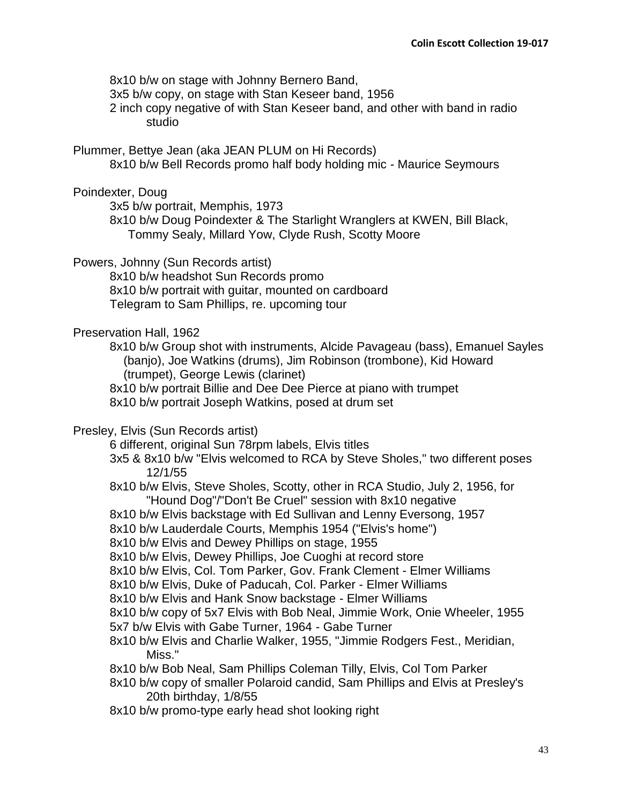8x10 b/w on stage with Johnny Bernero Band,

3x5 b/w copy, on stage with Stan Keseer band, 1956

2 inch copy negative of with Stan Keseer band, and other with band in radio studio

Plummer, Bettye Jean (aka JEAN PLUM on Hi Records) 8x10 b/w Bell Records promo half body holding mic - Maurice Seymours

Poindexter, Doug

3x5 b/w portrait, Memphis, 1973

8x10 b/w Doug Poindexter & The Starlight Wranglers at KWEN, Bill Black, Tommy Sealy, Millard Yow, Clyde Rush, Scotty Moore

Powers, Johnny (Sun Records artist)

8x10 b/w headshot Sun Records promo 8x10 b/w portrait with guitar, mounted on cardboard Telegram to Sam Phillips, re. upcoming tour

Preservation Hall, 1962

8x10 b/w Group shot with instruments, Alcide Pavageau (bass), Emanuel Sayles (banjo), Joe Watkins (drums), Jim Robinson (trombone), Kid Howard (trumpet), George Lewis (clarinet)

8x10 b/w portrait Billie and Dee Dee Pierce at piano with trumpet

8x10 b/w portrait Joseph Watkins, posed at drum set

Presley, Elvis (Sun Records artist)

6 different, original Sun 78rpm labels, Elvis titles

- 3x5 & 8x10 b/w "Elvis welcomed to RCA by Steve Sholes," two different poses 12/1/55
- 8x10 b/w Elvis, Steve Sholes, Scotty, other in RCA Studio, July 2, 1956, for "Hound Dog"/"Don't Be Cruel" session with 8x10 negative
- 8x10 b/w Elvis backstage with Ed Sullivan and Lenny Eversong, 1957

8x10 b/w Lauderdale Courts, Memphis 1954 ("Elvis's home")

8x10 b/w Elvis and Dewey Phillips on stage, 1955

8x10 b/w Elvis, Dewey Phillips, Joe Cuoghi at record store

8x10 b/w Elvis, Col. Tom Parker, Gov. Frank Clement - Elmer Williams

8x10 b/w Elvis, Duke of Paducah, Col. Parker - Elmer Williams

8x10 b/w Elvis and Hank Snow backstage - Elmer Williams

8x10 b/w copy of 5x7 Elvis with Bob Neal, Jimmie Work, Onie Wheeler, 1955

- 5x7 b/w Elvis with Gabe Turner, 1964 Gabe Turner
- 8x10 b/w Elvis and Charlie Walker, 1955, "Jimmie Rodgers Fest., Meridian, Miss."

8x10 b/w Bob Neal, Sam Phillips Coleman Tilly, Elvis, Col Tom Parker

- 8x10 b/w copy of smaller Polaroid candid, Sam Phillips and Elvis at Presley's 20th birthday, 1/8/55
- 8x10 b/w promo-type early head shot looking right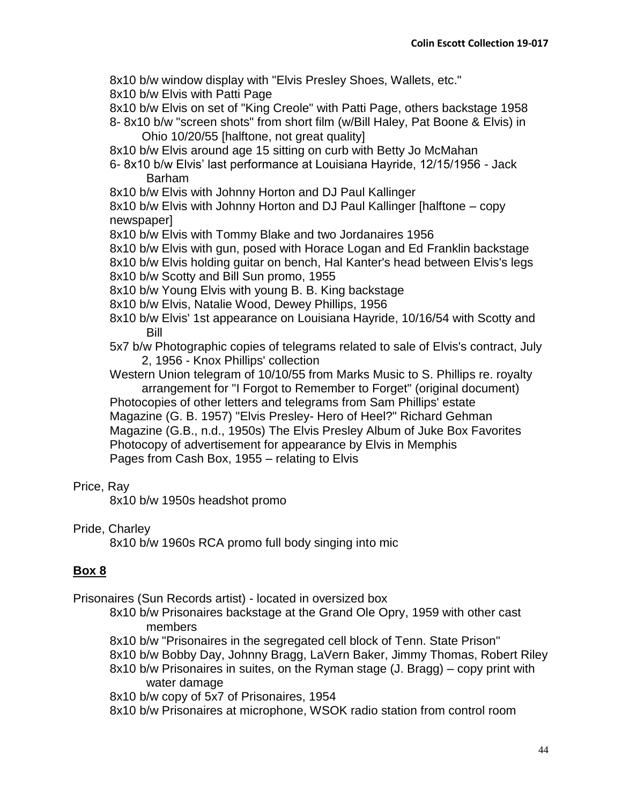8x10 b/w window display with "Elvis Presley Shoes, Wallets, etc."

8x10 b/w Elvis with Patti Page

8x10 b/w Elvis on set of "King Creole" with Patti Page, others backstage 1958 8- 8x10 b/w "screen shots" from short film (w/Bill Haley, Pat Boone & Elvis) in

Ohio 10/20/55 [halftone, not great quality]

8x10 b/w Elvis around age 15 sitting on curb with Betty Jo McMahan

6- 8x10 b/w Elvis' last performance at Louisiana Hayride, 12/15/1956 - Jack Barham

8x10 b/w Elvis with Johnny Horton and DJ Paul Kallinger

8x10 b/w Elvis with Johnny Horton and DJ Paul Kallinger [halftone – copy newspaper]

8x10 b/w Elvis with Tommy Blake and two Jordanaires 1956

8x10 b/w Elvis with gun, posed with Horace Logan and Ed Franklin backstage

8x10 b/w Elvis holding guitar on bench, Hal Kanter's head between Elvis's legs

8x10 b/w Scotty and Bill Sun promo, 1955

8x10 b/w Young Elvis with young B. B. King backstage

8x10 b/w Elvis, Natalie Wood, Dewey Phillips, 1956

8x10 b/w Elvis' 1st appearance on Louisiana Hayride, 10/16/54 with Scotty and Bill

5x7 b/w Photographic copies of telegrams related to sale of Elvis's contract, July 2, 1956 - Knox Phillips' collection

Western Union telegram of 10/10/55 from Marks Music to S. Phillips re. royalty

arrangement for "I Forgot to Remember to Forget" (original document) Photocopies of other letters and telegrams from Sam Phillips' estate Magazine (G. B. 1957) "Elvis Presley- Hero of Heel?" Richard Gehman Magazine (G.B., n.d., 1950s) The Elvis Presley Album of Juke Box Favorites Photocopy of advertisement for appearance by Elvis in Memphis Pages from Cash Box, 1955 – relating to Elvis

### Price, Ray

8x10 b/w 1950s headshot promo

### Pride, Charley

8x10 b/w 1960s RCA promo full body singing into mic

# **Box 8**

Prisonaires (Sun Records artist) - located in oversized box

- 8x10 b/w Prisonaires backstage at the Grand Ole Opry, 1959 with other cast members
- 8x10 b/w "Prisonaires in the segregated cell block of Tenn. State Prison"
- 8x10 b/w Bobby Day, Johnny Bragg, LaVern Baker, Jimmy Thomas, Robert Riley
- 8x10 b/w Prisonaires in suites, on the Ryman stage (J. Bragg) copy print with water damage

8x10 b/w copy of 5x7 of Prisonaires, 1954

8x10 b/w Prisonaires at microphone, WSOK radio station from control room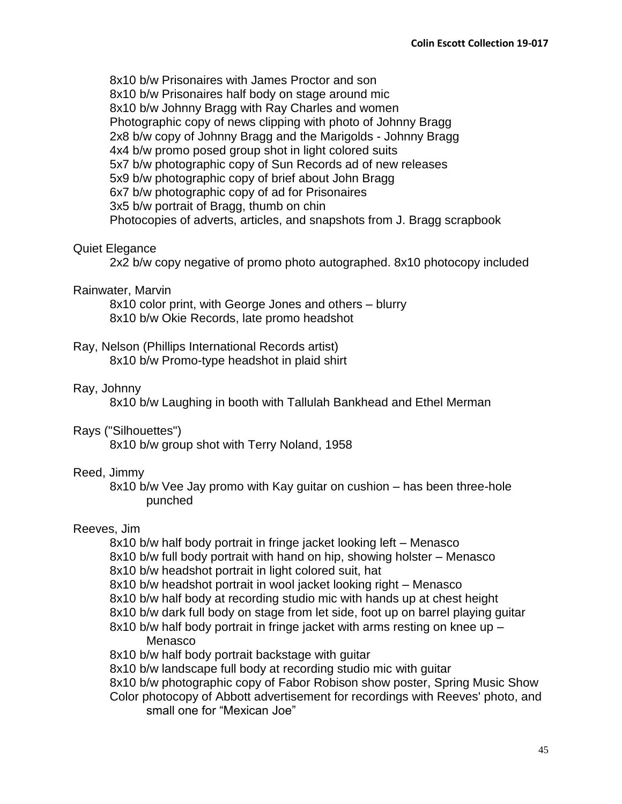8x10 b/w Prisonaires with James Proctor and son 8x10 b/w Prisonaires half body on stage around mic 8x10 b/w Johnny Bragg with Ray Charles and women Photographic copy of news clipping with photo of Johnny Bragg 2x8 b/w copy of Johnny Bragg and the Marigolds - Johnny Bragg 4x4 b/w promo posed group shot in light colored suits 5x7 b/w photographic copy of Sun Records ad of new releases 5x9 b/w photographic copy of brief about John Bragg 6x7 b/w photographic copy of ad for Prisonaires 3x5 b/w portrait of Bragg, thumb on chin Photocopies of adverts, articles, and snapshots from J. Bragg scrapbook

# Quiet Elegance

2x2 b/w copy negative of promo photo autographed. 8x10 photocopy included

### Rainwater, Marvin

8x10 color print, with George Jones and others – blurry 8x10 b/w Okie Records, late promo headshot

# Ray, Nelson (Phillips International Records artist)

8x10 b/w Promo-type headshot in plaid shirt

# Ray, Johnny

8x10 b/w Laughing in booth with Tallulah Bankhead and Ethel Merman

# Rays ("Silhouettes")

8x10 b/w group shot with Terry Noland, 1958

# Reed, Jimmy

8x10 b/w Vee Jay promo with Kay guitar on cushion – has been three-hole punched

# Reeves, Jim

8x10 b/w half body portrait in fringe jacket looking left – Menasco

- 8x10 b/w full body portrait with hand on hip, showing holster Menasco
- 8x10 b/w headshot portrait in light colored suit, hat
- 8x10 b/w headshot portrait in wool jacket looking right Menasco
- 8x10 b/w half body at recording studio mic with hands up at chest height
- 8x10 b/w dark full body on stage from let side, foot up on barrel playing guitar
- 8x10 b/w half body portrait in fringe jacket with arms resting on knee up Menasco
- 8x10 b/w half body portrait backstage with guitar
- 8x10 b/w landscape full body at recording studio mic with guitar
- 8x10 b/w photographic copy of Fabor Robison show poster, Spring Music Show
- Color photocopy of Abbott advertisement for recordings with Reeves' photo, and small one for "Mexican Joe"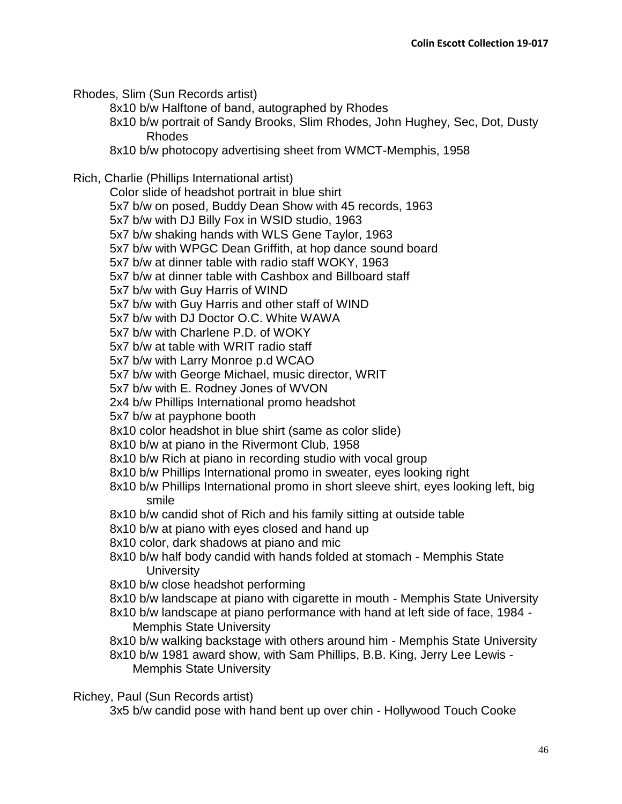Rhodes, Slim (Sun Records artist)

8x10 b/w Halftone of band, autographed by Rhodes

8x10 b/w portrait of Sandy Brooks, Slim Rhodes, John Hughey, Sec, Dot, Dusty Rhodes

8x10 b/w photocopy advertising sheet from WMCT-Memphis, 1958

Rich, Charlie (Phillips International artist)

Color slide of headshot portrait in blue shirt

5x7 b/w on posed, Buddy Dean Show with 45 records, 1963

5x7 b/w with DJ Billy Fox in WSID studio, 1963

5x7 b/w shaking hands with WLS Gene Taylor, 1963

5x7 b/w with WPGC Dean Griffith, at hop dance sound board

5x7 b/w at dinner table with radio staff WOKY, 1963

5x7 b/w at dinner table with Cashbox and Billboard staff

5x7 b/w with Guy Harris of WIND

5x7 b/w with Guy Harris and other staff of WIND

5x7 b/w with DJ Doctor O.C. White WAWA

5x7 b/w with Charlene P.D. of WOKY

5x7 b/w at table with WRIT radio staff

5x7 b/w with Larry Monroe p.d WCAO

5x7 b/w with George Michael, music director, WRIT

5x7 b/w with E. Rodney Jones of WVON

2x4 b/w Phillips International promo headshot

5x7 b/w at payphone booth

8x10 color headshot in blue shirt (same as color slide)

8x10 b/w at piano in the Rivermont Club, 1958

8x10 b/w Rich at piano in recording studio with vocal group

8x10 b/w Phillips International promo in sweater, eyes looking right

8x10 b/w Phillips International promo in short sleeve shirt, eyes looking left, big smile

8x10 b/w candid shot of Rich and his family sitting at outside table

8x10 b/w at piano with eyes closed and hand up

8x10 color, dark shadows at piano and mic

8x10 b/w half body candid with hands folded at stomach - Memphis State **University** 

8x10 b/w close headshot performing

8x10 b/w landscape at piano with cigarette in mouth - Memphis State University

8x10 b/w landscape at piano performance with hand at left side of face, 1984 - Memphis State University

8x10 b/w walking backstage with others around him - Memphis State University

8x10 b/w 1981 award show, with Sam Phillips, B.B. King, Jerry Lee Lewis - Memphis State University

Richey, Paul (Sun Records artist)

3x5 b/w candid pose with hand bent up over chin - Hollywood Touch Cooke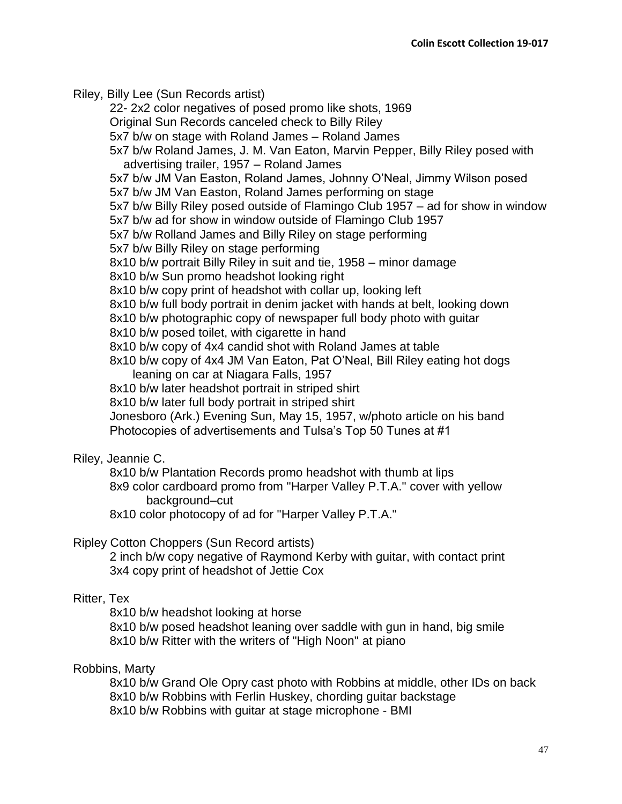Riley, Billy Lee (Sun Records artist)

22- 2x2 color negatives of posed promo like shots, 1969

Original Sun Records canceled check to Billy Riley

5x7 b/w on stage with Roland James – Roland James

5x7 b/w Roland James, J. M. Van Eaton, Marvin Pepper, Billy Riley posed with advertising trailer, 1957 – Roland James

5x7 b/w JM Van Easton, Roland James, Johnny O'Neal, Jimmy Wilson posed 5x7 b/w JM Van Easton, Roland James performing on stage

5x7 b/w Billy Riley posed outside of Flamingo Club 1957 – ad for show in window

5x7 b/w ad for show in window outside of Flamingo Club 1957

5x7 b/w Rolland James and Billy Riley on stage performing

5x7 b/w Billy Riley on stage performing

8x10 b/w portrait Billy Riley in suit and tie, 1958 – minor damage

8x10 b/w Sun promo headshot looking right

8x10 b/w copy print of headshot with collar up, looking left

8x10 b/w full body portrait in denim jacket with hands at belt, looking down

8x10 b/w photographic copy of newspaper full body photo with guitar

8x10 b/w posed toilet, with cigarette in hand

8x10 b/w copy of 4x4 candid shot with Roland James at table

8x10 b/w copy of 4x4 JM Van Eaton, Pat O'Neal, Bill Riley eating hot dogs leaning on car at Niagara Falls, 1957

8x10 b/w later headshot portrait in striped shirt

8x10 b/w later full body portrait in striped shirt

Jonesboro (Ark.) Evening Sun, May 15, 1957, w/photo article on his band Photocopies of advertisements and Tulsa's Top 50 Tunes at #1

# Riley, Jeannie C.

8x10 b/w Plantation Records promo headshot with thumb at lips

8x9 color cardboard promo from "Harper Valley P.T.A." cover with yellow background–cut

8x10 color photocopy of ad for "Harper Valley P.T.A."

# Ripley Cotton Choppers (Sun Record artists)

2 inch b/w copy negative of Raymond Kerby with guitar, with contact print 3x4 copy print of headshot of Jettie Cox

# Ritter, Tex

8x10 b/w headshot looking at horse

8x10 b/w posed headshot leaning over saddle with gun in hand, big smile 8x10 b/w Ritter with the writers of "High Noon" at piano

# Robbins, Marty

8x10 b/w Grand Ole Opry cast photo with Robbins at middle, other IDs on back 8x10 b/w Robbins with Ferlin Huskey, chording guitar backstage 8x10 b/w Robbins with guitar at stage microphone - BMI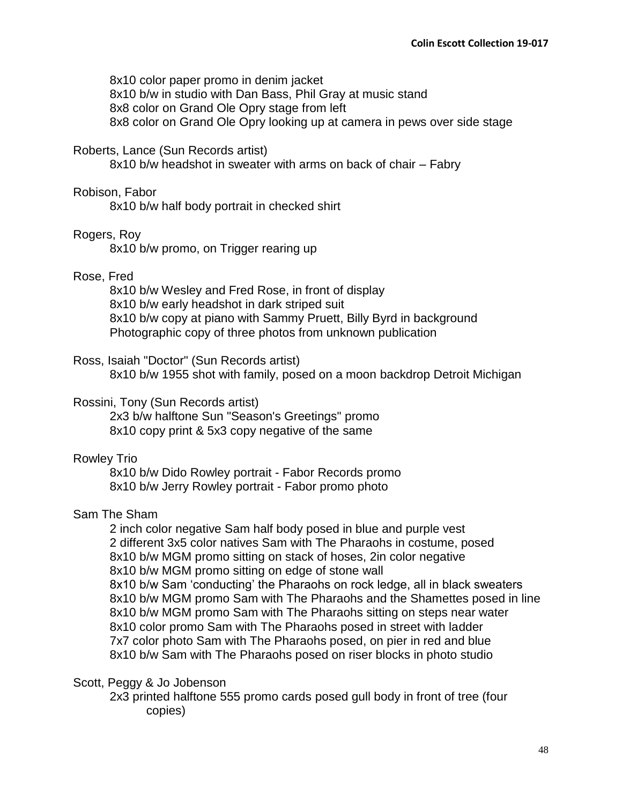8x10 color paper promo in denim jacket 8x10 b/w in studio with Dan Bass, Phil Gray at music stand 8x8 color on Grand Ole Opry stage from left 8x8 color on Grand Ole Opry looking up at camera in pews over side stage

### Roberts, Lance (Sun Records artist)

8x10 b/w headshot in sweater with arms on back of chair – Fabry

#### Robison, Fabor

8x10 b/w half body portrait in checked shirt

### Rogers, Roy

8x10 b/w promo, on Trigger rearing up

### Rose, Fred

8x10 b/w Wesley and Fred Rose, in front of display 8x10 b/w early headshot in dark striped suit 8x10 b/w copy at piano with Sammy Pruett, Billy Byrd in background Photographic copy of three photos from unknown publication

### Ross, Isaiah "Doctor" (Sun Records artist)

8x10 b/w 1955 shot with family, posed on a moon backdrop Detroit Michigan

### Rossini, Tony (Sun Records artist)

2x3 b/w halftone Sun "Season's Greetings" promo 8x10 copy print & 5x3 copy negative of the same

## Rowley Trio

8x10 b/w Dido Rowley portrait - Fabor Records promo 8x10 b/w Jerry Rowley portrait - Fabor promo photo

### Sam The Sham

2 inch color negative Sam half body posed in blue and purple vest 2 different 3x5 color natives Sam with The Pharaohs in costume, posed 8x10 b/w MGM promo sitting on stack of hoses, 2in color negative 8x10 b/w MGM promo sitting on edge of stone wall 8x10 b/w Sam 'conducting' the Pharaohs on rock ledge, all in black sweaters 8x10 b/w MGM promo Sam with The Pharaohs and the Shamettes posed in line 8x10 b/w MGM promo Sam with The Pharaohs sitting on steps near water 8x10 color promo Sam with The Pharaohs posed in street with ladder 7x7 color photo Sam with The Pharaohs posed, on pier in red and blue 8x10 b/w Sam with The Pharaohs posed on riser blocks in photo studio

#### Scott, Peggy & Jo Jobenson

2x3 printed halftone 555 promo cards posed gull body in front of tree (four copies)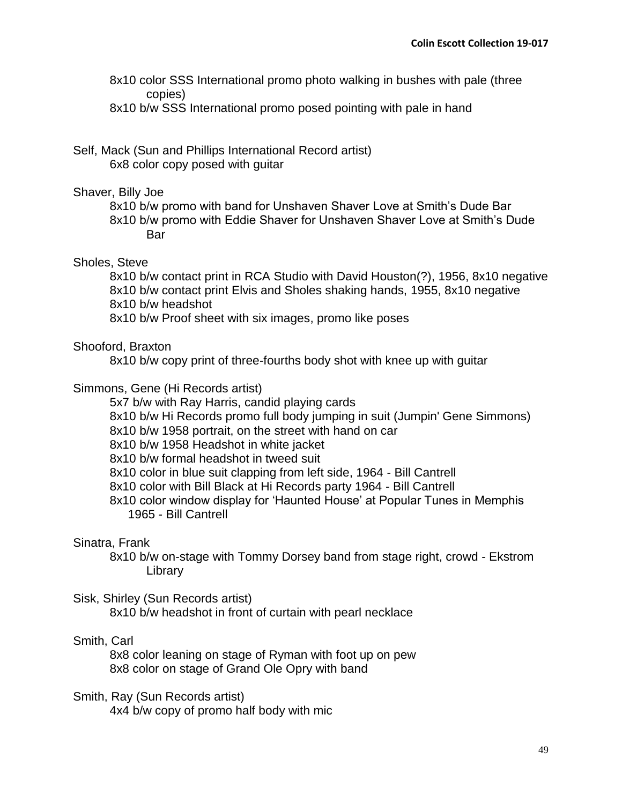8x10 color SSS International promo photo walking in bushes with pale (three copies)

8x10 b/w SSS International promo posed pointing with pale in hand

## Self, Mack (Sun and Phillips International Record artist) 6x8 color copy posed with guitar

### Shaver, Billy Joe

8x10 b/w promo with band for Unshaven Shaver Love at Smith's Dude Bar 8x10 b/w promo with Eddie Shaver for Unshaven Shaver Love at Smith's Dude **Bar** 

## Sholes, Steve

8x10 b/w contact print in RCA Studio with David Houston(?), 1956, 8x10 negative 8x10 b/w contact print Elvis and Sholes shaking hands, 1955, 8x10 negative 8x10 b/w headshot

8x10 b/w Proof sheet with six images, promo like poses

## Shooford, Braxton

8x10 b/w copy print of three-fourths body shot with knee up with guitar

## Simmons, Gene (Hi Records artist)

5x7 b/w with Ray Harris, candid playing cards

- 8x10 b/w Hi Records promo full body jumping in suit (Jumpin' Gene Simmons)
- 8x10 b/w 1958 portrait, on the street with hand on car

8x10 b/w 1958 Headshot in white jacket

8x10 b/w formal headshot in tweed suit

8x10 color in blue suit clapping from left side, 1964 - Bill Cantrell

8x10 color with Bill Black at Hi Records party 1964 - Bill Cantrell

8x10 color window display for 'Haunted House' at Popular Tunes in Memphis 1965 - Bill Cantrell

### Sinatra, Frank

8x10 b/w on-stage with Tommy Dorsey band from stage right, crowd - Ekstrom Library

# Sisk, Shirley (Sun Records artist)

8x10 b/w headshot in front of curtain with pearl necklace

# Smith, Carl

8x8 color leaning on stage of Ryman with foot up on pew 8x8 color on stage of Grand Ole Opry with band

Smith, Ray (Sun Records artist) 4x4 b/w copy of promo half body with mic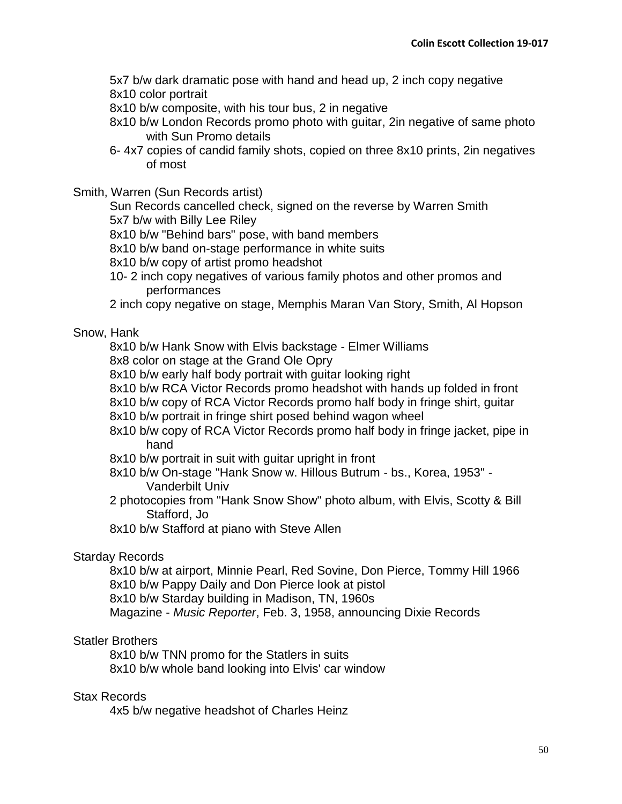5x7 b/w dark dramatic pose with hand and head up, 2 inch copy negative 8x10 color portrait

8x10 b/w composite, with his tour bus, 2 in negative

- 8x10 b/w London Records promo photo with guitar, 2in negative of same photo with Sun Promo details
- 6- 4x7 copies of candid family shots, copied on three 8x10 prints, 2in negatives of most

Smith, Warren (Sun Records artist)

Sun Records cancelled check, signed on the reverse by Warren Smith 5x7 b/w with Billy Lee Riley

8x10 b/w "Behind bars" pose, with band members

8x10 b/w band on-stage performance in white suits

8x10 b/w copy of artist promo headshot

10- 2 inch copy negatives of various family photos and other promos and performances

2 inch copy negative on stage, Memphis Maran Van Story, Smith, Al Hopson

# Snow, Hank

8x10 b/w Hank Snow with Elvis backstage - Elmer Williams

8x8 color on stage at the Grand Ole Opry

8x10 b/w early half body portrait with guitar looking right

8x10 b/w RCA Victor Records promo headshot with hands up folded in front

8x10 b/w copy of RCA Victor Records promo half body in fringe shirt, guitar

- 8x10 b/w portrait in fringe shirt posed behind wagon wheel
- 8x10 b/w copy of RCA Victor Records promo half body in fringe jacket, pipe in hand
- 8x10 b/w portrait in suit with guitar upright in front
- 8x10 b/w On-stage "Hank Snow w. Hillous Butrum bs., Korea, 1953" Vanderbilt Univ
- 2 photocopies from "Hank Snow Show" photo album, with Elvis, Scotty & Bill Stafford, Jo

8x10 b/w Stafford at piano with Steve Allen

# Starday Records

8x10 b/w at airport, Minnie Pearl, Red Sovine, Don Pierce, Tommy Hill 1966 8x10 b/w Pappy Daily and Don Pierce look at pistol 8x10 b/w Starday building in Madison, TN, 1960s

Magazine - *Music Reporter*, Feb. 3, 1958, announcing Dixie Records

# Statler Brothers

8x10 b/w TNN promo for the Statlers in suits 8x10 b/w whole band looking into Elvis' car window

### Stax Records

4x5 b/w negative headshot of Charles Heinz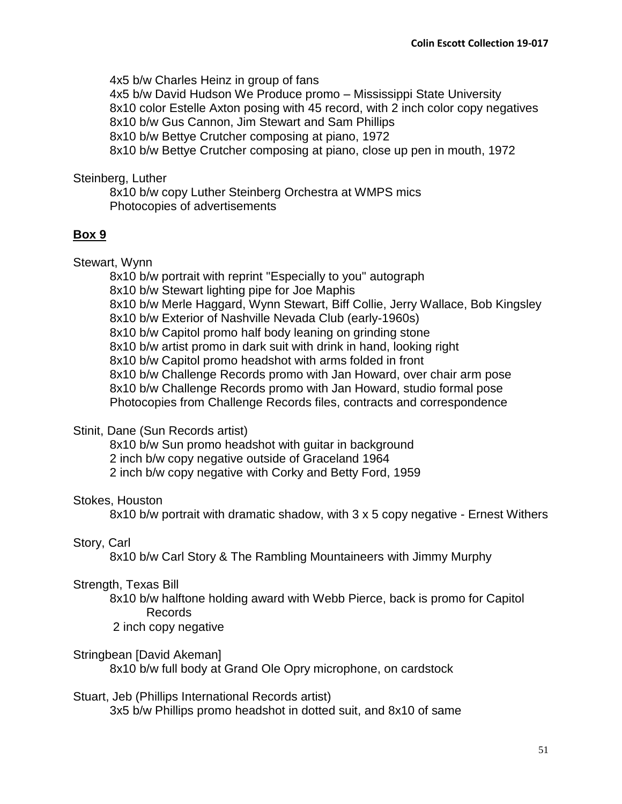4x5 b/w Charles Heinz in group of fans 4x5 b/w David Hudson We Produce promo – Mississippi State University 8x10 color Estelle Axton posing with 45 record, with 2 inch color copy negatives 8x10 b/w Gus Cannon, Jim Stewart and Sam Phillips 8x10 b/w Bettye Crutcher composing at piano, 1972 8x10 b/w Bettye Crutcher composing at piano, close up pen in mouth, 1972

# Steinberg, Luther

8x10 b/w copy Luther Steinberg Orchestra at WMPS mics Photocopies of advertisements

# **Box 9**

Stewart, Wynn

8x10 b/w portrait with reprint "Especially to you" autograph 8x10 b/w Stewart lighting pipe for Joe Maphis 8x10 b/w Merle Haggard, Wynn Stewart, Biff Collie, Jerry Wallace, Bob Kingsley 8x10 b/w Exterior of Nashville Nevada Club (early-1960s) 8x10 b/w Capitol promo half body leaning on grinding stone 8x10 b/w artist promo in dark suit with drink in hand, looking right 8x10 b/w Capitol promo headshot with arms folded in front 8x10 b/w Challenge Records promo with Jan Howard, over chair arm pose 8x10 b/w Challenge Records promo with Jan Howard, studio formal pose Photocopies from Challenge Records files, contracts and correspondence

# Stinit, Dane (Sun Records artist)

8x10 b/w Sun promo headshot with guitar in background

2 inch b/w copy negative outside of Graceland 1964

2 inch b/w copy negative with Corky and Betty Ford, 1959

# Stokes, Houston

8x10 b/w portrait with dramatic shadow, with 3 x 5 copy negative - Ernest Withers

# Story, Carl

8x10 b/w Carl Story & The Rambling Mountaineers with Jimmy Murphy

# Strength, Texas Bill

8x10 b/w halftone holding award with Webb Pierce, back is promo for Capitol Records

2 inch copy negative

# Stringbean [David Akeman]

8x10 b/w full body at Grand Ole Opry microphone, on cardstock

# Stuart, Jeb (Phillips International Records artist)

3x5 b/w Phillips promo headshot in dotted suit, and 8x10 of same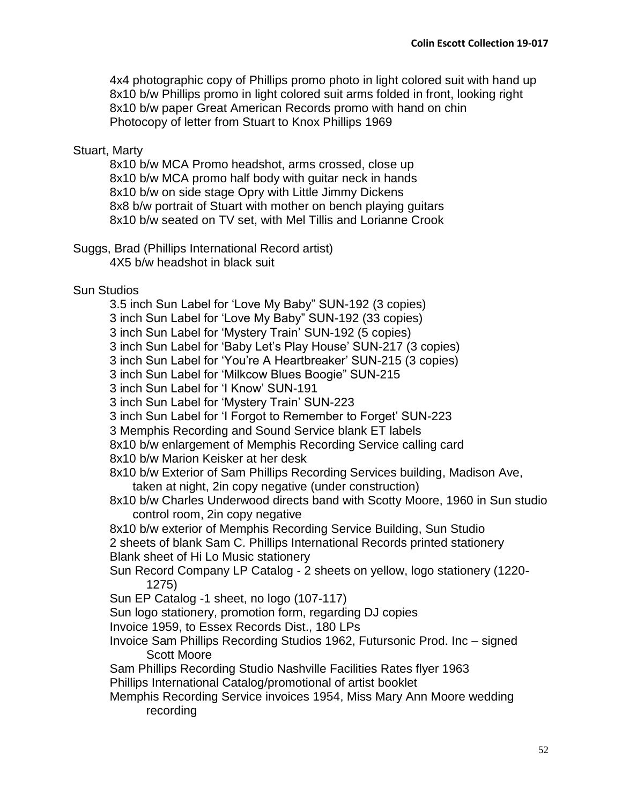4x4 photographic copy of Phillips promo photo in light colored suit with hand up 8x10 b/w Phillips promo in light colored suit arms folded in front, looking right 8x10 b/w paper Great American Records promo with hand on chin Photocopy of letter from Stuart to Knox Phillips 1969

# Stuart, Marty

8x10 b/w MCA Promo headshot, arms crossed, close up 8x10 b/w MCA promo half body with guitar neck in hands 8x10 b/w on side stage Opry with Little Jimmy Dickens 8x8 b/w portrait of Stuart with mother on bench playing guitars 8x10 b/w seated on TV set, with Mel Tillis and Lorianne Crook

Suggs, Brad (Phillips International Record artist) 4X5 b/w headshot in black suit

# Sun Studios

3.5 inch Sun Label for 'Love My Baby" SUN-192 (3 copies)

3 inch Sun Label for 'Love My Baby" SUN-192 (33 copies)

3 inch Sun Label for 'Mystery Train' SUN-192 (5 copies)

3 inch Sun Label for 'Baby Let's Play House' SUN-217 (3 copies)

3 inch Sun Label for 'You're A Heartbreaker' SUN-215 (3 copies)

3 inch Sun Label for 'Milkcow Blues Boogie" SUN-215

3 inch Sun Label for 'I Know' SUN-191

3 inch Sun Label for 'Mystery Train' SUN-223

3 inch Sun Label for 'I Forgot to Remember to Forget' SUN-223

3 Memphis Recording and Sound Service blank ET labels

8x10 b/w enlargement of Memphis Recording Service calling card

8x10 b/w Marion Keisker at her desk

8x10 b/w Exterior of Sam Phillips Recording Services building, Madison Ave, taken at night, 2in copy negative (under construction)

8x10 b/w Charles Underwood directs band with Scotty Moore, 1960 in Sun studio control room, 2in copy negative

8x10 b/w exterior of Memphis Recording Service Building, Sun Studio 2 sheets of blank Sam C. Phillips International Records printed stationery Blank sheet of Hi Lo Music stationery

Sun Record Company LP Catalog - 2 sheets on yellow, logo stationery (1220- 1275)

Sun EP Catalog -1 sheet, no logo (107-117)

Sun logo stationery, promotion form, regarding DJ copies

Invoice 1959, to Essex Records Dist., 180 LPs

Invoice Sam Phillips Recording Studios 1962, Futursonic Prod. Inc – signed Scott Moore

Sam Phillips Recording Studio Nashville Facilities Rates flyer 1963 Phillips International Catalog/promotional of artist booklet

Memphis Recording Service invoices 1954, Miss Mary Ann Moore wedding recording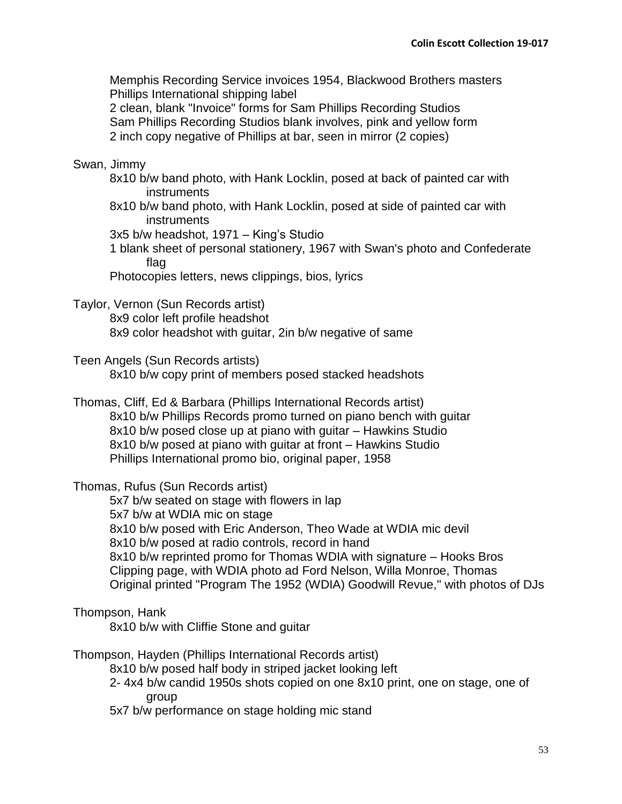Memphis Recording Service invoices 1954, Blackwood Brothers masters Phillips International shipping label

2 clean, blank "Invoice" forms for Sam Phillips Recording Studios Sam Phillips Recording Studios blank involves, pink and yellow form 2 inch copy negative of Phillips at bar, seen in mirror (2 copies)

# Swan, Jimmy

- 8x10 b/w band photo, with Hank Locklin, posed at back of painted car with instruments
- 8x10 b/w band photo, with Hank Locklin, posed at side of painted car with instruments

3x5 b/w headshot, 1971 – King's Studio

1 blank sheet of personal stationery, 1967 with Swan's photo and Confederate flag

Photocopies letters, news clippings, bios, lyrics

Taylor, Vernon (Sun Records artist)

8x9 color left profile headshot

8x9 color headshot with guitar, 2in b/w negative of same

Teen Angels (Sun Records artists)

8x10 b/w copy print of members posed stacked headshots

Thomas, Cliff, Ed & Barbara (Phillips International Records artist) 8x10 b/w Phillips Records promo turned on piano bench with guitar 8x10 b/w posed close up at piano with guitar – Hawkins Studio 8x10 b/w posed at piano with guitar at front – Hawkins Studio Phillips International promo bio, original paper, 1958

Thomas, Rufus (Sun Records artist)

5x7 b/w seated on stage with flowers in lap 5x7 b/w at WDIA mic on stage 8x10 b/w posed with Eric Anderson, Theo Wade at WDIA mic devil 8x10 b/w posed at radio controls, record in hand 8x10 b/w reprinted promo for Thomas WDIA with signature – Hooks Bros Clipping page, with WDIA photo ad Ford Nelson, Willa Monroe, Thomas Original printed "Program The 1952 (WDIA) Goodwill Revue," with photos of DJs

# Thompson, Hank

8x10 b/w with Cliffie Stone and guitar

Thompson, Hayden (Phillips International Records artist)

8x10 b/w posed half body in striped jacket looking left

- 2- 4x4 b/w candid 1950s shots copied on one 8x10 print, one on stage, one of group
- 5x7 b/w performance on stage holding mic stand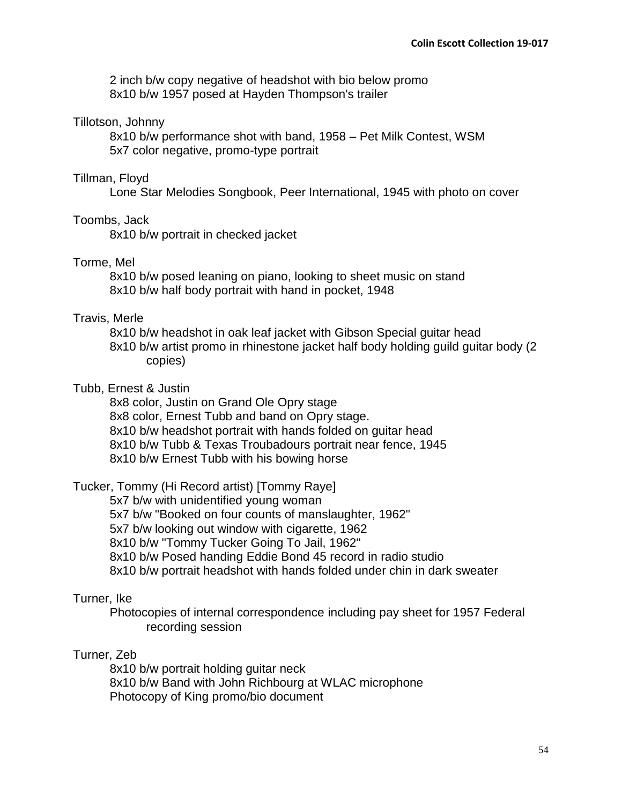2 inch b/w copy negative of headshot with bio below promo 8x10 b/w 1957 posed at Hayden Thompson's trailer

## Tillotson, Johnny

8x10 b/w performance shot with band, 1958 – Pet Milk Contest, WSM 5x7 color negative, promo-type portrait

## Tillman, Floyd

Lone Star Melodies Songbook, Peer International, 1945 with photo on cover

## Toombs, Jack

8x10 b/w portrait in checked jacket

## Torme, Mel

8x10 b/w posed leaning on piano, looking to sheet music on stand 8x10 b/w half body portrait with hand in pocket, 1948

# Travis, Merle

8x10 b/w headshot in oak leaf jacket with Gibson Special guitar head 8x10 b/w artist promo in rhinestone jacket half body holding guild guitar body (2 copies)

## Tubb, Ernest & Justin

8x8 color, Justin on Grand Ole Opry stage 8x8 color, Ernest Tubb and band on Opry stage. 8x10 b/w headshot portrait with hands folded on guitar head 8x10 b/w Tubb & Texas Troubadours portrait near fence, 1945 8x10 b/w Ernest Tubb with his bowing horse

Tucker, Tommy (Hi Record artist) [Tommy Raye]

5x7 b/w with unidentified young woman

5x7 b/w "Booked on four counts of manslaughter, 1962"

5x7 b/w looking out window with cigarette, 1962

8x10 b/w "Tommy Tucker Going To Jail, 1962"

8x10 b/w Posed handing Eddie Bond 45 record in radio studio

8x10 b/w portrait headshot with hands folded under chin in dark sweater

# Turner, Ike

Photocopies of internal correspondence including pay sheet for 1957 Federal recording session

# Turner, Zeb

8x10 b/w portrait holding guitar neck 8x10 b/w Band with John Richbourg at WLAC microphone Photocopy of King promo/bio document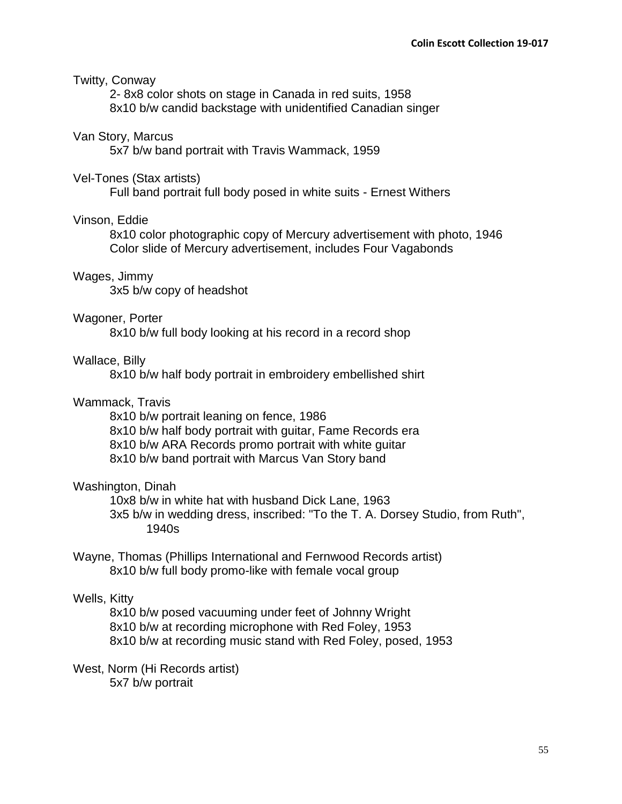### Twitty, Conway

2- 8x8 color shots on stage in Canada in red suits, 1958 8x10 b/w candid backstage with unidentified Canadian singer

#### Van Story, Marcus

5x7 b/w band portrait with Travis Wammack, 1959

### Vel-Tones (Stax artists)

Full band portrait full body posed in white suits - Ernest Withers

### Vinson, Eddie

8x10 color photographic copy of Mercury advertisement with photo, 1946 Color slide of Mercury advertisement, includes Four Vagabonds

### Wages, Jimmy

3x5 b/w copy of headshot

### Wagoner, Porter

8x10 b/w full body looking at his record in a record shop

### Wallace, Billy

8x10 b/w half body portrait in embroidery embellished shirt

### Wammack, Travis

8x10 b/w portrait leaning on fence, 1986 8x10 b/w half body portrait with guitar, Fame Records era 8x10 b/w ARA Records promo portrait with white guitar 8x10 b/w band portrait with Marcus Van Story band

### Washington, Dinah

10x8 b/w in white hat with husband Dick Lane, 1963 3x5 b/w in wedding dress, inscribed: "To the T. A. Dorsey Studio, from Ruth", 1940s

Wayne, Thomas (Phillips International and Fernwood Records artist) 8x10 b/w full body promo-like with female vocal group

## Wells, Kitty

8x10 b/w posed vacuuming under feet of Johnny Wright 8x10 b/w at recording microphone with Red Foley, 1953 8x10 b/w at recording music stand with Red Foley, posed, 1953

West, Norm (Hi Records artist) 5x7 b/w portrait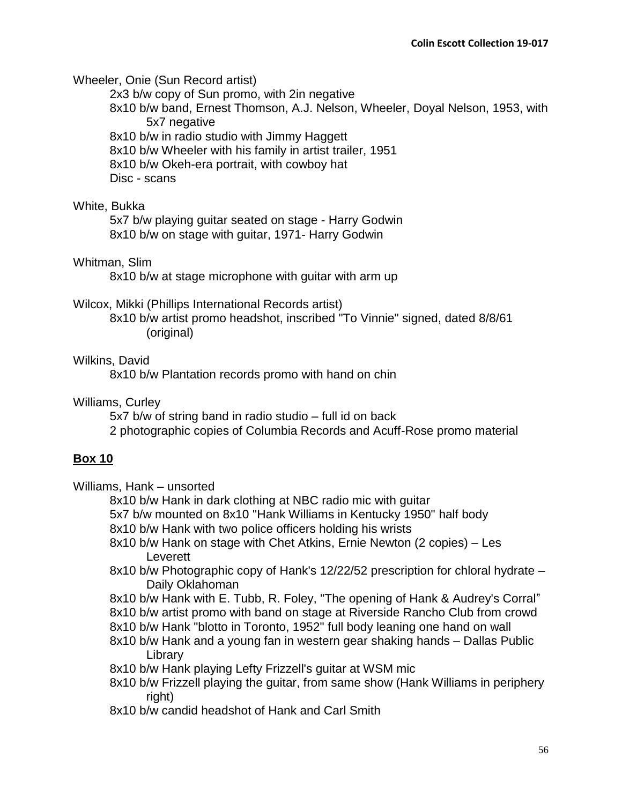Wheeler, Onie (Sun Record artist)

2x3 b/w copy of Sun promo, with 2in negative

8x10 b/w band, Ernest Thomson, A.J. Nelson, Wheeler, Doyal Nelson, 1953, with 5x7 negative

8x10 b/w in radio studio with Jimmy Haggett

8x10 b/w Wheeler with his family in artist trailer, 1951

8x10 b/w Okeh-era portrait, with cowboy hat

Disc - scans

# White, Bukka

5x7 b/w playing guitar seated on stage - Harry Godwin 8x10 b/w on stage with guitar, 1971- Harry Godwin

# Whitman, Slim

8x10 b/w at stage microphone with guitar with arm up

## Wilcox, Mikki (Phillips International Records artist)

8x10 b/w artist promo headshot, inscribed "To Vinnie" signed, dated 8/8/61 (original)

## Wilkins, David

8x10 b/w Plantation records promo with hand on chin

Williams, Curley

5x7 b/w of string band in radio studio – full id on back 2 photographic copies of Columbia Records and Acuff-Rose promo material

# **Box 10**

Williams, Hank – unsorted

8x10 b/w Hank in dark clothing at NBC radio mic with guitar

5x7 b/w mounted on 8x10 "Hank Williams in Kentucky 1950" half body

8x10 b/w Hank with two police officers holding his wrists

- 8x10 b/w Hank on stage with Chet Atkins, Ernie Newton (2 copies) Les Leverett
- 8x10 b/w Photographic copy of Hank's 12/22/52 prescription for chloral hydrate Daily Oklahoman
- 8x10 b/w Hank with E. Tubb, R. Foley, "The opening of Hank & Audrey's Corral"
- 8x10 b/w artist promo with band on stage at Riverside Rancho Club from crowd
- 8x10 b/w Hank "blotto in Toronto, 1952" full body leaning one hand on wall
- 8x10 b/w Hank and a young fan in western gear shaking hands Dallas Public Library
- 8x10 b/w Hank playing Lefty Frizzell's guitar at WSM mic
- 8x10 b/w Frizzell playing the guitar, from same show (Hank Williams in periphery right)
- 8x10 b/w candid headshot of Hank and Carl Smith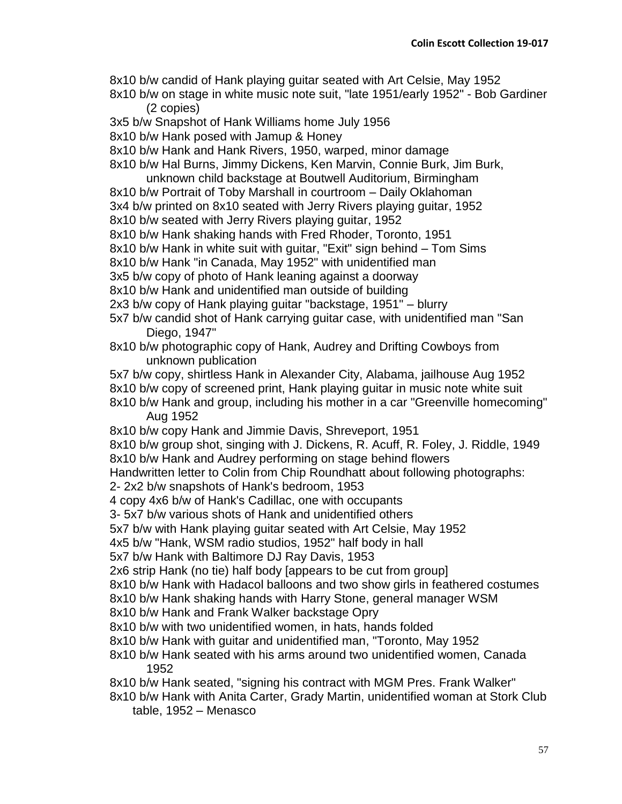- 8x10 b/w candid of Hank playing guitar seated with Art Celsie, May 1952
- 8x10 b/w on stage in white music note suit, "late 1951/early 1952" Bob Gardiner (2 copies)
- 3x5 b/w Snapshot of Hank Williams home July 1956
- 8x10 b/w Hank posed with Jamup & Honey
- 8x10 b/w Hank and Hank Rivers, 1950, warped, minor damage
- 8x10 b/w Hal Burns, Jimmy Dickens, Ken Marvin, Connie Burk, Jim Burk,
- unknown child backstage at Boutwell Auditorium, Birmingham 8x10 b/w Portrait of Toby Marshall in courtroom – Daily Oklahoman 3x4 b/w printed on 8x10 seated with Jerry Rivers playing guitar, 1952 8x10 b/w seated with Jerry Rivers playing guitar, 1952
- 8x10 b/w Hank shaking hands with Fred Rhoder, Toronto, 1951
- 8x10 b/w Hank in white suit with guitar, "Exit" sign behind Tom Sims
- 8x10 b/w Hank "in Canada, May 1952" with unidentified man
- 3x5 b/w copy of photo of Hank leaning against a doorway
- 8x10 b/w Hank and unidentified man outside of building
- 2x3 b/w copy of Hank playing guitar "backstage, 1951" blurry
- 5x7 b/w candid shot of Hank carrying guitar case, with unidentified man "San Diego, 1947"
- 8x10 b/w photographic copy of Hank, Audrey and Drifting Cowboys from unknown publication
- 5x7 b/w copy, shirtless Hank in Alexander City, Alabama, jailhouse Aug 1952 8x10 b/w copy of screened print, Hank playing guitar in music note white suit
- 8x10 b/w Hank and group, including his mother in a car "Greenville homecoming" Aug 1952
- 8x10 b/w copy Hank and Jimmie Davis, Shreveport, 1951
- 8x10 b/w group shot, singing with J. Dickens, R. Acuff, R. Foley, J. Riddle, 1949 8x10 b/w Hank and Audrey performing on stage behind flowers
- Handwritten letter to Colin from Chip Roundhatt about following photographs:
- 2- 2x2 b/w snapshots of Hank's bedroom, 1953
- 4 copy 4x6 b/w of Hank's Cadillac, one with occupants
- 3- 5x7 b/w various shots of Hank and unidentified others
- 5x7 b/w with Hank playing guitar seated with Art Celsie, May 1952
- 4x5 b/w "Hank, WSM radio studios, 1952" half body in hall
- 5x7 b/w Hank with Baltimore DJ Ray Davis, 1953
- 2x6 strip Hank (no tie) half body [appears to be cut from group]
- 8x10 b/w Hank with Hadacol balloons and two show girls in feathered costumes
- 8x10 b/w Hank shaking hands with Harry Stone, general manager WSM
- 8x10 b/w Hank and Frank Walker backstage Opry
- 8x10 b/w with two unidentified women, in hats, hands folded
- 8x10 b/w Hank with guitar and unidentified man, "Toronto, May 1952
- 8x10 b/w Hank seated with his arms around two unidentified women, Canada 1952
- 8x10 b/w Hank seated, "signing his contract with MGM Pres. Frank Walker"
- 8x10 b/w Hank with Anita Carter, Grady Martin, unidentified woman at Stork Club table, 1952 – Menasco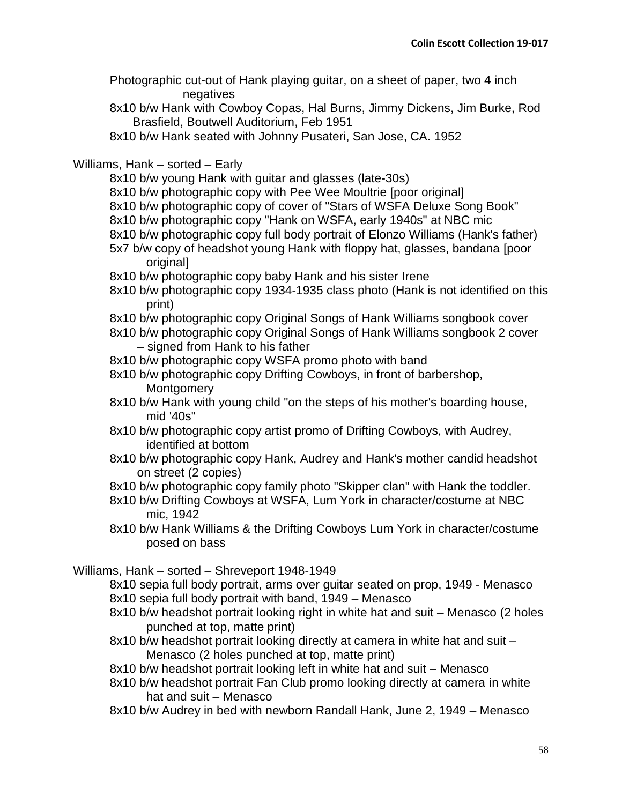Photographic cut-out of Hank playing guitar, on a sheet of paper, two 4 inch negatives

8x10 b/w Hank with Cowboy Copas, Hal Burns, Jimmy Dickens, Jim Burke, Rod Brasfield, Boutwell Auditorium, Feb 1951

8x10 b/w Hank seated with Johnny Pusateri, San Jose, CA. 1952

# Williams, Hank – sorted – Early

- 8x10 b/w young Hank with guitar and glasses (late-30s)
- 8x10 b/w photographic copy with Pee Wee Moultrie [poor original]
- 8x10 b/w photographic copy of cover of "Stars of WSFA Deluxe Song Book"
- 8x10 b/w photographic copy "Hank on WSFA, early 1940s" at NBC mic
- 8x10 b/w photographic copy full body portrait of Elonzo Williams (Hank's father) 5x7 b/w copy of headshot young Hank with floppy hat, glasses, bandana [poor
- original]
- 8x10 b/w photographic copy baby Hank and his sister Irene
- 8x10 b/w photographic copy 1934-1935 class photo (Hank is not identified on this print)
- 8x10 b/w photographic copy Original Songs of Hank Williams songbook cover
- 8x10 b/w photographic copy Original Songs of Hank Williams songbook 2 cover – signed from Hank to his father
- 8x10 b/w photographic copy WSFA promo photo with band
- 8x10 b/w photographic copy Drifting Cowboys, in front of barbershop, Montgomery
- 8x10 b/w Hank with young child "on the steps of his mother's boarding house, mid '40s"
- 8x10 b/w photographic copy artist promo of Drifting Cowboys, with Audrey, identified at bottom
- 8x10 b/w photographic copy Hank, Audrey and Hank's mother candid headshot on street (2 copies)
- 8x10 b/w photographic copy family photo "Skipper clan" with Hank the toddler.
- 8x10 b/w Drifting Cowboys at WSFA, Lum York in character/costume at NBC mic, 1942
- 8x10 b/w Hank Williams & the Drifting Cowboys Lum York in character/costume posed on bass

Williams, Hank – sorted – Shreveport 1948-1949

- 8x10 sepia full body portrait, arms over guitar seated on prop, 1949 Menasco 8x10 sepia full body portrait with band, 1949 – Menasco
- 8x10 b/w headshot portrait looking right in white hat and suit Menasco (2 holes punched at top, matte print)
- 8x10 b/w headshot portrait looking directly at camera in white hat and suit Menasco (2 holes punched at top, matte print)
- 8x10 b/w headshot portrait looking left in white hat and suit Menasco
- 8x10 b/w headshot portrait Fan Club promo looking directly at camera in white hat and suit – Menasco
- 8x10 b/w Audrey in bed with newborn Randall Hank, June 2, 1949 Menasco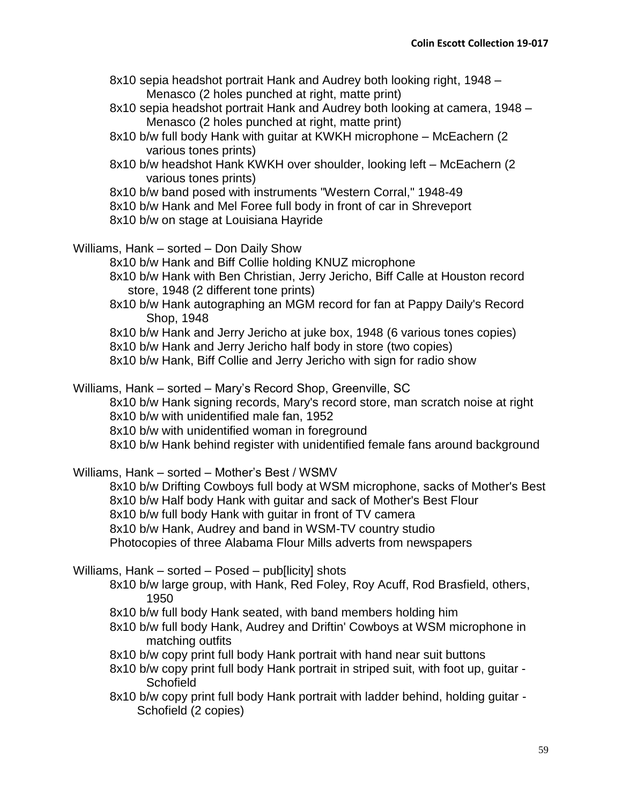- 8x10 sepia headshot portrait Hank and Audrey both looking right, 1948 Menasco (2 holes punched at right, matte print)
- 8x10 sepia headshot portrait Hank and Audrey both looking at camera, 1948 Menasco (2 holes punched at right, matte print)
- 8x10 b/w full body Hank with guitar at KWKH microphone McEachern (2 various tones prints)
- 8x10 b/w headshot Hank KWKH over shoulder, looking left McEachern (2 various tones prints)
- 8x10 b/w band posed with instruments "Western Corral," 1948-49
- 8x10 b/w Hank and Mel Foree full body in front of car in Shreveport
- 8x10 b/w on stage at Louisiana Hayride

Williams, Hank – sorted – Don Daily Show

8x10 b/w Hank and Biff Collie holding KNUZ microphone

- 8x10 b/w Hank with Ben Christian, Jerry Jericho, Biff Calle at Houston record store, 1948 (2 different tone prints)
- 8x10 b/w Hank autographing an MGM record for fan at Pappy Daily's Record Shop, 1948
- 8x10 b/w Hank and Jerry Jericho at juke box, 1948 (6 various tones copies)
- 8x10 b/w Hank and Jerry Jericho half body in store (two copies)
- 8x10 b/w Hank, Biff Collie and Jerry Jericho with sign for radio show

Williams, Hank – sorted – Mary's Record Shop, Greenville, SC

8x10 b/w Hank signing records, Mary's record store, man scratch noise at right 8x10 b/w with unidentified male fan, 1952

8x10 b/w with unidentified woman in foreground

8x10 b/w Hank behind register with unidentified female fans around background

Williams, Hank – sorted – Mother's Best / WSMV

8x10 b/w Drifting Cowboys full body at WSM microphone, sacks of Mother's Best 8x10 b/w Half body Hank with guitar and sack of Mother's Best Flour 8x10 b/w full body Hank with guitar in front of TV camera

8x10 b/w Hank, Audrey and band in WSM-TV country studio

Photocopies of three Alabama Flour Mills adverts from newspapers

Williams, Hank – sorted – Posed – pub[licity] shots

- 8x10 b/w large group, with Hank, Red Foley, Roy Acuff, Rod Brasfield, others, 1950
- 8x10 b/w full body Hank seated, with band members holding him
- 8x10 b/w full body Hank, Audrey and Driftin' Cowboys at WSM microphone in matching outfits
- 8x10 b/w copy print full body Hank portrait with hand near suit buttons
- 8x10 b/w copy print full body Hank portrait in striped suit, with foot up, guitar **Schofield**
- 8x10 b/w copy print full body Hank portrait with ladder behind, holding guitar Schofield (2 copies)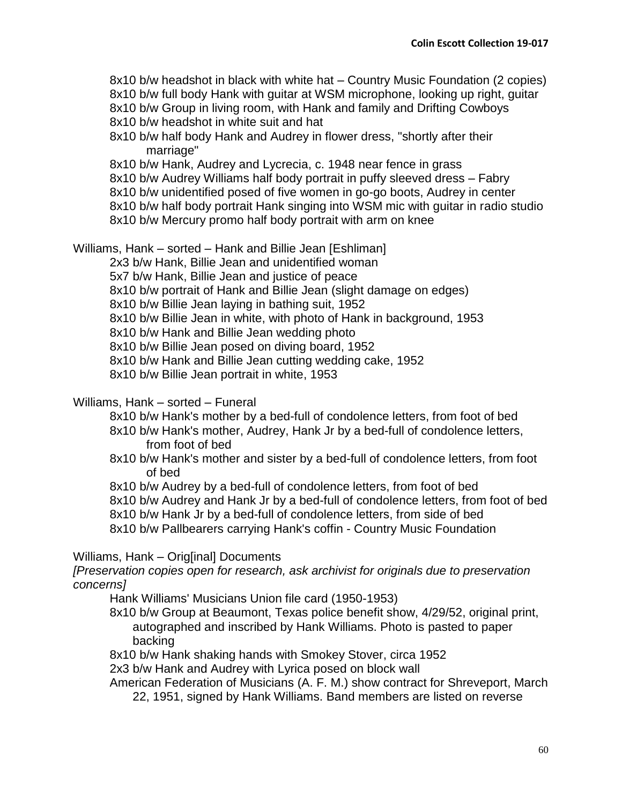8x10 b/w headshot in black with white hat – Country Music Foundation (2 copies) 8x10 b/w full body Hank with guitar at WSM microphone, looking up right, guitar 8x10 b/w Group in living room, with Hank and family and Drifting Cowboys 8x10 b/w headshot in white suit and hat

8x10 b/w half body Hank and Audrey in flower dress, "shortly after their marriage"

8x10 b/w Hank, Audrey and Lycrecia, c. 1948 near fence in grass

- 8x10 b/w Audrey Williams half body portrait in puffy sleeved dress Fabry
- 8x10 b/w unidentified posed of five women in go-go boots, Audrey in center
- 8x10 b/w half body portrait Hank singing into WSM mic with guitar in radio studio
- 8x10 b/w Mercury promo half body portrait with arm on knee

Williams, Hank – sorted – Hank and Billie Jean [Eshliman]

2x3 b/w Hank, Billie Jean and unidentified woman

5x7 b/w Hank, Billie Jean and justice of peace

8x10 b/w portrait of Hank and Billie Jean (slight damage on edges)

8x10 b/w Billie Jean laying in bathing suit, 1952

8x10 b/w Billie Jean in white, with photo of Hank in background, 1953

8x10 b/w Hank and Billie Jean wedding photo

8x10 b/w Billie Jean posed on diving board, 1952

8x10 b/w Hank and Billie Jean cutting wedding cake, 1952

8x10 b/w Billie Jean portrait in white, 1953

### Williams, Hank – sorted – Funeral

8x10 b/w Hank's mother by a bed-full of condolence letters, from foot of bed

8x10 b/w Hank's mother, Audrey, Hank Jr by a bed-full of condolence letters, from foot of bed

8x10 b/w Hank's mother and sister by a bed-full of condolence letters, from foot of bed

8x10 b/w Audrey by a bed-full of condolence letters, from foot of bed

8x10 b/w Audrey and Hank Jr by a bed-full of condolence letters, from foot of bed

8x10 b/w Hank Jr by a bed-full of condolence letters, from side of bed

8x10 b/w Pallbearers carrying Hank's coffin - Country Music Foundation

### Williams, Hank – Orig[inal] Documents

*[Preservation copies open for research, ask archivist for originals due to preservation concerns]*

Hank Williams' Musicians Union file card (1950-1953)

- 8x10 b/w Group at Beaumont, Texas police benefit show, 4/29/52, original print, autographed and inscribed by Hank Williams. Photo is pasted to paper backing
- 8x10 b/w Hank shaking hands with Smokey Stover, circa 1952

2x3 b/w Hank and Audrey with Lyrica posed on block wall

American Federation of Musicians (A. F. M.) show contract for Shreveport, March

22, 1951, signed by Hank Williams. Band members are listed on reverse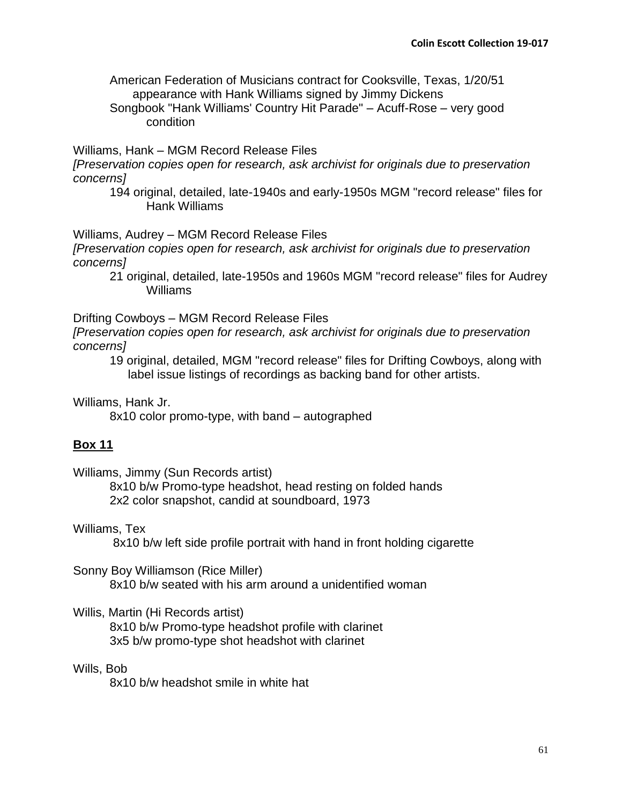American Federation of Musicians contract for Cooksville, Texas, 1/20/51 appearance with Hank Williams signed by Jimmy Dickens

Songbook "Hank Williams' Country Hit Parade" – Acuff-Rose – very good condition

Williams, Hank – MGM Record Release Files

*[Preservation copies open for research, ask archivist for originals due to preservation concerns]*

194 original, detailed, late-1940s and early-1950s MGM "record release" files for Hank Williams

Williams, Audrey – MGM Record Release Files

*[Preservation copies open for research, ask archivist for originals due to preservation concerns]*

21 original, detailed, late-1950s and 1960s MGM "record release" files for Audrey Williams

Drifting Cowboys – MGM Record Release Files

*[Preservation copies open for research, ask archivist for originals due to preservation concerns]*

19 original, detailed, MGM "record release" files for Drifting Cowboys, along with label issue listings of recordings as backing band for other artists.

Williams, Hank Jr.

8x10 color promo-type, with band – autographed

# **Box 11**

Williams, Jimmy (Sun Records artist)

8x10 b/w Promo-type headshot, head resting on folded hands 2x2 color snapshot, candid at soundboard, 1973

# Williams, Tex

8x10 b/w left side profile portrait with hand in front holding cigarette

Sonny Boy Williamson (Rice Miller) 8x10 b/w seated with his arm around a unidentified woman

Willis, Martin (Hi Records artist)

8x10 b/w Promo-type headshot profile with clarinet 3x5 b/w promo-type shot headshot with clarinet

### Wills, Bob

8x10 b/w headshot smile in white hat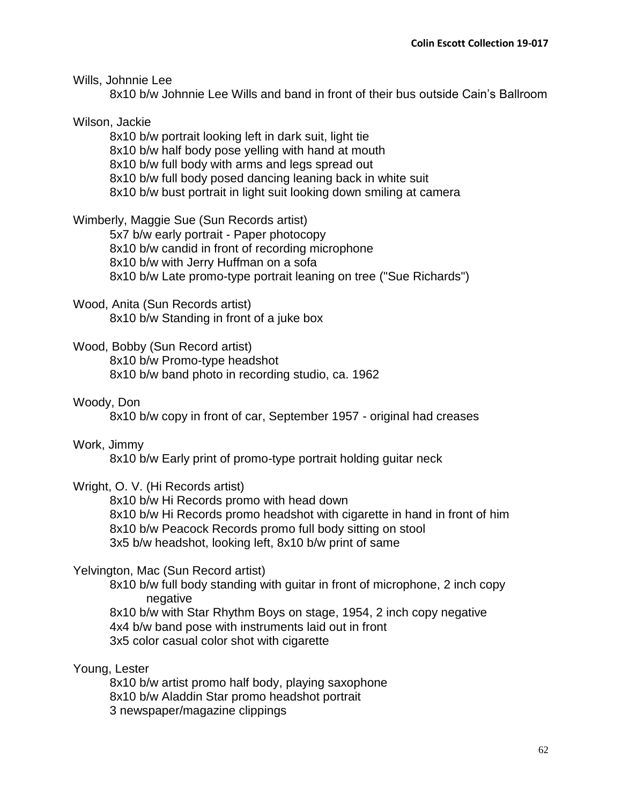Wills, Johnnie Lee

8x10 b/w Johnnie Lee Wills and band in front of their bus outside Cain's Ballroom

# Wilson, Jackie

8x10 b/w portrait looking left in dark suit, light tie 8x10 b/w half body pose yelling with hand at mouth 8x10 b/w full body with arms and legs spread out 8x10 b/w full body posed dancing leaning back in white suit 8x10 b/w bust portrait in light suit looking down smiling at camera

Wimberly, Maggie Sue (Sun Records artist)

5x7 b/w early portrait - Paper photocopy 8x10 b/w candid in front of recording microphone 8x10 b/w with Jerry Huffman on a sofa 8x10 b/w Late promo-type portrait leaning on tree ("Sue Richards")

# Wood, Anita (Sun Records artist)

8x10 b/w Standing in front of a juke box

Wood, Bobby (Sun Record artist)

8x10 b/w Promo-type headshot 8x10 b/w band photo in recording studio, ca. 1962

# Woody, Don

8x10 b/w copy in front of car, September 1957 - original had creases

# Work, Jimmy

8x10 b/w Early print of promo-type portrait holding guitar neck

# Wright, O. V. (Hi Records artist)

8x10 b/w Hi Records promo with head down 8x10 b/w Hi Records promo headshot with cigarette in hand in front of him 8x10 b/w Peacock Records promo full body sitting on stool 3x5 b/w headshot, looking left, 8x10 b/w print of same

# Yelvington, Mac (Sun Record artist)

8x10 b/w full body standing with guitar in front of microphone, 2 inch copy negative

8x10 b/w with Star Rhythm Boys on stage, 1954, 2 inch copy negative 4x4 b/w band pose with instruments laid out in front 3x5 color casual color shot with cigarette

Young, Lester

8x10 b/w artist promo half body, playing saxophone 8x10 b/w Aladdin Star promo headshot portrait 3 newspaper/magazine clippings